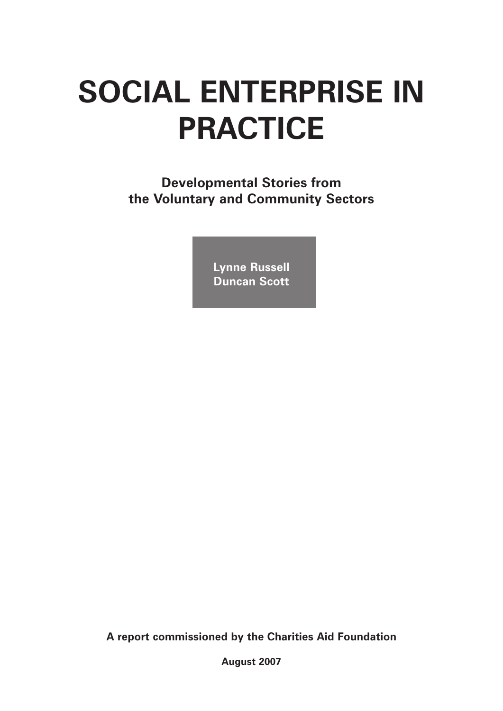# **SOCIAL ENTERPRISE IN PRACTICE**

**Developmental Stories from the Voluntary and Community Sectors**

> **Lynne Russell Duncan Scott**

**A report commissioned by the Charities Aid Foundation**

**August 2007**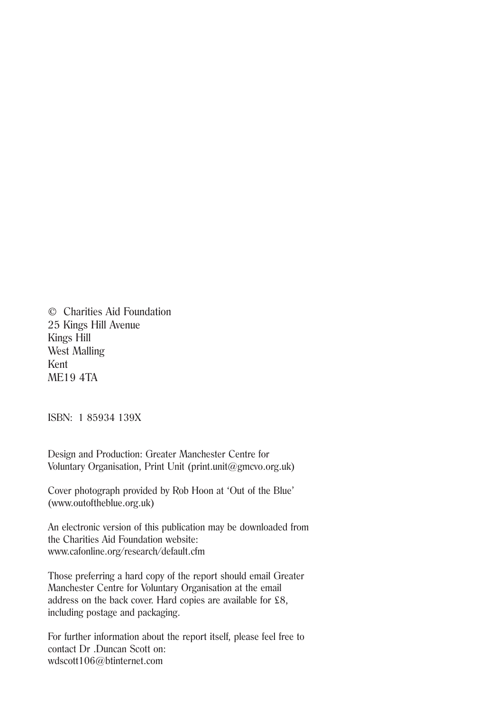© Charities Aid Foundation 25 Kings Hill Avenue Kings Hill West Malling Kent ME19 4TA

ISBN: 1 85934 139X

Design and Production: Greater Manchester Centre for Voluntary Organisation, Print Unit (print.unit@gmcvo.org.uk)

Cover photograph provided by Rob Hoon at 'Out of the Blue' (www.outoftheblue.org.uk)

An electronic version of this publication may be downloaded from the Charities Aid Foundation website: www.cafonline.org/research/default.cfm

Those preferring a hard copy of the report should email Greater Manchester Centre for Voluntary Organisation at the email address on the back cover. Hard copies are available for £8, including postage and packaging.

For further information about the report itself, please feel free to contact Dr .Duncan Scott on: wdscott106@btinternet.com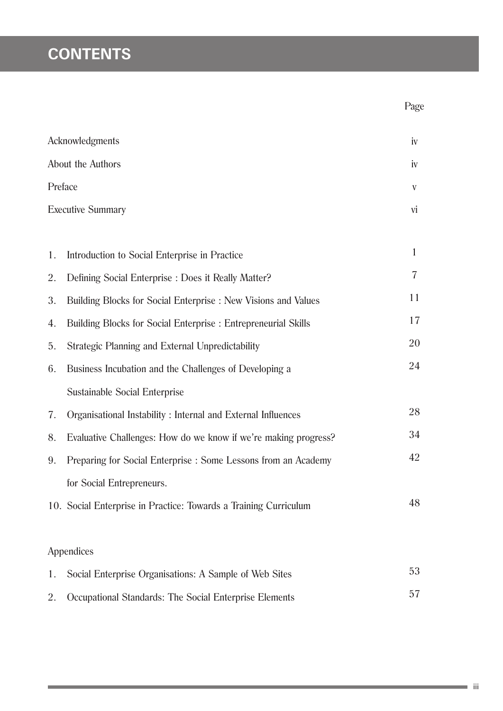## **CONTENTS**

|         |                                                                       | Page           |  |
|---------|-----------------------------------------------------------------------|----------------|--|
|         | Acknowledgments                                                       | iv             |  |
|         | About the Authors                                                     |                |  |
| Preface |                                                                       | V              |  |
|         | <b>Executive Summary</b>                                              | vi             |  |
|         |                                                                       |                |  |
| 1.      | Introduction to Social Enterprise in Practice                         | $\mathbf{1}$   |  |
| 2.      | Defining Social Enterprise : Does it Really Matter?                   | $\overline{7}$ |  |
| 3.      | Building Blocks for Social Enterprise : New Visions and Values        | 11             |  |
| 4.      | <b>Building Blocks for Social Enterprise : Entrepreneurial Skills</b> | 17             |  |
| 5.      | <b>Strategic Planning and External Unpredictability</b>               | 20             |  |
| 6.      | Business Incubation and the Challenges of Developing a                | 24             |  |
|         | <b>Sustainable Social Enterprise</b>                                  |                |  |
| 7.      | Organisational Instability: Internal and External Influences          | 28             |  |
| 8.      | Evaluative Challenges: How do we know if we're making progress?       | 34             |  |
| 9.      | Preparing for Social Enterprise : Some Lessons from an Academy        | 42             |  |
|         | for Social Entrepreneurs.                                             |                |  |
|         | 10. Social Enterprise in Practice: Towards a Training Curriculum      | 48             |  |
|         |                                                                       |                |  |
|         | Appendices                                                            |                |  |
| 1.      | Social Enterprise Organisations: A Sample of Web Sites                | 53             |  |
| 2.      | Occupational Standards: The Social Enterprise Elements                | 57             |  |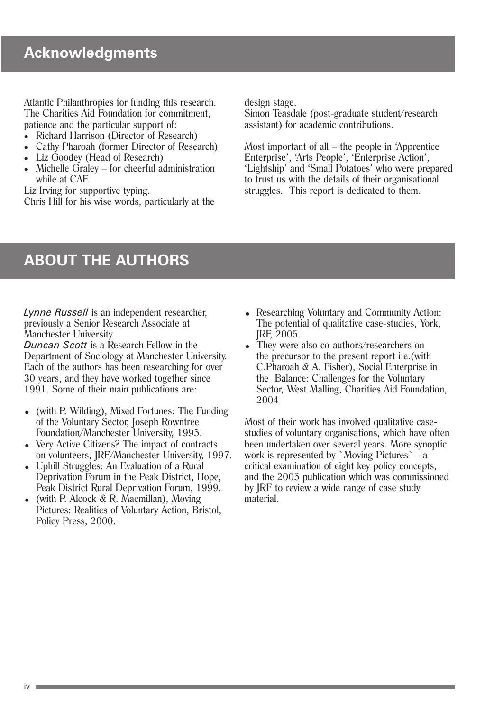Atlantic Philanthropies for funding this research. The Charities Aid Foundation for commitment, patience and the particular support of:

- Richard Harrison (Director of Research)
- Cathy Pharoah (former Director of Research)
- Liz Goodey (Head of Research)
- $\bullet$  Michelle Graley for cheerful administration while at CAF.

Liz Irving for supportive typing.

Chris Hill for his wise words, particularly at the

design stage.

Simon Teasdale (post-graduate student/research assistant) for academic contributions.

Most important of all – the people in 'Apprentice Enterprise', 'Arts People', 'Enterprise Action', 'Lightship' and 'Small Potatoes' who were prepared to trust us with the details of their organisational struggles. This report is dedicated to them.

### **ABOUT THE AUTHORS**

*Lynne Russell* is an independent researcher, previously a Senior Research Associate at Manchester University.

*Duncan Scott* is a Research Fellow in the Department of Sociology at Manchester University. Each of the authors has been researching for over 30 years, and they have worked together since 1991. Some of their main publications are:

- (with P. Wilding), Mixed Fortunes: The Funding of the Voluntary Sector, Joseph Rowntree Foundation/Manchester University, 1995.
- Very Active Citizens? The impact of contracts on volunteers, JRF/Manchester University, 1997.
- <sup>=</sup> Uphill Struggles: An Evaluation of a Rural Deprivation Forum in the Peak District, Hope, Peak District Rural Deprivation Forum, 1999.
- (with P. Alcock  $\& R$ . Macmillan), Moving Pictures: Realities of Voluntary Action, Bristol, Policy Press, 2000.
- Researching Voluntary and Community Action: The potential of qualitative case-studies, York, JRF, 2005.
- They were also co-authors/researchers on the precursor to the present report i.e.(with C.Pharoah & A. Fisher), Social Enterprise in the Balance: Challenges for the Voluntary Sector, West Malling, Charities Aid Foundation, 2004

Most of their work has involved qualitative casestudies of voluntary organisations, which have often been undertaken over several years. More synoptic work is represented by `Moving Pictures` - a critical examination of eight key policy concepts, and the 2005 publication which was commissioned by JRF to review a wide range of case study material.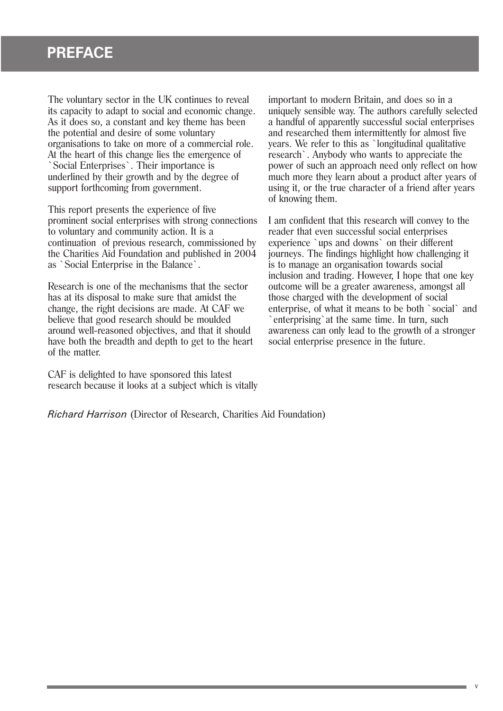### **PREFACE**

The voluntary sector in the UK continues to reveal its capacity to adapt to social and economic change. As it does so, a constant and key theme has been the potential and desire of some voluntary organisations to take on more of a commercial role. At the heart of this change lies the emergence of `Social Enterprises`. Their importance is underlined by their growth and by the degree of support forthcoming from government.

This report presents the experience of five prominent social enterprises with strong connections to voluntary and community action. It is a continuation of previous research, commissioned by the Charities Aid Foundation and published in 2004 as `Social Enterprise in the Balance`.

Research is one of the mechanisms that the sector has at its disposal to make sure that amidst the change, the right decisions are made. At CAF we believe that good research should be moulded around well-reasoned objectives, and that it should have both the breadth and depth to get to the heart of the matter.

CAF is delighted to have sponsored this latest research because it looks at a subject which is vitally important to modern Britain, and does so in a uniquely sensible way. The authors carefully selected a handful of apparently successful social enterprises and researched them intermittently for almost five years. We refer to this as `longitudinal qualitative research`. Anybody who wants to appreciate the power of such an approach need only reflect on how much more they learn about a product after years of using it, or the true character of a friend after years of knowing them.

I am confident that this research will convey to the reader that even successful social enterprises experience `ups and downs` on their different journeys. The findings highlight how challenging it is to manage an organisation towards social inclusion and trading. However, I hope that one key outcome will be a greater awareness, amongst all those charged with the development of social enterprise, of what it means to be both `social` and enterprising`at the same time. In turn, such awareness can only lead to the growth of a stronger social enterprise presence in the future.

*Richard Harrison* (Director of Research, Charities Aid Foundation)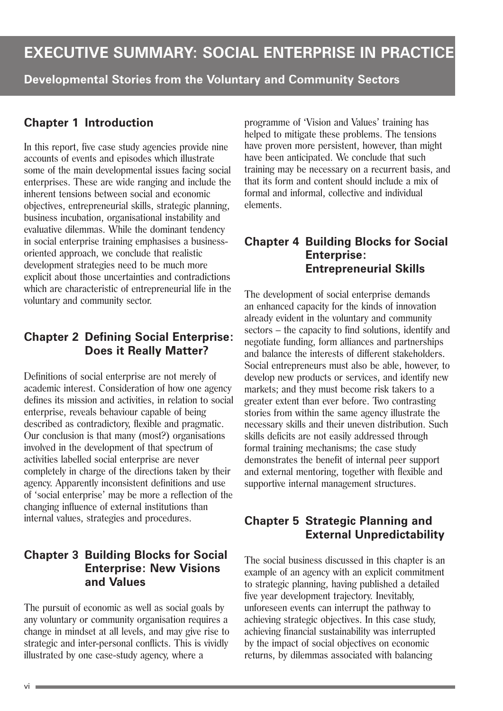### **EXECUTIVE SUMMARY: SOCIAL ENTERPRISE IN PRACTICE**

**Developmental Stories from the Voluntary and Community Sectors**

### **Chapter 1 Introduction**

In this report, five case study agencies provide nine accounts of events and episodes which illustrate some of the main developmental issues facing social enterprises. These are wide ranging and include the inherent tensions between social and economic objectives, entrepreneurial skills, strategic planning, business incubation, organisational instability and evaluative dilemmas. While the dominant tendency in social enterprise training emphasises a businessoriented approach, we conclude that realistic development strategies need to be much more explicit about those uncertainties and contradictions which are characteristic of entrepreneurial life in the voluntary and community sector.

#### **Chapter 2 Defining Social Enterprise: Does it Really Matter?**

Definitions of social enterprise are not merely of academic interest. Consideration of how one agency defines its mission and activities, in relation to social enterprise, reveals behaviour capable of being described as contradictory, flexible and pragmatic. Our conclusion is that many (most?) organisations involved in the development of that spectrum of activities labelled social enterprise are never completely in charge of the directions taken by their agency. Apparently inconsistent definitions and use of 'social enterprise' may be more a reflection of the changing influence of external institutions than internal values, strategies and procedures.

#### **Chapter 3 Building Blocks for Social Enterprise: New Visions and Values**

The pursuit of economic as well as social goals by any voluntary or community organisation requires a change in mindset at all levels, and may give rise to strategic and inter-personal conflicts. This is vividly illustrated by one case-study agency, where a

programme of 'Vision and Values' training has helped to mitigate these problems. The tensions have proven more persistent, however, than might have been anticipated. We conclude that such training may be necessary on a recurrent basis, and that its form and content should include a mix of formal and informal, collective and individual elements.

#### **Chapter 4 Building Blocks for Social Enterprise: Entrepreneurial Skills**

The development of social enterprise demands an enhanced capacity for the kinds of innovation already evident in the voluntary and community sectors – the capacity to find solutions, identify and negotiate funding, form alliances and partnerships and balance the interests of different stakeholders. Social entrepreneurs must also be able, however, to develop new products or services, and identify new markets; and they must become risk takers to a greater extent than ever before. Two contrasting stories from within the same agency illustrate the necessary skills and their uneven distribution. Such skills deficits are not easily addressed through formal training mechanisms; the case study demonstrates the benefit of internal peer support and external mentoring, together with flexible and supportive internal management structures.

### **Chapter 5 Strategic Planning and External Unpredictability**

The social business discussed in this chapter is an example of an agency with an explicit commitment to strategic planning, having published a detailed five year development trajectory. Inevitably, unforeseen events can interrupt the pathway to achieving strategic objectives. In this case study, achieving financial sustainability was interrupted by the impact of social objectives on economic returns, by dilemmas associated with balancing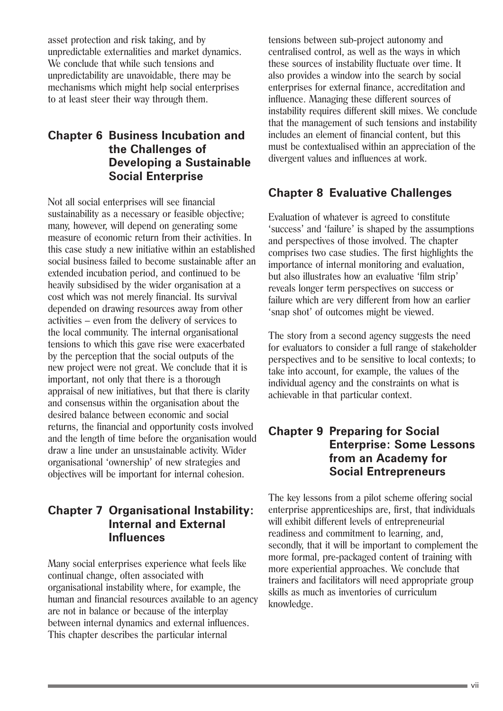asset protection and risk taking, and by unpredictable externalities and market dynamics. We conclude that while such tensions and unpredictability are unavoidable, there may be mechanisms which might help social enterprises to at least steer their way through them.

#### **Chapter 6 Business Incubation and the Challenges of Developing a Sustainable Social Enterprise**

Not all social enterprises will see financial sustainability as a necessary or feasible objective; many, however, will depend on generating some measure of economic return from their activities. In this case study a new initiative within an established social business failed to become sustainable after an extended incubation period, and continued to be heavily subsidised by the wider organisation at a cost which was not merely financial. Its survival depended on drawing resources away from other activities – even from the delivery of services to the local community. The internal organisational tensions to which this gave rise were exacerbated by the perception that the social outputs of the new project were not great. We conclude that it is important, not only that there is a thorough appraisal of new initiatives, but that there is clarity and consensus within the organisation about the desired balance between economic and social returns, the financial and opportunity costs involved and the length of time before the organisation would draw a line under an unsustainable activity. Wider organisational 'ownership' of new strategies and objectives will be important for internal cohesion.

### **Chapter 7 Organisational Instability: Internal and External Influences**

Many social enterprises experience what feels like continual change, often associated with organisational instability where, for example, the human and financial resources available to an agency are not in balance or because of the interplay between internal dynamics and external influences. This chapter describes the particular internal

tensions between sub-project autonomy and centralised control, as well as the ways in which these sources of instability fluctuate over time. It also provides a window into the search by social enterprises for external finance, accreditation and influence. Managing these different sources of instability requires different skill mixes. We conclude that the management of such tensions and instability includes an element of financial content, but this must be contextualised within an appreciation of the divergent values and influences at work.

### **Chapter 8 Evaluative Challenges**

Evaluation of whatever is agreed to constitute 'success' and 'failure' is shaped by the assumptions and perspectives of those involved. The chapter comprises two case studies. The first highlights the importance of internal monitoring and evaluation, but also illustrates how an evaluative 'film strip' reveals longer term perspectives on success or failure which are very different from how an earlier 'snap shot' of outcomes might be viewed.

The story from a second agency suggests the need for evaluators to consider a full range of stakeholder perspectives and to be sensitive to local contexts; to take into account, for example, the values of the individual agency and the constraints on what is achievable in that particular context.

#### **Chapter 9 Preparing for Social Enterprise: Some Lessons from an Academy for Social Entrepreneurs**

The key lessons from a pilot scheme offering social enterprise apprenticeships are, first, that individuals will exhibit different levels of entrepreneurial readiness and commitment to learning, and, secondly, that it will be important to complement the more formal, pre-packaged content of training with more experiential approaches. We conclude that trainers and facilitators will need appropriate group skills as much as inventories of curriculum knowledge.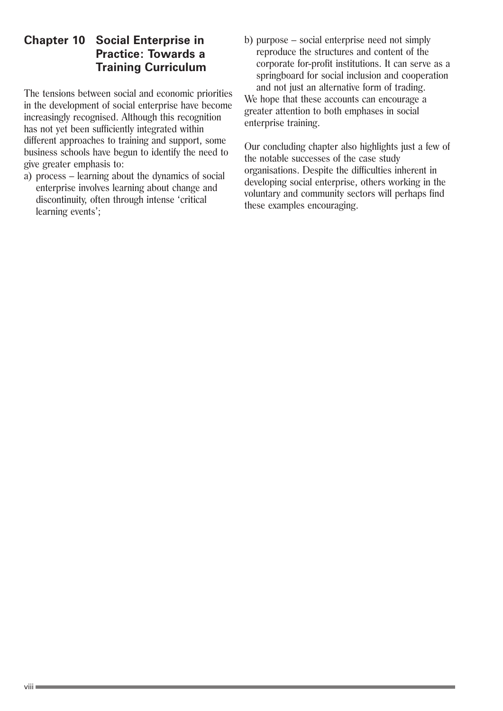#### **Chapter 10 Social Enterprise in Practice: Towards a Training Curriculum**

The tensions between social and economic priorities in the development of social enterprise have become increasingly recognised. Although this recognition has not yet been sufficiently integrated within different approaches to training and support, some business schools have begun to identify the need to give greater emphasis to:

a) process – learning about the dynamics of social enterprise involves learning about change and discontinuity, often through intense 'critical learning events';

b) purpose – social enterprise need not simply reproduce the structures and content of the corporate for-profit institutions. It can serve as a springboard for social inclusion and cooperation and not just an alternative form of trading.

We hope that these accounts can encourage a greater attention to both emphases in social enterprise training.

Our concluding chapter also highlights just a few of the notable successes of the case study organisations. Despite the difficulties inherent in developing social enterprise, others working in the voluntary and community sectors will perhaps find these examples encouraging.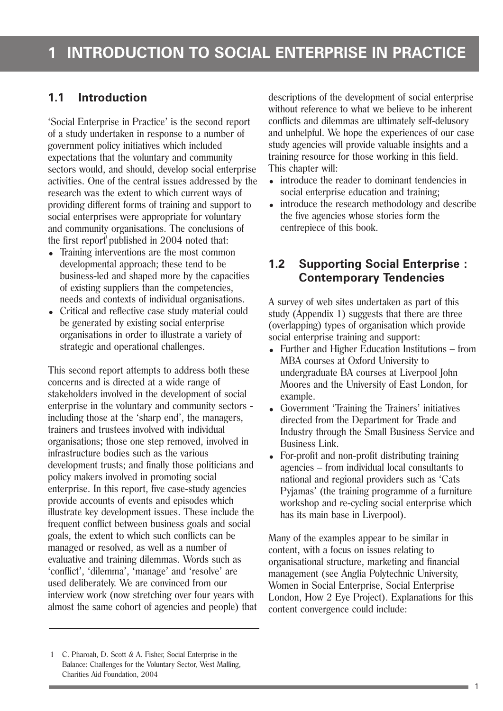#### **1.1 Introduction**

'Social Enterprise in Practice' is the second report of a study undertaken in response to a number of government policy initiatives which included expectations that the voluntary and community sectors would, and should, develop social enterprise activities. One of the central issues addressed by the research was the extent to which current ways of providing different forms of training and support to social enterprises were appropriate for voluntary and community organisations. The conclusions of the first report<sup>1</sup> published in 2004 noted that:

- Training interventions are the most common developmental approach; these tend to be business-led and shaped more by the capacities of existing suppliers than the competencies, needs and contexts of individual organisations.
- Critical and reflective case study material could be generated by existing social enterprise organisations in order to illustrate a variety of strategic and operational challenges.

This second report attempts to address both these concerns and is directed at a wide range of stakeholders involved in the development of social enterprise in the voluntary and community sectors including those at the 'sharp end', the managers, trainers and trustees involved with individual organisations; those one step removed, involved in infrastructure bodies such as the various development trusts; and finally those politicians and policy makers involved in promoting social enterprise. In this report, five case-study agencies provide accounts of events and episodes which illustrate key development issues. These include the frequent conflict between business goals and social goals, the extent to which such conflicts can be managed or resolved, as well as a number of evaluative and training dilemmas. Words such as 'conflict', 'dilemma', 'manage' and 'resolve' are used deliberately. We are convinced from our interview work (now stretching over four years with almost the same cohort of agencies and people) that

- introduce the reader to dominant tendencies in social enterprise education and training:
- introduce the research methodology and describe the five agencies whose stories form the centrepiece of this book.

#### **1.2 Supporting Social Enterprise : Contemporary Tendencies**

A survey of web sites undertaken as part of this study (Appendix 1) suggests that there are three (overlapping) types of organisation which provide social enterprise training and support:

- $\bullet$  Further and Higher Education Institutions from MBA courses at Oxford University to undergraduate BA courses at Liverpool John Moores and the University of East London, for example.
- Government 'Training the Trainers' initiatives directed from the Department for Trade and Industry through the Small Business Service and Business Link.
- For-profit and non-profit distributing training agencies – from individual local consultants to national and regional providers such as 'Cats Pyjamas' (the training programme of a furniture workshop and re-cycling social enterprise which has its main base in Liverpool).

Many of the examples appear to be similar in content, with a focus on issues relating to organisational structure, marketing and financial management (see Anglia Polytechnic University, Women in Social Enterprise, Social Enterprise London, How 2 Eye Project). Explanations for this content convergence could include:

descriptions of the development of social enterprise without reference to what we believe to be inherent conflicts and dilemmas are ultimately self-delusory and unhelpful. We hope the experiences of our case study agencies will provide valuable insights and a training resource for those working in this field. This chapter will:

<sup>1</sup> C. Pharoah, D. Scott & A. Fisher, Social Enterprise in the Balance: Challenges for the Voluntary Sector, West Malling, Charities Aid Foundation, 2004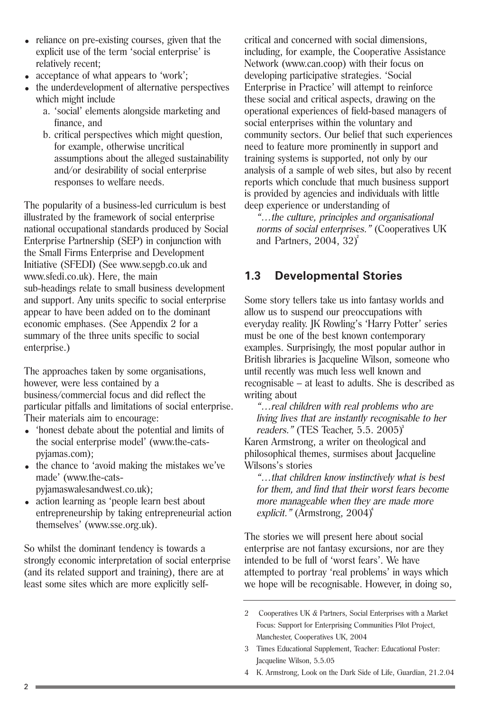- reliance on pre-existing courses, given that the explicit use of the term 'social enterprise' is relatively recent;
- acceptance of what appears to 'work';
- the underdevelopment of alternative perspectives which might include
	- a. 'social' elements alongside marketing and finance, and
	- b. critical perspectives which might question, for example, otherwise uncritical assumptions about the alleged sustainability and/or desirability of social enterprise responses to welfare needs.

The popularity of a business-led curriculum is best illustrated by the framework of social enterprise national occupational standards produced by Social Enterprise Partnership (SEP) in conjunction with the Small Firms Enterprise and Development Initiative (SFEDI) (See www.sepgb.co.uk and www.sfedi.co.uk). Here, the main sub-headings relate to small business development and support. Any units specific to social enterprise appear to have been added on to the dominant economic emphases. (See Appendix 2 for a summary of the three units specific to social enterprise.)

The approaches taken by some organisations, however, were less contained by a business/commercial focus and did reflect the particular pitfalls and limitations of social enterprise. Their materials aim to encourage:

- 'honest debate about the potential and limits of the social enterprise model' (www.the-catspyjamas.com);
- the chance to 'avoid making the mistakes we've made' (www.the-catspyjamaswalesandwest.co.uk);
- action learning as 'people learn best about entrepreneurship by taking entrepreneurial action themselves' (www.sse.org.uk).

So whilst the dominant tendency is towards a strongly economic interpretation of social enterprise (and its related support and training), there are at least some sites which are more explicitly selfcritical and concerned with social dimensions, including, for example, the Cooperative Assistance Network (www.can.coop) with their focus on developing participative strategies. 'Social Enterprise in Practice' will attempt to reinforce these social and critical aspects, drawing on the operational experiences of field-based managers of social enterprises within the voluntary and community sectors. Our belief that such experiences need to feature more prominently in support and training systems is supported, not only by our analysis of a sample of web sites, but also by recent reports which conclude that much business support is provided by agencies and individuals with little deep experience or understanding of

"…the culture, principles and organisational norms of social enterprises." (Cooperatives UK and Partners,  $2004$ ,  $32)^2$ 

### **1.3 Developmental Stories**

Some story tellers take us into fantasy worlds and allow us to suspend our preoccupations with everyday reality. JK Rowling's 'Harry Potter' series must be one of the best known contemporary examples. Surprisingly, the most popular author in British libraries is Jacqueline Wilson, someone who until recently was much less well known and recognisable – at least to adults. She is described as writing about

"…real children with real problems who are living lives that are instantly recognisable to her readers." (TES Teacher, 5.5. 2005)<sup>3</sup> Karen Armstrong, a writer on theological and

philosophical themes, surmises about Jacqueline Wilsons's stories

"…that children know instinctively what is best for them, and find that their worst fears become more manageable when they are made more explicit." (Armstrong, 2004)<sup>4</sup>

The stories we will present here about social enterprise are not fantasy excursions, nor are they intended to be full of 'worst fears'. We have attempted to portray 'real problems' in ways which we hope will be recognisable. However, in doing so,

- 2 Cooperatives UK & Partners, Social Enterprises with a Market Focus: Support for Enterprising Communities Pilot Project, Manchester, Cooperatives UK, 2004
- 3 Times Educational Supplement, Teacher: Educational Poster: Jacqueline Wilson, 5.5.05
- 4 K. Armstrong, Look on the Dark Side of Life, Guardian, 21.2.04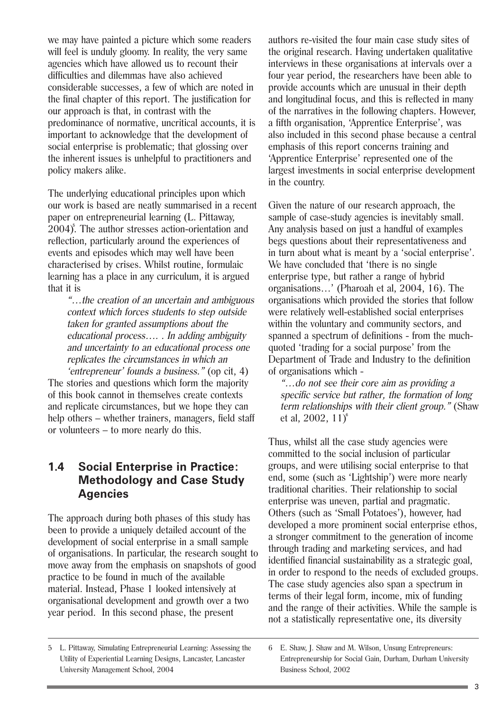we may have painted a picture which some readers will feel is unduly gloomy. In reality, the very same agencies which have allowed us to recount their difficulties and dilemmas have also achieved considerable successes, a few of which are noted in the final chapter of this report. The justification for our approach is that, in contrast with the predominance of normative, uncritical accounts, it is important to acknowledge that the development of social enterprise is problematic; that glossing over the inherent issues is unhelpful to practitioners and policy makers alike.

The underlying educational principles upon which our work is based are neatly summarised in a recent paper on entrepreneurial learning (L. Pittaway, 2004)<sup>5</sup>. The author stresses action-orientation and reflection, particularly around the experiences of events and episodes which may well have been characterised by crises. Whilst routine, formulaic learning has a place in any curriculum, it is argued that it is

"…the creation of an uncertain and ambiguous context which forces students to step outside taken for granted assumptions about the educational process…. . In adding ambiguity and uncertainty to an educational process one replicates the circumstances in which an

'entrepreneur' founds a business." (op cit, 4) The stories and questions which form the majority of this book cannot in themselves create contexts and replicate circumstances, but we hope they can help others – whether trainers, managers, field staff or volunteers – to more nearly do this.

#### **1.4 Social Enterprise in Practice: Methodology and Case Study Agencies**

The approach during both phases of this study has been to provide a uniquely detailed account of the development of social enterprise in a small sample of organisations. In particular, the research sought to move away from the emphasis on snapshots of good practice to be found in much of the available material. Instead, Phase 1 looked intensively at organisational development and growth over a two year period. In this second phase, the present

authors re-visited the four main case study sites of the original research. Having undertaken qualitative interviews in these organisations at intervals over a four year period, the researchers have been able to provide accounts which are unusual in their depth and longitudinal focus, and this is reflected in many of the narratives in the following chapters. However, a fifth organisation, 'Apprentice Enterprise', was also included in this second phase because a central emphasis of this report concerns training and 'Apprentice Enterprise' represented one of the largest investments in social enterprise development in the country.

Given the nature of our research approach, the sample of case-study agencies is inevitably small. Any analysis based on just a handful of examples begs questions about their representativeness and in turn about what is meant by a 'social enterprise'. We have concluded that 'there is no single enterprise type, but rather a range of hybrid organisations…' (Pharoah et al, 2004, 16). The organisations which provided the stories that follow were relatively well-established social enterprises within the voluntary and community sectors, and spanned a spectrum of definitions - from the muchquoted 'trading for a social purpose' from the Department of Trade and Industry to the definition of organisations which -

"…do not see their core aim as providing a specific service but rather, the formation of long term relationships with their client group." (Shaw et al, 2002, 11) 6

Thus, whilst all the case study agencies were committed to the social inclusion of particular groups, and were utilising social enterprise to that end, some (such as 'Lightship') were more nearly traditional charities. Their relationship to social enterprise was uneven, partial and pragmatic. Others (such as 'Small Potatoes'), however, had developed a more prominent social enterprise ethos, a stronger commitment to the generation of income through trading and marketing services, and had identified financial sustainability as a strategic goal, in order to respond to the needs of excluded groups. The case study agencies also span a spectrum in terms of their legal form, income, mix of funding and the range of their activities. While the sample is not a statistically representative one, its diversity

<sup>5</sup> L. Pittaway, Simulating Entrepreneurial Learning: Assessing the Utility of Experiential Learning Designs, Lancaster, Lancaster University Management School, 2004

<sup>6</sup> E. Shaw, J. Shaw and M. Wilson, Unsung Entrepreneurs: Entrepreneurship for Social Gain, Durham, Durham University Business School, 2002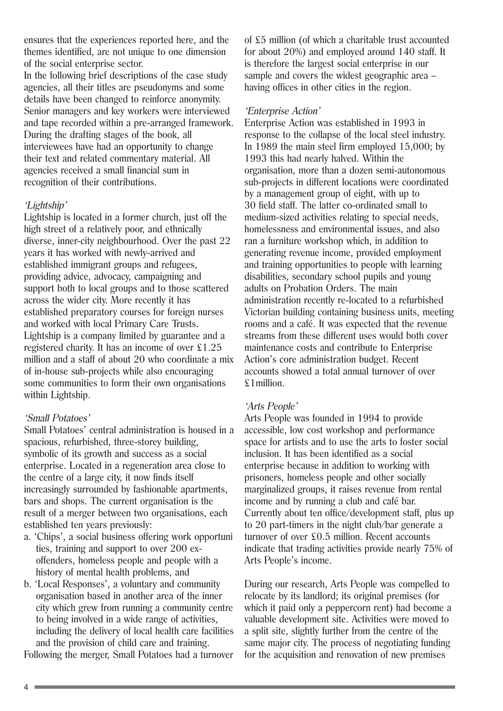ensures that the experiences reported here, and the themes identified, are not unique to one dimension of the social enterprise sector.

In the following brief descriptions of the case study agencies, all their titles are pseudonyms and some details have been changed to reinforce anonymity. Senior managers and key workers were interviewed and tape recorded within a pre-arranged framework. During the drafting stages of the book, all interviewees have had an opportunity to change their text and related commentary material. All agencies received a small financial sum in recognition of their contributions.

#### 'Lightship'

Lightship is located in a former church, just off the high street of a relatively poor, and ethnically diverse, inner-city neighbourhood. Over the past 22 years it has worked with newly-arrived and established immigrant groups and refugees, providing advice, advocacy, campaigning and support both to local groups and to those scattered across the wider city. More recently it has established preparatory courses for foreign nurses and worked with local Primary Care Trusts. Lightship is a company limited by guarantee and a registered charity. It has an income of over £1.25 million and a staff of about 20 who coordinate a mix of in-house sub-projects while also encouraging some communities to form their own organisations within Lightship.

#### 'Small Potatoes'

Small Potatoes' central administration is housed in a spacious, refurbished, three-storey building, symbolic of its growth and success as a social enterprise. Located in a regeneration area close to the centre of a large city, it now finds itself increasingly surrounded by fashionable apartments, bars and shops. The current organisation is the result of a merger between two organisations, each established ten years previously:

- a. 'Chips', a social business offering work opportuni ties, training and support to over 200 exoffenders, homeless people and people with a history of mental health problems, and
- b. 'Local Responses', a voluntary and community organisation based in another area of the inner city which grew from running a community centre to being involved in a wide range of activities, including the delivery of local health care facilities and the provision of child care and training.

Following the merger, Small Potatoes had a turnover

of £5 million (of which a charitable trust accounted for about 20%) and employed around 140 staff. It is therefore the largest social enterprise in our sample and covers the widest geographic area – having offices in other cities in the region.

#### 'Enterprise Action'

Enterprise Action was established in 1993 in response to the collapse of the local steel industry. In 1989 the main steel firm employed 15,000; by 1993 this had nearly halved. Within the organisation, more than a dozen semi-autonomous sub-projects in different locations were coordinated by a management group of eight, with up to 30 field staff. The latter co-ordinated small to medium-sized activities relating to special needs, homelessness and environmental issues, and also ran a furniture workshop which, in addition to generating revenue income, provided employment and training opportunities to people with learning disabilities, secondary school pupils and young adults on Probation Orders. The main administration recently re-located to a refurbished Victorian building containing business units, meeting rooms and a café. It was expected that the revenue streams from these different uses would both cover maintenance costs and contribute to Enterprise Action's core administration budget. Recent accounts showed a total annual turnover of over £1million.

#### 'Arts People'

Arts People was founded in 1994 to provide accessible, low cost workshop and performance space for artists and to use the arts to foster social inclusion. It has been identified as a social enterprise because in addition to working with prisoners, homeless people and other socially marginalized groups, it raises revenue from rental income and by running a club and café bar. Currently about ten office/development staff, plus up to 20 part-timers in the night club/bar generate a turnover of over £0.5 million. Recent accounts indicate that trading activities provide nearly 75% of Arts People's income.

During our research, Arts People was compelled to relocate by its landlord; its original premises (for which it paid only a peppercorn rent) had become a valuable development site. Activities were moved to a split site, slightly further from the centre of the same major city. The process of negotiating funding for the acquisition and renovation of new premises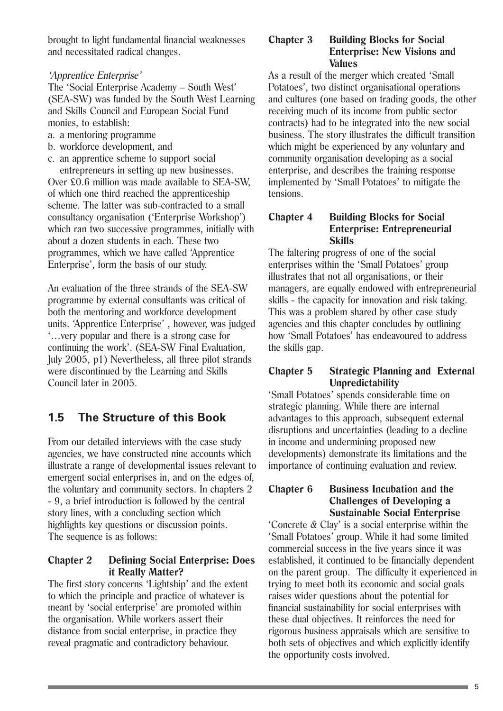brought to light fundamental financial weaknesses and necessitated radical changes.

#### 'Apprentice Enterprise'

The 'Social Enterprise Academy – South West' (SEA-SW) was funded by the South West Learning and Skills Council and European Social Fund monies, to establish:

- a. a mentoring programme
- b. workforce development, and
- c. an apprentice scheme to support social entrepreneurs in setting up new businesses.

Over £0.6 million was made available to SEA-SW, of which one third reached the apprenticeship scheme. The latter was sub-contracted to a small consultancy organisation ('Enterprise Workshop') which ran two successive programmes, initially with about a dozen students in each. These two programmes, which we have called 'Apprentice Enterprise', form the basis of our study.

An evaluation of the three strands of the SEA-SW programme by external consultants was critical of both the mentoring and workforce development units. 'Apprentice Enterprise' , however, was judged '…very popular and there is a strong case for continuing the work'. (SEA-SW Final Evaluation, July 2005, p1) Nevertheless, all three pilot strands were discontinued by the Learning and Skills Council later in 2005.

### **1.5 The Structure of this Book**

From our detailed interviews with the case study agencies, we have constructed nine accounts which illustrate a range of developmental issues relevant to emergent social enterprises in, and on the edges of, the voluntary and community sectors. In chapters 2 - 9, a brief introduction is followed by the central story lines, with a concluding section which highlights key questions or discussion points. The sequence is as follows:

#### **Chapter 2 Defining Social Enterprise: Does it Really Matter?**

The first story concerns 'Lightship' and the extent to which the principle and practice of whatever is meant by 'social enterprise' are promoted within the organisation. While workers assert their distance from social enterprise, in practice they reveal pragmatic and contradictory behaviour.

#### **Chapter 3 Building Blocks for Social Enterprise: New Visions and Values**

As a result of the merger which created 'Small Potatoes', two distinct organisational operations and cultures (one based on trading goods, the other receiving much of its income from public sector contracts) had to be integrated into the new social business. The story illustrates the difficult transition which might be experienced by any voluntary and community organisation developing as a social enterprise, and describes the training response implemented by 'Small Potatoes' to mitigate the tensions.

#### **Chapter 4 Building Blocks for Social Enterprise: Entrepreneurial Skills**

The faltering progress of one of the social enterprises within the 'Small Potatoes' group illustrates that not all organisations, or their managers, are equally endowed with entrepreneurial skills - the capacity for innovation and risk taking. This was a problem shared by other case study agencies and this chapter concludes by outlining how 'Small Potatoes' has endeavoured to address the skills gap.

#### **Chapter 5 Strategic Planning and External Unpredictability**

'Small Potatoes' spends considerable time on strategic planning. While there are internal advantages to this approach, subsequent external disruptions and uncertainties (leading to a decline in income and undermining proposed new developments) demonstrate its limitations and the importance of continuing evaluation and review.

#### **Chapter 6 Business Incubation and the Challenges of Developing a Sustainable Social Enterprise**

'Concrete & Clay' is a social enterprise within the 'Small Potatoes' group. While it had some limited commercial success in the five years since it was established, it continued to be financially dependent on the parent group. The difficulty it experienced in trying to meet both its economic and social goals raises wider questions about the potential for financial sustainability for social enterprises with these dual objectives. It reinforces the need for rigorous business appraisals which are sensitive to both sets of objectives and which explicitly identify the opportunity costs involved.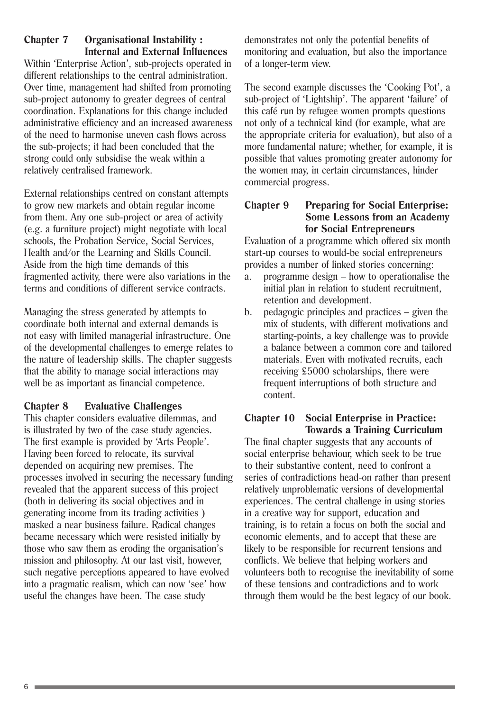#### **Chapter 7 Organisational Instability : Internal and External Influences**

Within 'Enterprise Action', sub-projects operated in different relationships to the central administration. Over time, management had shifted from promoting sub-project autonomy to greater degrees of central coordination. Explanations for this change included administrative efficiency and an increased awareness of the need to harmonise uneven cash flows across the sub-projects; it had been concluded that the strong could only subsidise the weak within a relatively centralised framework.

External relationships centred on constant attempts to grow new markets and obtain regular income from them. Any one sub-project or area of activity (e.g. a furniture project) might negotiate with local schools, the Probation Service, Social Services, Health and/or the Learning and Skills Council. Aside from the high time demands of this fragmented activity, there were also variations in the terms and conditions of different service contracts.

Managing the stress generated by attempts to coordinate both internal and external demands is not easy with limited managerial infrastructure. One of the developmental challenges to emerge relates to the nature of leadership skills. The chapter suggests that the ability to manage social interactions may well be as important as financial competence.

#### **Chapter 8 Evaluative Challenges**

This chapter considers evaluative dilemmas, and is illustrated by two of the case study agencies. The first example is provided by 'Arts People'. Having been forced to relocate, its survival depended on acquiring new premises. The processes involved in securing the necessary funding revealed that the apparent success of this project (both in delivering its social objectives and in generating income from its trading activities ) masked a near business failure. Radical changes became necessary which were resisted initially by those who saw them as eroding the organisation's mission and philosophy. At our last visit, however, such negative perceptions appeared to have evolved into a pragmatic realism, which can now 'see' how useful the changes have been. The case study

demonstrates not only the potential benefits of monitoring and evaluation, but also the importance of a longer-term view.

The second example discusses the 'Cooking Pot', a sub-project of 'Lightship'. The apparent 'failure' of this café run by refugee women prompts questions not only of a technical kind (for example, what are the appropriate criteria for evaluation), but also of a more fundamental nature; whether, for example, it is possible that values promoting greater autonomy for the women may, in certain circumstances, hinder commercial progress.

#### **Chapter 9 Preparing for Social Enterprise: Some Lessons from an Academy for Social Entrepreneurs**

Evaluation of a programme which offered six month start-up courses to would-be social entrepreneurs provides a number of linked stories concerning:

- a. programme design how to operationalise the initial plan in relation to student recruitment, retention and development.
- b. pedagogic principles and practices given the mix of students, with different motivations and starting-points, a key challenge was to provide a balance between a common core and tailored materials. Even with motivated recruits, each receiving £5000 scholarships, there were frequent interruptions of both structure and content.

#### **Chapter 10 Social Enterprise in Practice: Towards a Training Curriculum**

The final chapter suggests that any accounts of social enterprise behaviour, which seek to be true to their substantive content, need to confront a series of contradictions head-on rather than present relatively unproblematic versions of developmental experiences. The central challenge in using stories in a creative way for support, education and training, is to retain a focus on both the social and economic elements, and to accept that these are likely to be responsible for recurrent tensions and conflicts. We believe that helping workers and volunteers both to recognise the inevitability of some of these tensions and contradictions and to work through them would be the best legacy of our book.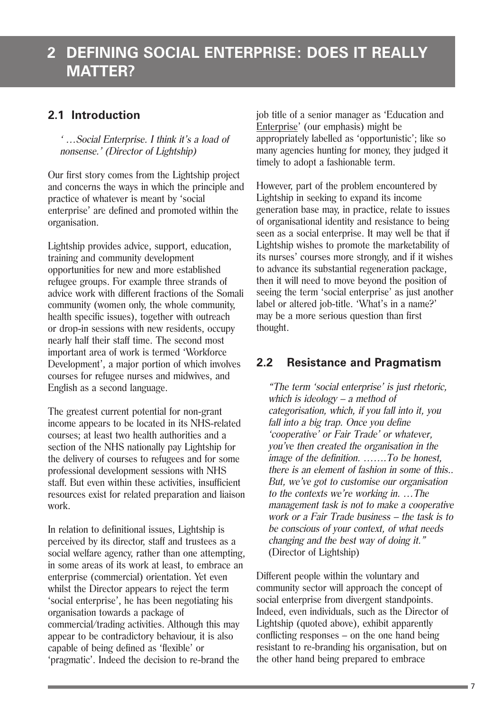### **2 DEFINING SOCIAL ENTERPRISE: DOES IT REALLY MATTER?**

### **2.1 Introduction**

' …Social Enterprise. I think it's a load of nonsense.' (Director of Lightship)

Our first story comes from the Lightship project and concerns the ways in which the principle and practice of whatever is meant by 'social enterprise' are defined and promoted within the organisation.

Lightship provides advice, support, education, training and community development opportunities for new and more established refugee groups. For example three strands of advice work with different fractions of the Somali community (women only, the whole community, health specific issues), together with outreach or drop-in sessions with new residents, occupy nearly half their staff time. The second most important area of work is termed 'Workforce Development', a major portion of which involves courses for refugee nurses and midwives, and English as a second language.

The greatest current potential for non-grant income appears to be located in its NHS-related courses; at least two health authorities and a section of the NHS nationally pay Lightship for the delivery of courses to refugees and for some professional development sessions with NHS staff. But even within these activities, insufficient resources exist for related preparation and liaison work.

In relation to definitional issues, Lightship is perceived by its director, staff and trustees as a social welfare agency, rather than one attempting, in some areas of its work at least, to embrace an enterprise (commercial) orientation. Yet even whilst the Director appears to reject the term 'social enterprise', he has been negotiating his organisation towards a package of commercial/trading activities. Although this may appear to be contradictory behaviour, it is also capable of being defined as 'flexible' or 'pragmatic'. Indeed the decision to re-brand the

job title of a senior manager as 'Education and Enterprise' (our emphasis) might be appropriately labelled as 'opportunistic'; like so many agencies hunting for money, they judged it timely to adopt a fashionable term.

However, part of the problem encountered by Lightship in seeking to expand its income generation base may, in practice, relate to issues of organisational identity and resistance to being seen as a social enterprise. It may well be that if Lightship wishes to promote the marketability of its nurses' courses more strongly, and if it wishes to advance its substantial regeneration package, then it will need to move beyond the position of seeing the term 'social enterprise' as just another label or altered job-title. 'What's in a name?' may be a more serious question than first thought.

### **2.2 Resistance and Pragmatism**

"The term 'social enterprise' is just rhetoric, which is ideology – a method of categorisation, which, if you fall into it, you fall into a big trap. Once you define 'cooperative' or Fair Trade' or whatever, you've then created the organisation in the image of the definition. …….To be honest, there is an element of fashion in some of this.. But, we've got to customise our organisation to the contexts we're working in. …The management task is not to make a cooperative work or a Fair Trade business – the task is to be conscious of your context, of what needs changing and the best way of doing it." (Director of Lightship)

Different people within the voluntary and community sector will approach the concept of social enterprise from divergent standpoints. Indeed, even individuals, such as the Director of Lightship (quoted above), exhibit apparently conflicting responses – on the one hand being resistant to re-branding his organisation, but on the other hand being prepared to embrace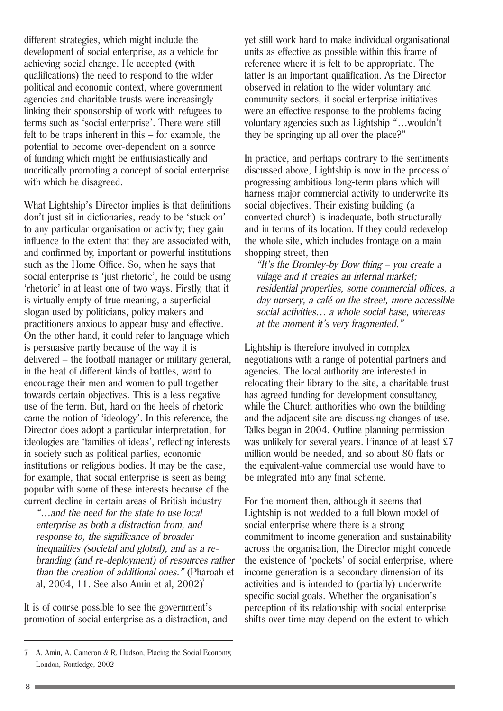different strategies, which might include the development of social enterprise, as a vehicle for achieving social change. He accepted (with qualifications) the need to respond to the wider political and economic context, where government agencies and charitable trusts were increasingly linking their sponsorship of work with refugees to terms such as 'social enterprise'. There were still felt to be traps inherent in this – for example, the potential to become over-dependent on a source of funding which might be enthusiastically and uncritically promoting a concept of social enterprise with which he disagreed.

What Lightship's Director implies is that definitions don't just sit in dictionaries, ready to be 'stuck on' to any particular organisation or activity; they gain influence to the extent that they are associated with, and confirmed by, important or powerful institutions such as the Home Office. So, when he says that social enterprise is 'just rhetoric', he could be using 'rhetoric' in at least one of two ways. Firstly, that it is virtually empty of true meaning, a superficial slogan used by politicians, policy makers and practitioners anxious to appear busy and effective. On the other hand, it could refer to language which is persuasive partly because of the way it is delivered – the football manager or military general, in the heat of different kinds of battles, want to encourage their men and women to pull together towards certain objectives. This is a less negative use of the term. But, hard on the heels of rhetoric came the notion of 'ideology'. In this reference, the Director does adopt a particular interpretation, for ideologies are 'families of ideas', reflecting interests in society such as political parties, economic institutions or religious bodies. It may be the case, for example, that social enterprise is seen as being popular with some of these interests because of the current decline in certain areas of British industry

"…and the need for the state to use local enterprise as both a distraction from, and response to, the significance of broader inequalities (societal and global), and as a rebranding (and re-deployment) of resources rather than the creation of additional ones." (Pharoah et al, 2004, 11. See also Amin et al, 2002)<sup>7</sup>

It is of course possible to see the government's promotion of social enterprise as a distraction, and yet still work hard to make individual organisational units as effective as possible within this frame of reference where it is felt to be appropriate. The latter is an important qualification. As the Director observed in relation to the wider voluntary and community sectors, if social enterprise initiatives were an effective response to the problems facing voluntary agencies such as Lightship "…wouldn't they be springing up all over the place?"

In practice, and perhaps contrary to the sentiments discussed above, Lightship is now in the process of progressing ambitious long-term plans which will harness major commercial activity to underwrite its social objectives. Their existing building (a converted church) is inadequate, both structurally and in terms of its location. If they could redevelop the whole site, which includes frontage on a main shopping street, then

"It's the Bromley-by Bow thing  $-$  you create a village and it creates an internal market; residential properties, some commercial offices, a day nursery, a café on the street, more accessible social activities… a whole social base, whereas at the moment it's very fragmented."

Lightship is therefore involved in complex negotiations with a range of potential partners and agencies. The local authority are interested in relocating their library to the site, a charitable trust has agreed funding for development consultancy, while the Church authorities who own the building and the adjacent site are discussing changes of use. Talks began in 2004. Outline planning permission was unlikely for several years. Finance of at least £7 million would be needed, and so about 80 flats or the equivalent-value commercial use would have to be integrated into any final scheme.

For the moment then, although it seems that Lightship is not wedded to a full blown model of social enterprise where there is a strong commitment to income generation and sustainability across the organisation, the Director might concede the existence of 'pockets' of social enterprise, where income generation is a secondary dimension of its activities and is intended to (partially) underwrite specific social goals. Whether the organisation's perception of its relationship with social enterprise shifts over time may depend on the extent to which

<sup>7</sup> A. Amin, A. Cameron & R. Hudson, Placing the Social Economy, London, Routledge, 2002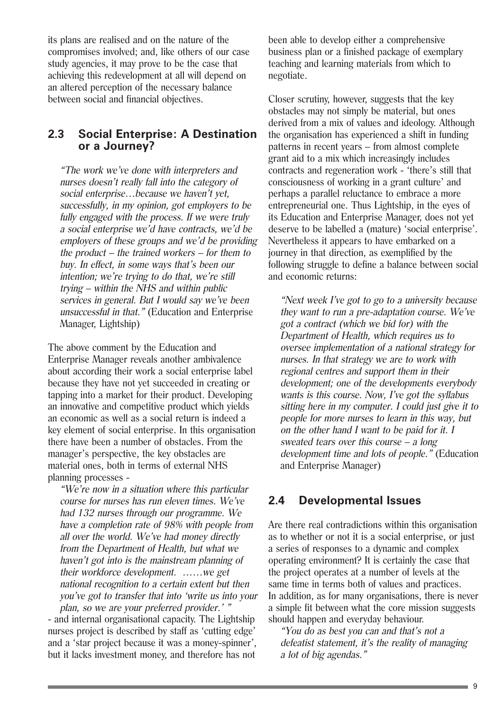its plans are realised and on the nature of the compromises involved; and, like others of our case study agencies, it may prove to be the case that achieving this redevelopment at all will depend on an altered perception of the necessary balance between social and financial objectives.

#### **2.3 Social Enterprise: A Destination or a Journey?**

"The work we've done with interpreters and nurses doesn't really fall into the category of social enterprise…because we haven't yet, successfully, in my opinion, got employers to be fully engaged with the process. If we were truly a social enterprise we'd have contracts, we'd be employers of these groups and we'd be providing the product – the trained workers – for them to buy. In effect, in some ways that's been our intention; we're trying to do that, we're still trying – within the NHS and within public services in general. But I would say we've been unsuccessful in that." (Education and Enterprise Manager, Lightship)

The above comment by the Education and Enterprise Manager reveals another ambivalence about according their work a social enterprise label because they have not yet succeeded in creating or tapping into a market for their product. Developing an innovative and competitive product which yields an economic as well as a social return is indeed a key element of social enterprise. In this organisation there have been a number of obstacles. From the manager's perspective, the key obstacles are material ones, both in terms of external NHS planning processes -

"We're now in a situation where this particular course for nurses has run eleven times. We've had 132 nurses through our programme. We have a completion rate of 98% with people from all over the world. We've had money directly from the Department of Health, but what we haven't got into is the mainstream planning of their workforce development. ……we get national recognition to a certain extent but then you've got to transfer that into 'write us into your plan, so we are your preferred provider.' "

- and internal organisational capacity. The Lightship nurses project is described by staff as 'cutting edge' and a 'star project because it was a money-spinner', but it lacks investment money, and therefore has not

been able to develop either a comprehensive business plan or a finished package of exemplary teaching and learning materials from which to negotiate.

Closer scrutiny, however, suggests that the key obstacles may not simply be material, but ones derived from a mix of values and ideology. Although the organisation has experienced a shift in funding patterns in recent years – from almost complete grant aid to a mix which increasingly includes contracts and regeneration work - 'there's still that consciousness of working in a grant culture' and perhaps a parallel reluctance to embrace a more entrepreneurial one. Thus Lightship, in the eyes of its Education and Enterprise Manager, does not yet deserve to be labelled a (mature) 'social enterprise'. Nevertheless it appears to have embarked on a journey in that direction, as exemplified by the following struggle to define a balance between social and economic returns:

"Next week I've got to go to a university because they want to run a pre-adaptation course. We've got a contract (which we bid for) with the Department of Health, which requires us to oversee implementation of a national strategy for nurses. In that strategy we are to work with regional centres and support them in their development; one of the developments everybody wants is this course. Now, I've got the syllabus sitting here in my computer. I could just give it to people for more nurses to learn in this way, but on the other hand I want to be paid for it. I sweated tears over this course – a long development time and lots of people." (Education and Enterprise Manager)

### **2.4 Developmental Issues**

Are there real contradictions within this organisation as to whether or not it is a social enterprise, or just a series of responses to a dynamic and complex operating environment? It is certainly the case that the project operates at a number of levels at the same time in terms both of values and practices. In addition, as for many organisations, there is never a simple fit between what the core mission suggests should happen and everyday behaviour.

"You do as best you can and that's not a defeatist statement, it's the reality of managing a lot of big agendas."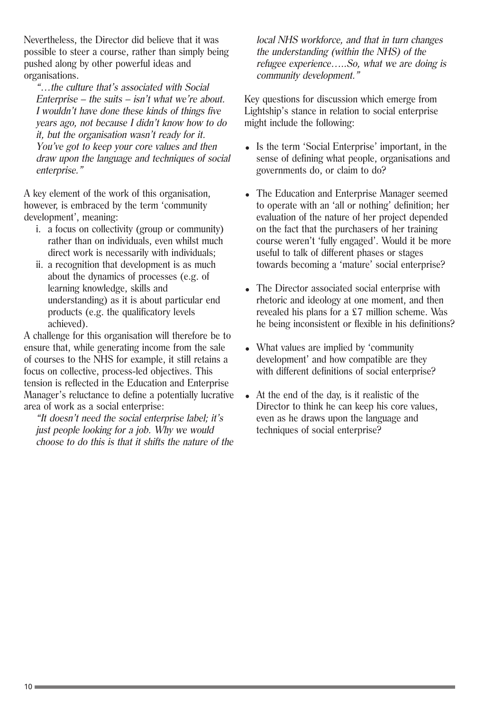Nevertheless, the Director did believe that it was possible to steer a course, rather than simply being pushed along by other powerful ideas and organisations.

"…the culture that's associated with Social Enterprise – the suits – isn't what we're about. I wouldn't have done these kinds of things five years ago, not because I didn't know how to do it, but the organisation wasn't ready for it. You've got to keep your core values and then draw upon the language and techniques of social enterprise."

A key element of the work of this organisation, however, is embraced by the term 'community development', meaning:

- i. a focus on collectivity (group or community) rather than on individuals, even whilst much direct work is necessarily with individuals;
- ii. a recognition that development is as much about the dynamics of processes (e.g. of learning knowledge, skills and understanding) as it is about particular end products (e.g. the qualificatory levels achieved).

A challenge for this organisation will therefore be to ensure that, while generating income from the sale of courses to the NHS for example, it still retains a focus on collective, process-led objectives. This tension is reflected in the Education and Enterprise Manager's reluctance to define a potentially lucrative area of work as a social enterprise:

"It doesn't need the social enterprise label; it's just people looking for a job. Why we would choose to do this is that it shifts the nature of the local NHS workforce, and that in turn changes the understanding (within the NHS) of the refugee experience…..So, what we are doing is community development."

Key questions for discussion which emerge from Lightship's stance in relation to social enterprise might include the following:

- Is the term 'Social Enterprise' important, in the sense of defining what people, organisations and governments do, or claim to do?
- The Education and Enterprise Manager seemed to operate with an 'all or nothing' definition; her evaluation of the nature of her project depended on the fact that the purchasers of her training course weren't 'fully engaged'. Would it be more useful to talk of different phases or stages towards becoming a 'mature' social enterprise?
- The Director associated social enterprise with rhetoric and ideology at one moment, and then revealed his plans for a £7 million scheme. Was he being inconsistent or flexible in his definitions?
- What values are implied by 'community development' and how compatible are they with different definitions of social enterprise?
- $\bullet$  At the end of the day, is it realistic of the Director to think he can keep his core values, even as he draws upon the language and techniques of social enterprise?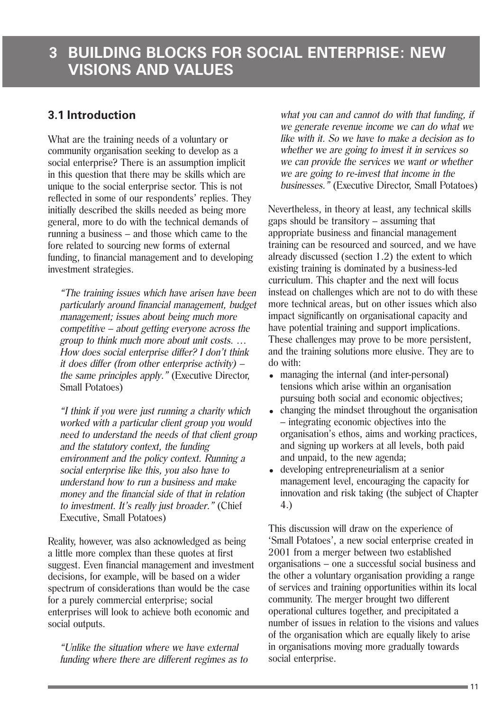### **3.1 Introduction**

What are the training needs of a voluntary or community organisation seeking to develop as a social enterprise? There is an assumption implicit in this question that there may be skills which are unique to the social enterprise sector. This is not reflected in some of our respondents' replies. They initially described the skills needed as being more general, more to do with the technical demands of running a business – and those which came to the fore related to sourcing new forms of external funding, to financial management and to developing investment strategies.

"The training issues which have arisen have been particularly around financial management, budget management; issues about being much more competitive – about getting everyone across the group to think much more about unit costs. … How does social enterprise differ? I don't think it does differ (from other enterprise activity) – the same principles apply." (Executive Director, Small Potatoes)

"I think if you were just running a charity which worked with a particular client group you would need to understand the needs of that client group and the statutory context, the funding environment and the policy context. Running a social enterprise like this, you also have to understand how to run a business and make money and the financial side of that in relation to investment. It's really just broader." (Chief Executive, Small Potatoes)

Reality, however, was also acknowledged as being a little more complex than these quotes at first suggest. Even financial management and investment decisions, for example, will be based on a wider spectrum of considerations than would be the case for a purely commercial enterprise; social enterprises will look to achieve both economic and social outputs.

"Unlike the situation where we have external funding where there are different regimes as to what you can and cannot do with that funding, if we generate revenue income we can do what we like with it. So we have to make a decision as to whether we are going to invest it in services so we can provide the services we want or whether we are going to re-invest that income in the businesses." (Executive Director, Small Potatoes)

Nevertheless, in theory at least, any technical skills gaps should be transitory – assuming that appropriate business and financial management training can be resourced and sourced, and we have already discussed (section 1.2) the extent to which existing training is dominated by a business-led curriculum. This chapter and the next will focus instead on challenges which are not to do with these more technical areas, but on other issues which also impact significantly on organisational capacity and have potential training and support implications. These challenges may prove to be more persistent. and the training solutions more elusive. They are to do with:

- managing the internal (and inter-personal) tensions which arise within an organisation pursuing both social and economic objectives;
- changing the mindset throughout the organisation – integrating economic objectives into the organisation's ethos, aims and working practices, and signing up workers at all levels, both paid and unpaid, to the new agenda;
- developing entrepreneurialism at a senior management level, encouraging the capacity for innovation and risk taking (the subject of Chapter 4.)

This discussion will draw on the experience of 'Small Potatoes', a new social enterprise created in 2001 from a merger between two established organisations – one a successful social business and the other a voluntary organisation providing a range of services and training opportunities within its local community. The merger brought two different operational cultures together, and precipitated a number of issues in relation to the visions and values of the organisation which are equally likely to arise in organisations moving more gradually towards social enterprise.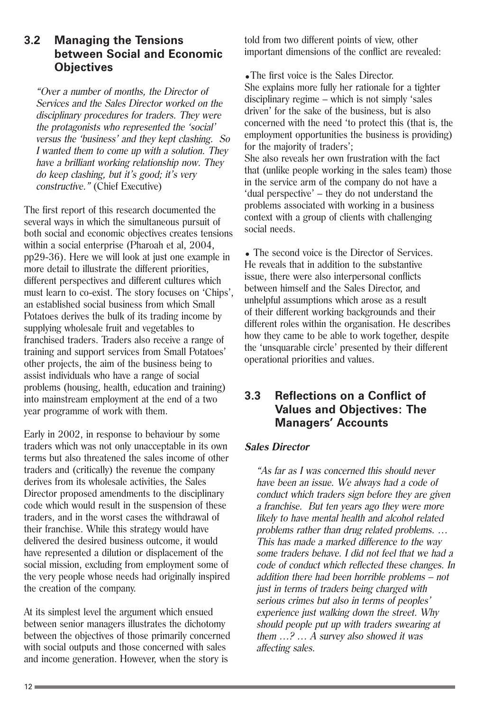#### **3.2 Managing the Tensions between Social and Economic Objectives**

"Over a number of months, the Director of Services and the Sales Director worked on the disciplinary procedures for traders. They were the protagonists who represented the 'social' versus the 'business' and they kept clashing. So I wanted them to come up with a solution. They have a brilliant working relationship now. They do keep clashing, but it's good; it's very constructive." (Chief Executive)

The first report of this research documented the several ways in which the simultaneous pursuit of both social and economic objectives creates tensions within a social enterprise (Pharoah et al, 2004, pp29-36). Here we will look at just one example in more detail to illustrate the different priorities, different perspectives and different cultures which must learn to co-exist. The story focuses on 'Chips', an established social business from which Small Potatoes derives the bulk of its trading income by supplying wholesale fruit and vegetables to franchised traders. Traders also receive a range of training and support services from Small Potatoes' other projects, the aim of the business being to assist individuals who have a range of social problems (housing, health, education and training) into mainstream employment at the end of a two year programme of work with them.

Early in 2002, in response to behaviour by some traders which was not only unacceptable in its own terms but also threatened the sales income of other traders and (critically) the revenue the company derives from its wholesale activities, the Sales Director proposed amendments to the disciplinary code which would result in the suspension of these traders, and in the worst cases the withdrawal of their franchise. While this strategy would have delivered the desired business outcome, it would have represented a dilution or displacement of the social mission, excluding from employment some of the very people whose needs had originally inspired the creation of the company.

At its simplest level the argument which ensued between senior managers illustrates the dichotomy between the objectives of those primarily concerned with social outputs and those concerned with sales and income generation. However, when the story is

told from two different points of view, other important dimensions of the conflict are revealed:

•The first voice is the Sales Director. She explains more fully her rationale for a tighter disciplinary regime – which is not simply 'sales driven' for the sake of the business, but is also concerned with the need 'to protect this (that is, the employment opportunities the business is providing) for the majority of traders'; She also reveals her own frustration with the fact that (unlike people working in the sales team) those in the service arm of the company do not have a 'dual perspective' – they do not understand the problems associated with working in a business context with a group of clients with challenging social needs.

• The second voice is the Director of Services. He reveals that in addition to the substantive issue, there were also interpersonal conflicts between himself and the Sales Director, and unhelpful assumptions which arose as a result of their different working backgrounds and their different roles within the organisation. He describes how they came to be able to work together, despite the 'unsquarable circle' presented by their different operational priorities and values.

#### **3.3 Reflections on a Conflict of Values and Objectives: The Managers' Accounts**

#### **Sales Director**

"As far as I was concerned this should never have been an issue. We always had a code of conduct which traders sign before they are given a franchise. But ten years ago they were more likely to have mental health and alcohol related problems rather than drug related problems. … This has made a marked difference to the way some traders behave. I did not feel that we had a code of conduct which reflected these changes. In addition there had been horrible problems – not just in terms of traders being charged with serious crimes but also in terms of peoples' experience just walking down the street. Why should people put up with traders swearing at them …? … A survey also showed it was affecting sales.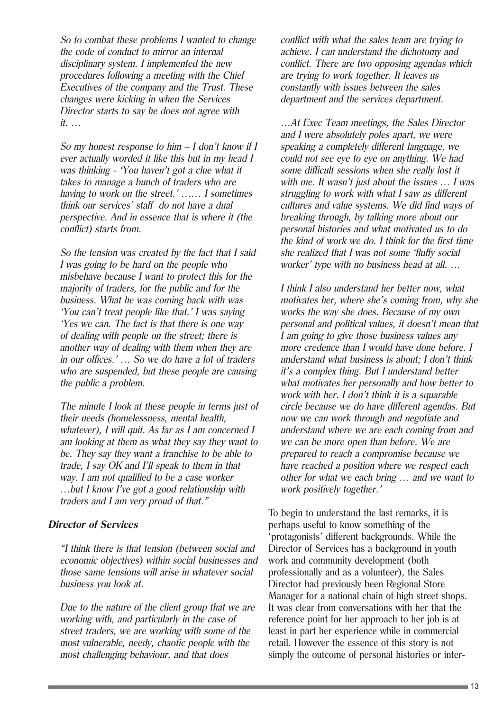So to combat these problems I wanted to change the code of conduct to mirror an internal disciplinary system. I implemented the new procedures following a meeting with the Chief Executives of the company and the Trust. These changes were kicking in when the Services Director starts to say he does not agree with it. …

So my honest response to him – I don't know if I ever actually worded it like this but in my head I was thinking - 'You haven't got a clue what it takes to manage a bunch of traders who are having to work on the street.' …… I sometimes think our services' staff do not have a dual perspective. And in essence that is where it (the conflict) starts from.

So the tension was created by the fact that I said I was going to be hard on the people who misbehave because I want to protect this for the majority of traders, for the public and for the business. What he was coming back with was 'You can't treat people like that.' I was saying 'Yes we can. The fact is that there is one way of dealing with people on the street; there is another way of dealing with them when they are in our offices.' … So we do have a lot of traders who are suspended, but these people are causing the public a problem.

The minute I look at these people in terms just of their needs (homelessness, mental health, whatever), I will quit. As far as I am concerned I am looking at them as what they say they want to be. They say they want a franchise to be able to trade, I say OK and I'll speak to them in that way. I am not qualified to be a case worker …but I know I've got a good relationship with traders and I am very proud of that."

#### **Director of Services**

"I think there is that tension (between social and economic objectives) within social businesses and those same tensions will arise in whatever social business you look at.

Due to the nature of the client group that we are working with, and particularly in the case of street traders, we are working with some of the most vulnerable, needy, chaotic people with the most challenging behaviour, and that does

conflict with what the sales team are trying to achieve. I can understand the dichotomy and conflict. There are two opposing agendas which are trying to work together. It leaves us constantly with issues between the sales department and the services department.

…At Exec Team meetings, the Sales Director and I were absolutely poles apart, we were speaking a completely different language, we could not see eye to eye on anything. We had some difficult sessions when she really lost it with me. It wasn't just about the issues ... I was struggling to work with what I saw as different cultures and value systems. We did find ways of breaking through, by talking more about our personal histories and what motivated us to do the kind of work we do. I think for the first time she realized that I was not some 'fluffy social worker' type with no business head at all. …

I think I also understand her better now, what motivates her, where she's coming from, why she works the way she does. Because of my own personal and political values, it doesn't mean that I am going to give those business values any more credence than I would have done before. I understand what business is about; I don't think it's a complex thing. But I understand better what motivates her personally and how better to work with her. I don't think it is a squarable circle because we do have different agendas. But now we can work through and negotiate and understand where we are each coming from and we can be more open than before. We are prepared to reach a compromise because we have reached a position where we respect each other for what we each bring … and we want to work positively together.'

To begin to understand the last remarks, it is perhaps useful to know something of the 'protagonists' different backgrounds. While the Director of Services has a background in youth work and community development (both professionally and as a volunteer), the Sales Director had previously been Regional Store Manager for a national chain of high street shops. It was clear from conversations with her that the reference point for her approach to her job is at least in part her experience while in commercial retail. However the essence of this story is not simply the outcome of personal histories or inter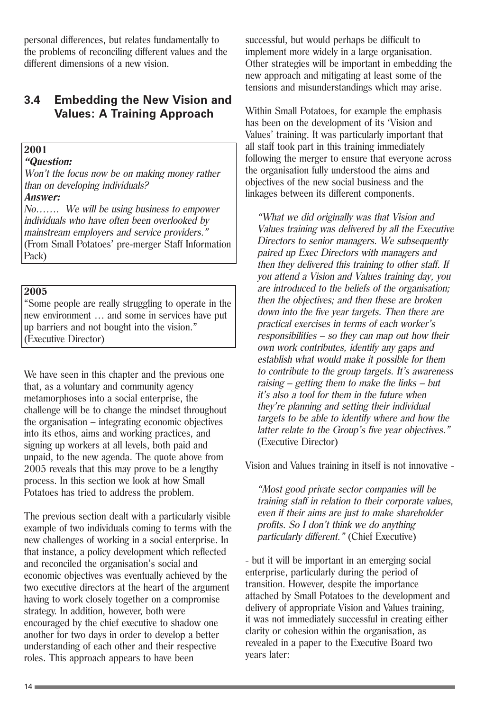personal differences, but relates fundamentally to the problems of reconciling different values and the different dimensions of a new vision.

#### **3.4 Embedding the New Vision and Values: A Training Approach**

#### **2001**

#### **"Question:**

Won't the focus now be on making money rather than on developing individuals?

#### **Answer:**

No……. We will be using business to empower individuals who have often been overlooked by mainstream employers and service providers." (From Small Potatoes' pre-merger Staff Information Pack)

#### **2005**

"Some people are really struggling to operate in the new environment … and some in services have put up barriers and not bought into the vision." (Executive Director)

We have seen in this chapter and the previous one that, as a voluntary and community agency metamorphoses into a social enterprise, the challenge will be to change the mindset throughout the organisation – integrating economic objectives into its ethos, aims and working practices, and signing up workers at all levels, both paid and unpaid, to the new agenda. The quote above from 2005 reveals that this may prove to be a lengthy process. In this section we look at how Small Potatoes has tried to address the problem.

The previous section dealt with a particularly visible example of two individuals coming to terms with the new challenges of working in a social enterprise. In that instance, a policy development which reflected and reconciled the organisation's social and economic objectives was eventually achieved by the two executive directors at the heart of the argument having to work closely together on a compromise strategy. In addition, however, both were encouraged by the chief executive to shadow one another for two days in order to develop a better understanding of each other and their respective roles. This approach appears to have been

successful, but would perhaps be difficult to implement more widely in a large organisation. Other strategies will be important in embedding the new approach and mitigating at least some of the tensions and misunderstandings which may arise.

Within Small Potatoes, for example the emphasis has been on the development of its 'Vision and Values' training. It was particularly important that all staff took part in this training immediately following the merger to ensure that everyone across the organisation fully understood the aims and objectives of the new social business and the linkages between its different components.

"What we did originally was that Vision and Values training was delivered by all the Executive Directors to senior managers. We subsequently paired up Exec Directors with managers and then they delivered this training to other staff. If you attend a Vision and Values training day, you are introduced to the beliefs of the organisation; then the objectives; and then these are broken down into the five year targets. Then there are practical exercises in terms of each worker's responsibilities – so they can map out how their own work contributes, identify any gaps and establish what would make it possible for them to contribute to the group targets. It's awareness raising – getting them to make the links – but it's also a tool for them in the future when they're planning and setting their individual targets to be able to identify where and how the latter relate to the Group's five year objectives." (Executive Director)

Vision and Values training in itself is not innovative -

"Most good private sector companies will be training staff in relation to their corporate values, even if their aims are just to make shareholder profits. So I don't think we do anything particularly different." (Chief Executive)

- but it will be important in an emerging social enterprise, particularly during the period of transition. However, despite the importance attached by Small Potatoes to the development and delivery of appropriate Vision and Values training, it was not immediately successful in creating either clarity or cohesion within the organisation, as revealed in a paper to the Executive Board two years later: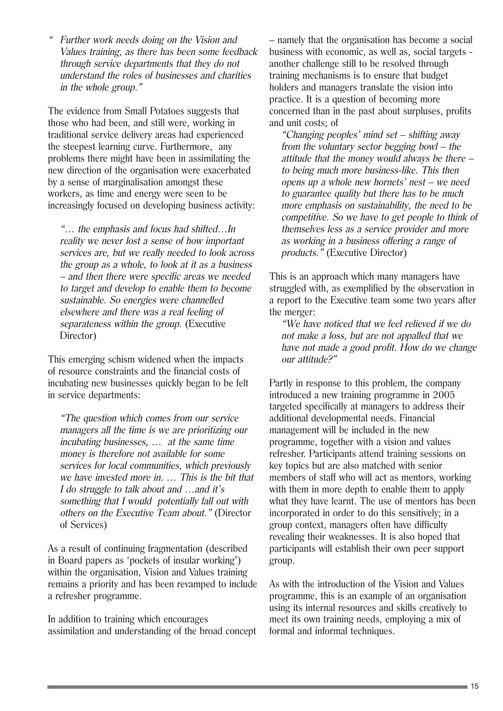" Further work needs doing on the Vision and Values training, as there has been some feedback through service departments that they do not understand the roles of businesses and charities in the whole group."

The evidence from Small Potatoes suggests that those who had been, and still were, working in traditional service delivery areas had experienced the steepest learning curve. Furthermore, any problems there might have been in assimilating the new direction of the organisation were exacerbated by a sense of marginalisation amongst these workers, as time and energy were seen to be increasingly focused on developing business activity:

"… the emphasis and focus had shifted…In reality we never lost a sense of how important services are, but we really needed to look across the group as a whole, to look at it as a business – and then there were specific areas we needed to target and develop to enable them to become sustainable. So energies were channelled elsewhere and there was a real feeling of separateness within the group. (Executive Director)

This emerging schism widened when the impacts of resource constraints and the financial costs of incubating new businesses quickly began to be felt in service departments:

"The question which comes from our service managers all the time is we are prioritizing our incubating businesses, … at the same time money is therefore not available for some services for local communities, which previously we have invested more in. … This is the bit that I do struggle to talk about and …and it's something that I would potentially fall out with others on the Executive Team about." (Director of Services)

As a result of continuing fragmentation (described in Board papers as 'pockets of insular working') within the organisation, Vision and Values training remains a priority and has been revamped to include a refresher programme.

In addition to training which encourages assimilation and understanding of the broad concept – namely that the organisation has become a social business with economic, as well as, social targets another challenge still to be resolved through training mechanisms is to ensure that budget holders and managers translate the vision into practice. It is a question of becoming more concerned than in the past about surpluses, profits and unit costs; of

"Changing peoples' mind set – shifting away from the voluntary sector begging bowl – the attitude that the money would always be there – to being much more business-like. This then opens up a whole new hornets' nest – we need to guarantee quality but there has to be much more emphasis on sustainability, the need to be competitive. So we have to get people to think of themselves less as a service provider and more as working in a business offering a range of products." (Executive Director)

This is an approach which many managers have struggled with, as exemplified by the observation in a report to the Executive team some two years after the merger:

"We have noticed that we feel relieved if we do not make a loss, but are not appalled that we have not made a good profit. How do we change our attitude?"

Partly in response to this problem, the company introduced a new training programme in 2005 targeted specifically at managers to address their additional developmental needs. Financial management will be included in the new programme, together with a vision and values refresher. Participants attend training sessions on key topics but are also matched with senior members of staff who will act as mentors, working with them in more depth to enable them to apply what they have learnt. The use of mentors has been incorporated in order to do this sensitively; in a group context, managers often have difficulty revealing their weaknesses. It is also hoped that participants will establish their own peer support group.

As with the introduction of the Vision and Values programme, this is an example of an organisation using its internal resources and skills creatively to meet its own training needs, employing a mix of formal and informal techniques.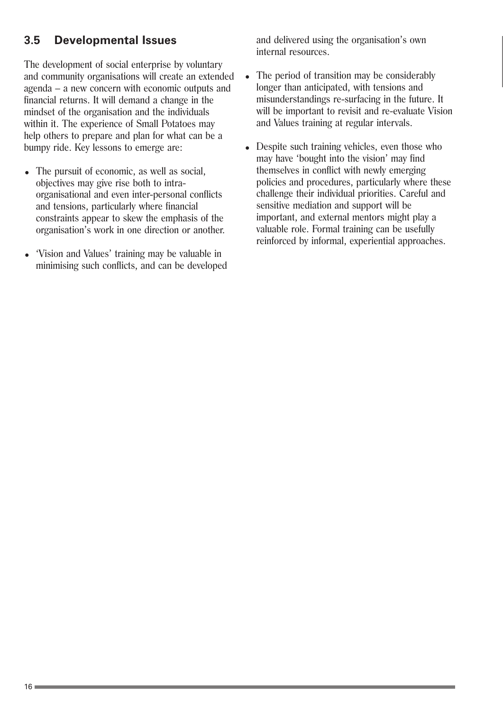### **3.5 Developmental Issues**

The development of social enterprise by voluntary and community organisations will create an extended agenda – a new concern with economic outputs and financial returns. It will demand a change in the mindset of the organisation and the individuals within it. The experience of Small Potatoes may help others to prepare and plan for what can be a bumpy ride. Key lessons to emerge are:

- The pursuit of economic, as well as social, objectives may give rise both to intraorganisational and even inter-personal conflicts and tensions, particularly where financial constraints appear to skew the emphasis of the organisation's work in one direction or another.
- 'Vision and Values' training may be valuable in minimising such conflicts, and can be developed

and delivered using the organisation's own internal resources.

- The period of transition may be considerably longer than anticipated, with tensions and misunderstandings re-surfacing in the future. It will be important to revisit and re-evaluate Vision and Values training at regular intervals.
- Despite such training vehicles, even those who may have 'bought into the vision' may find themselves in conflict with newly emerging policies and procedures, particularly where these challenge their individual priorities. Careful and sensitive mediation and support will be important, and external mentors might play a valuable role. Formal training can be usefully reinforced by informal, experiential approaches.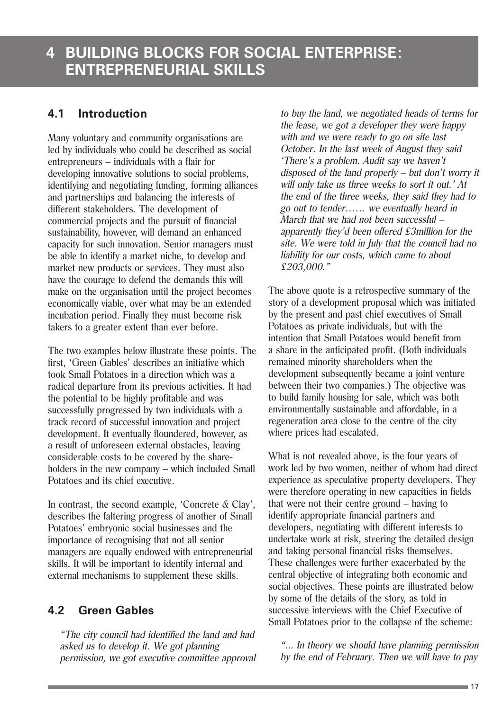### **4.1 Introduction**

Many voluntary and community organisations are led by individuals who could be described as social entrepreneurs – individuals with a flair for developing innovative solutions to social problems, identifying and negotiating funding, forming alliances and partnerships and balancing the interests of different stakeholders. The development of commercial projects and the pursuit of financial sustainability, however, will demand an enhanced capacity for such innovation. Senior managers must be able to identify a market niche, to develop and market new products or services. They must also have the courage to defend the demands this will make on the organisation until the project becomes economically viable, over what may be an extended incubation period. Finally they must become risk takers to a greater extent than ever before.

The two examples below illustrate these points. The first, 'Green Gables' describes an initiative which took Small Potatoes in a direction which was a radical departure from its previous activities. It had the potential to be highly profitable and was successfully progressed by two individuals with a track record of successful innovation and project development. It eventually floundered, however, as a result of unforeseen external obstacles, leaving considerable costs to be covered by the shareholders in the new company – which included Small Potatoes and its chief executive.

In contrast, the second example, 'Concrete & Clay', describes the faltering progress of another of Small Potatoes' embryonic social businesses and the importance of recognising that not all senior managers are equally endowed with entrepreneurial skills. It will be important to identify internal and external mechanisms to supplement these skills.

### **4.2 Green Gables**

"The city council had identified the land and had asked us to develop it. We got planning permission, we got executive committee approval to buy the land, we negotiated heads of terms for the lease, we got a developer they were happy with and we were ready to go on site last October. In the last week of August they said 'There's a problem. Audit say we haven't disposed of the land properly – but don't worry it will only take us three weeks to sort it out.' At the end of the three weeks, they said they had to go out to tender…… we eventually heard in March that we had not been successful – apparently they'd been offered £3million for the site. We were told in July that the council had no liability for our costs, which came to about £203,000."

The above quote is a retrospective summary of the story of a development proposal which was initiated by the present and past chief executives of Small Potatoes as private individuals, but with the intention that Small Potatoes would benefit from a share in the anticipated profit. (Both individuals remained minority shareholders when the development subsequently became a joint venture between their two companies.) The objective was to build family housing for sale, which was both environmentally sustainable and affordable, in a regeneration area close to the centre of the city where prices had escalated.

What is not revealed above, is the four years of work led by two women, neither of whom had direct experience as speculative property developers. They were therefore operating in new capacities in fields that were not their centre ground – having to identify appropriate financial partners and developers, negotiating with different interests to undertake work at risk, steering the detailed design and taking personal financial risks themselves. These challenges were further exacerbated by the central objective of integrating both economic and social objectives. These points are illustrated below by some of the details of the story, as told in successive interviews with the Chief Executive of Small Potatoes prior to the collapse of the scheme:

"... In theory we should have planning permission by the end of February. Then we will have to pay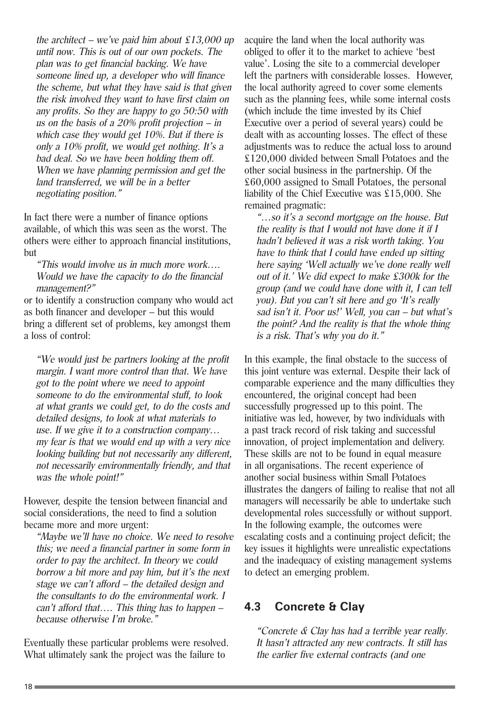the architect – we've paid him about  $\text{\pounds}13,000$  up until now. This is out of our own pockets. The plan was to get financial backing. We have someone lined up, a developer who will finance the scheme, but what they have said is that given the risk involved they want to have first claim on any profits. So they are happy to go 50:50 with us on the basis of a  $20\%$  profit projection – in which case they would get 10%. But if there is only a 10% profit, we would get nothing. It's a bad deal. So we have been holding them off. When we have planning permission and get the land transferred, we will be in a better negotiating position."

In fact there were a number of finance options available, of which this was seen as the worst. The others were either to approach financial institutions, but

"This would involve us in much more work…. Would we have the capacity to do the financial management?"

or to identify a construction company who would act as both financer and developer – but this would bring a different set of problems, key amongst them a loss of control:

"We would just be partners looking at the profit margin. I want more control than that. We have got to the point where we need to appoint someone to do the environmental stuff, to look at what grants we could get, to do the costs and detailed designs, to look at what materials to use. If we give it to a construction company… my fear is that we would end up with a very nice looking building but not necessarily any different, not necessarily environmentally friendly, and that was the whole point!"

However, despite the tension between financial and social considerations, the need to find a solution became more and more urgent:

"Maybe we'll have no choice. We need to resolve this; we need a financial partner in some form in order to pay the architect. In theory we could borrow a bit more and pay him, but it's the next stage we can't afford – the detailed design and the consultants to do the environmental work. I can't afford that…. This thing has to happen – because otherwise I'm broke."

Eventually these particular problems were resolved. What ultimately sank the project was the failure to

acquire the land when the local authority was obliged to offer it to the market to achieve 'best value'. Losing the site to a commercial developer left the partners with considerable losses. However, the local authority agreed to cover some elements such as the planning fees, while some internal costs (which include the time invested by its Chief Executive over a period of several years) could be dealt with as accounting losses. The effect of these adjustments was to reduce the actual loss to around £120,000 divided between Small Potatoes and the other social business in the partnership. Of the £60,000 assigned to Small Potatoes, the personal liability of the Chief Executive was £15,000. She remained pragmatic:

"…so it's a second mortgage on the house. But the reality is that I would not have done it if I hadn't believed it was a risk worth taking. You have to think that I could have ended up sitting here saying 'Well actually we've done really well out of it.' We did expect to make £300k for the group (and we could have done with it, I can tell you). But you can't sit here and go 'It's really sad isn't it. Poor us!' Well, you can – but what's the point? And the reality is that the whole thing is a risk. That's why you do it."

In this example, the final obstacle to the success of this joint venture was external. Despite their lack of comparable experience and the many difficulties they encountered, the original concept had been successfully progressed up to this point. The initiative was led, however, by two individuals with a past track record of risk taking and successful innovation, of project implementation and delivery. These skills are not to be found in equal measure in all organisations. The recent experience of another social business within Small Potatoes illustrates the dangers of failing to realise that not all managers will necessarily be able to undertake such developmental roles successfully or without support. In the following example, the outcomes were escalating costs and a continuing project deficit; the key issues it highlights were unrealistic expectations and the inadequacy of existing management systems to detect an emerging problem.

#### **4.3 Concrete & Clay**

"Concrete & Clay has had a terrible year really. It hasn't attracted any new contracts. It still has the earlier five external contracts (and one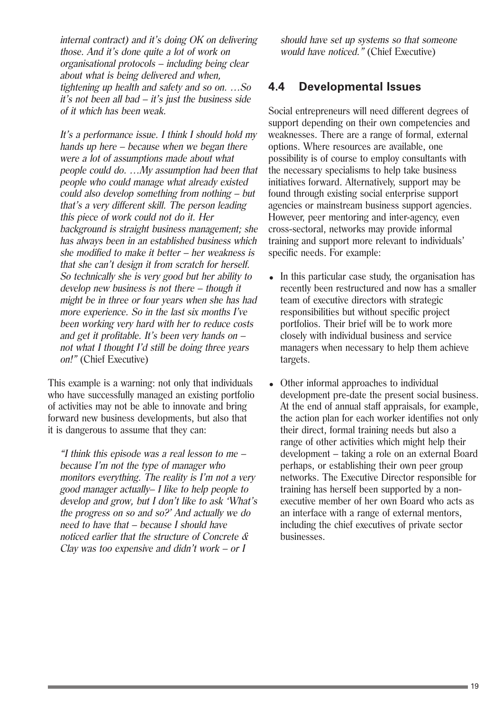internal contract) and it's doing OK on delivering those. And it's done quite a lot of work on organisational protocols – including being clear about what is being delivered and when, tightening up health and safety and so on. …So it's not been all bad – it's just the business side of it which has been weak.

It's a performance issue. I think I should hold my hands up here – because when we began there were a lot of assumptions made about what people could do. …My assumption had been that people who could manage what already existed could also develop something from nothing – but that's a very different skill. The person leading this piece of work could not do it. Her background is straight business management; she has always been in an established business which she modified to make it better – her weakness is that she can't design it from scratch for herself. So technically she is very good but her ability to develop new business is not there – though it might be in three or four years when she has had more experience. So in the last six months I've been working very hard with her to reduce costs and get it profitable. It's been very hands on – not what I thought I'd still be doing three years on!" (Chief Executive)

This example is a warning: not only that individuals who have successfully managed an existing portfolio of activities may not be able to innovate and bring forward new business developments, but also that it is dangerous to assume that they can:

"I think this episode was a real lesson to me – because I'm not the type of manager who monitors everything. The reality is I'm not a very good manager actually– I like to help people to develop and grow, but I don't like to ask 'What's the progress on so and so?' And actually we do need to have that – because I should have noticed earlier that the structure of Concrete & Clay was too expensive and didn't work – or  $I$ 

should have set up systems so that someone would have noticed." (Chief Executive)

#### **4.4 Developmental Issues**

Social entrepreneurs will need different degrees of support depending on their own competencies and weaknesses. There are a range of formal, external options. Where resources are available, one possibility is of course to employ consultants with the necessary specialisms to help take business initiatives forward. Alternatively, support may be found through existing social enterprise support agencies or mainstream business support agencies. However, peer mentoring and inter-agency, even cross-sectoral, networks may provide informal training and support more relevant to individuals' specific needs. For example:

- In this particular case study, the organisation has recently been restructured and now has a smaller team of executive directors with strategic responsibilities but without specific project portfolios. Their brief will be to work more closely with individual business and service managers when necessary to help them achieve targets.
- Other informal approaches to individual development pre-date the present social business. At the end of annual staff appraisals, for example, the action plan for each worker identifies not only their direct, formal training needs but also a range of other activities which might help their development – taking a role on an external Board perhaps, or establishing their own peer group networks. The Executive Director responsible for training has herself been supported by a nonexecutive member of her own Board who acts as an interface with a range of external mentors, including the chief executives of private sector businesses.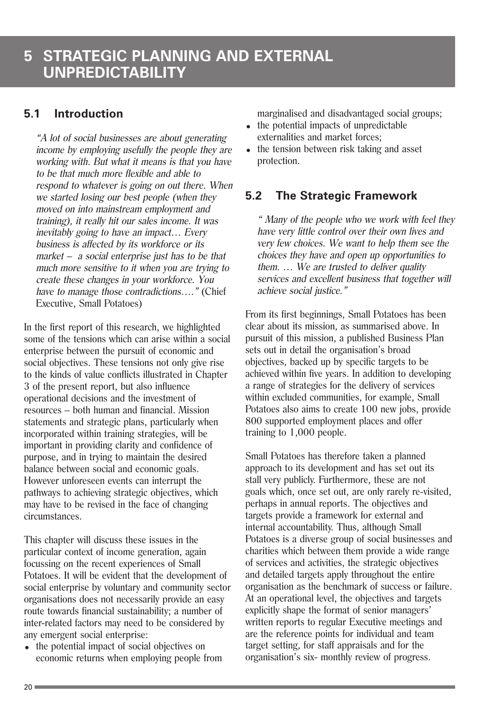### **5.1 Introduction**

"A lot of social businesses are about generating income by employing usefully the people they are working with. But what it means is that you have to be that much more flexible and able to respond to whatever is going on out there. When we started losing our best people (when they moved on into mainstream employment and training), it really hit our sales income. It was inevitably going to have an impact… Every business is affected by its workforce or its market – a social enterprise just has to be that much more sensitive to it when you are trying to create these changes in your workforce. You have to manage those contradictions...." (Chief Executive, Small Potatoes)

In the first report of this research, we highlighted some of the tensions which can arise within a social enterprise between the pursuit of economic and social objectives. These tensions not only give rise to the kinds of value conflicts illustrated in Chapter 3 of the present report, but also influence operational decisions and the investment of resources – both human and financial. Mission statements and strategic plans, particularly when incorporated within training strategies, will be important in providing clarity and confidence of purpose, and in trying to maintain the desired balance between social and economic goals. However unforeseen events can interrupt the pathways to achieving strategic objectives, which may have to be revised in the face of changing circumstances.

This chapter will discuss these issues in the particular context of income generation, again focussing on the recent experiences of Small Potatoes. It will be evident that the development of social enterprise by voluntary and community sector organisations does not necessarily provide an easy route towards financial sustainability; a number of inter-related factors may need to be considered by any emergent social enterprise:

• the potential impact of social objectives on economic returns when employing people from marginalised and disadvantaged social groups;

- $\bullet$  the potential impacts of unpredictable externalities and market forces;
- the tension between risk taking and asset protection.

### **5.2 The Strategic Framework**

" Many of the people who we work with feel they have very little control over their own lives and very few choices. We want to help them see the choices they have and open up opportunities to them.  $\ldots$  We are trusted to deliver quality services and excellent business that together will achieve social justice."

From its first beginnings, Small Potatoes has been clear about its mission, as summarised above. In pursuit of this mission, a published Business Plan sets out in detail the organisation's broad objectives, backed up by specific targets to be achieved within five years. In addition to developing a range of strategies for the delivery of services within excluded communities, for example, Small Potatoes also aims to create 100 new jobs, provide 800 supported employment places and offer training to 1,000 people.

Small Potatoes has therefore taken a planned approach to its development and has set out its stall very publicly. Furthermore, these are not goals which, once set out, are only rarely re-visited, perhaps in annual reports. The objectives and targets provide a framework for external and internal accountability. Thus, although Small Potatoes is a diverse group of social businesses and charities which between them provide a wide range of services and activities, the strategic objectives and detailed targets apply throughout the entire organisation as the benchmark of success or failure. At an operational level, the objectives and targets explicitly shape the format of senior managers' written reports to regular Executive meetings and are the reference points for individual and team target setting, for staff appraisals and for the organisation's six- monthly review of progress.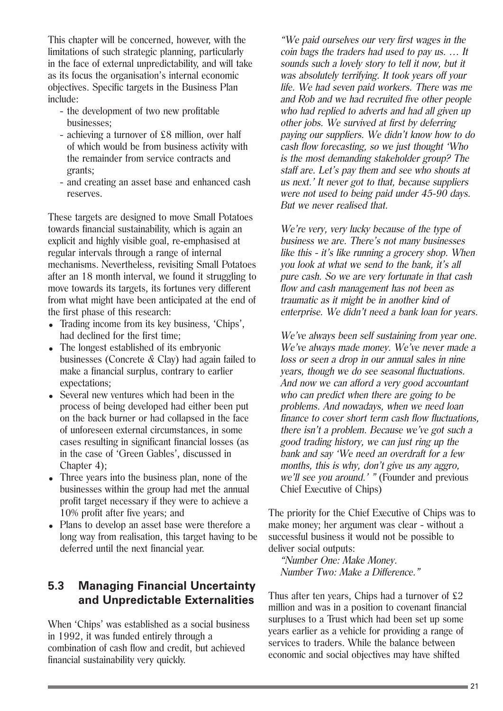This chapter will be concerned, however, with the limitations of such strategic planning, particularly in the face of external unpredictability, and will take as its focus the organisation's internal economic objectives. Specific targets in the Business Plan include:

- the development of two new profitable businesses;
- achieving a turnover of £8 million, over half of which would be from business activity with the remainder from service contracts and grants;
- and creating an asset base and enhanced cash reserves.

These targets are designed to move Small Potatoes towards financial sustainability, which is again an explicit and highly visible goal, re-emphasised at regular intervals through a range of internal mechanisms. Nevertheless, revisiting Small Potatoes after an 18 month interval, we found it struggling to move towards its targets, its fortunes very different from what might have been anticipated at the end of the first phase of this research:

- Trading income from its key business, 'Chips', had declined for the first time;
- The longest established of its embryonic businesses (Concrete & Clay) had again failed to make a financial surplus, contrary to earlier expectations;
- Several new ventures which had been in the process of being developed had either been put on the back burner or had collapsed in the face of unforeseen external circumstances, in some cases resulting in significant financial losses (as in the case of 'Green Gables', discussed in Chapter 4);
- Three years into the business plan, none of the businesses within the group had met the annual profit target necessary if they were to achieve a 10% profit after five years; and
- Plans to develop an asset base were therefore a long way from realisation, this target having to be deferred until the next financial year.

### **5.3 Managing Financial Uncertainty and Unpredictable Externalities**

When 'Chips' was established as a social business in 1992, it was funded entirely through a combination of cash flow and credit, but achieved financial sustainability very quickly.

"We paid ourselves our very first wages in the coin bags the traders had used to pay us. … It sounds such a lovely story to tell it now, but it was absolutely terrifying. It took years off your life. We had seven paid workers. There was me and Rob and we had recruited five other people who had replied to adverts and had all given up other jobs. We survived at first by deferring paying our suppliers. We didn't know how to do cash flow forecasting, so we just thought 'Who is the most demanding stakeholder group? The staff are. Let's pay them and see who shouts at us next.' It never got to that, because suppliers were not used to being paid under 45-90 days. But we never realised that.

We're very, very lucky because of the type of business we are. There's not many businesses like this - it's like running a grocery shop. When you look at what we send to the bank, it's all pure cash. So we are very fortunate in that cash flow and cash management has not been as traumatic as it might be in another kind of enterprise. We didn't need a bank loan for years.

We've always been self sustaining from year one. We've always made money. We've never made a loss or seen a drop in our annual sales in nine years, though we do see seasonal fluctuations. And now we can afford a very good accountant who can predict when there are going to be problems. And nowadays, when we need loan finance to cover short term cash flow fluctuations, there isn't a problem. Because we've got such a good trading history, we can just ring up the bank and say 'We need an overdraft for a few months, this is why, don't give us any aggro, we'll see you around.' " (Founder and previous Chief Executive of Chips)

The priority for the Chief Executive of Chips was to make money; her argument was clear - without a successful business it would not be possible to deliver social outputs:

"Number One: Make Money. Number Two: Make a Difference."

Thus after ten years, Chips had a turnover of £2 million and was in a position to covenant financial surpluses to a Trust which had been set up some years earlier as a vehicle for providing a range of services to traders. While the balance between economic and social objectives may have shifted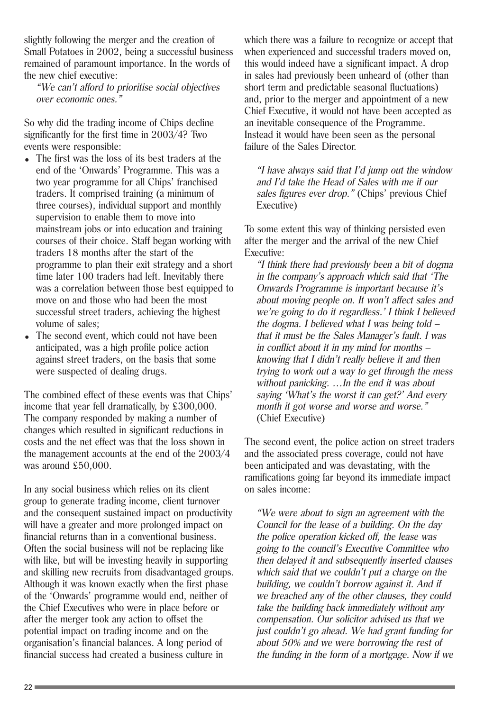slightly following the merger and the creation of Small Potatoes in 2002, being a successful business remained of paramount importance. In the words of the new chief executive:

"We can't afford to prioritise social objectives over economic ones."

So why did the trading income of Chips decline significantly for the first time in 2003/4? Two events were responsible:

- The first was the loss of its best traders at the end of the 'Onwards' Programme. This was a two year programme for all Chips' franchised traders. It comprised training (a minimum of three courses), individual support and monthly supervision to enable them to move into mainstream jobs or into education and training courses of their choice. Staff began working with traders 18 months after the start of the programme to plan their exit strategy and a short time later 100 traders had left. Inevitably there was a correlation between those best equipped to move on and those who had been the most successful street traders, achieving the highest volume of sales;
- The second event, which could not have been anticipated, was a high profile police action against street traders, on the basis that some were suspected of dealing drugs.

The combined effect of these events was that Chips' income that year fell dramatically, by £300,000. The company responded by making a number of changes which resulted in significant reductions in costs and the net effect was that the loss shown in the management accounts at the end of the 2003/4 was around £50,000.

In any social business which relies on its client group to generate trading income, client turnover and the consequent sustained impact on productivity will have a greater and more prolonged impact on financial returns than in a conventional business. Often the social business will not be replacing like with like, but will be investing heavily in supporting and skilling new recruits from disadvantaged groups. Although it was known exactly when the first phase of the 'Onwards' programme would end, neither of the Chief Executives who were in place before or after the merger took any action to offset the potential impact on trading income and on the organisation's financial balances. A long period of financial success had created a business culture in

which there was a failure to recognize or accept that when experienced and successful traders moved on, this would indeed have a significant impact. A drop in sales had previously been unheard of (other than short term and predictable seasonal fluctuations) and, prior to the merger and appointment of a new Chief Executive, it would not have been accepted as an inevitable consequence of the Programme. Instead it would have been seen as the personal failure of the Sales Director.

"I have always said that I'd jump out the window and I'd take the Head of Sales with me if our sales figures ever drop." (Chips' previous Chief Executive)

To some extent this way of thinking persisted even after the merger and the arrival of the new Chief Executive:

"I think there had previously been a bit of dogma in the company's approach which said that 'The Onwards Programme is important because it's about moving people on. It won't affect sales and we're going to do it regardless.' I think I believed the dogma. I believed what I was being told – that it must be the Sales Manager's fault. I was in conflict about it in my mind for months – knowing that I didn't really believe it and then trying to work out a way to get through the mess without panicking. ... In the end it was about saying 'What's the worst it can get?' And every month it got worse and worse and worse." (Chief Executive)

The second event, the police action on street traders and the associated press coverage, could not have been anticipated and was devastating, with the ramifications going far beyond its immediate impact on sales income:

"We were about to sign an agreement with the Council for the lease of a building. On the day the police operation kicked off, the lease was going to the council's Executive Committee who then delayed it and subsequently inserted clauses which said that we couldn't put a charge on the building, we couldn't borrow against it. And if we breached any of the other clauses, they could take the building back immediately without any compensation. Our solicitor advised us that we just couldn't go ahead. We had grant funding for about 50% and we were borrowing the rest of the funding in the form of a mortgage. Now if we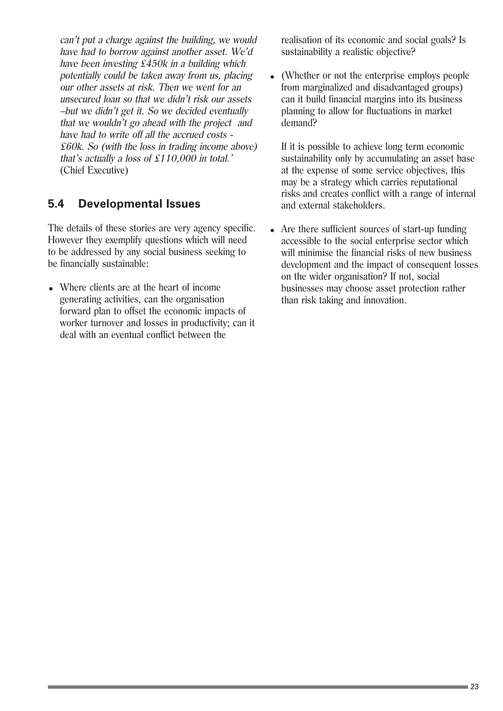can't put a charge against the building, we would have had to borrow against another asset. We'd have been investing  $\overline{\mathcal{E}}$ 450k in a building which potentially could be taken away from us, placing our other assets at risk. Then we went for an unsecured loan so that we didn't risk our assets –but we didn't get it. So we decided eventually that we wouldn't go ahead with the project and have had to write off all the accrued costs - £60k. So (with the loss in trading income above) that's actually a loss of £110,000 in total.' (Chief Executive)

### **5.4 Developmental Issues**

The details of these stories are very agency specific. However they exemplify questions which will need to be addressed by any social business seeking to be financially sustainable:

• Where clients are at the heart of income generating activities, can the organisation forward plan to offset the economic impacts of worker turnover and losses in productivity; can it deal with an eventual conflict between the

realisation of its economic and social goals? Is sustainability a realistic objective?

• (Whether or not the enterprise employs people from marginalized and disadvantaged groups) can it build financial margins into its business planning to allow for fluctuations in market demand?

If it is possible to achieve long term economic sustainability only by accumulating an asset base at the expense of some service objectives, this may be a strategy which carries reputational risks and creates conflict with a range of internal and external stakeholders.

• Are there sufficient sources of start-up funding accessible to the social enterprise sector which will minimise the financial risks of new business development and the impact of consequent losses on the wider organisation? If not, social businesses may choose asset protection rather than risk taking and innovation.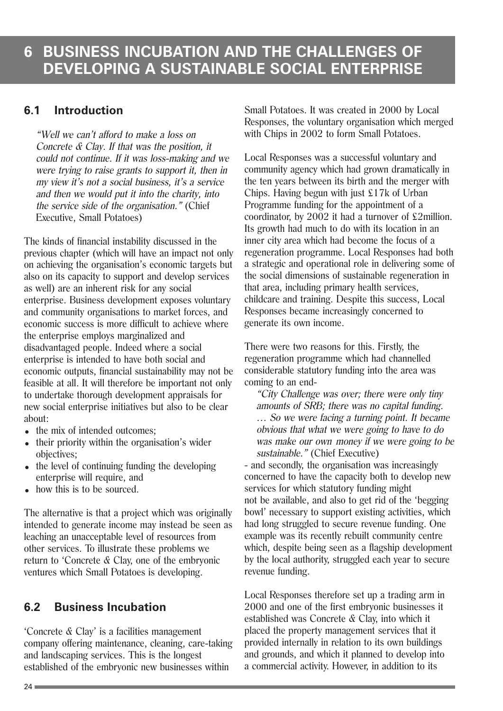### **6.1 Introduction**

"Well we can't afford to make a loss on Concrete & Clay. If that was the position, it could not continue. If it was loss-making and we were trying to raise grants to support it, then in my view it's not a social business, it's a service and then we would put it into the charity, into the service side of the organisation." (Chief Executive, Small Potatoes)

The kinds of financial instability discussed in the previous chapter (which will have an impact not only on achieving the organisation's economic targets but also on its capacity to support and develop services as well) are an inherent risk for any social enterprise. Business development exposes voluntary and community organisations to market forces, and economic success is more difficult to achieve where the enterprise employs marginalized and disadvantaged people. Indeed where a social enterprise is intended to have both social and economic outputs, financial sustainability may not be feasible at all. It will therefore be important not only to undertake thorough development appraisals for new social enterprise initiatives but also to be clear about:

- the mix of intended outcomes:
- their priority within the organisation's wider objectives;
- $\bullet$  the level of continuing funding the developing enterprise will require, and
- how this is to be sourced.

The alternative is that a project which was originally intended to generate income may instead be seen as leaching an unacceptable level of resources from other services. To illustrate these problems we return to 'Concrete & Clay, one of the embryonic ventures which Small Potatoes is developing.

### **6.2 Business Incubation**

'Concrete & Clay' is a facilities management company offering maintenance, cleaning, care-taking and landscaping services. This is the longest established of the embryonic new businesses within

Small Potatoes. It was created in 2000 by Local Responses, the voluntary organisation which merged with Chips in 2002 to form Small Potatoes.

Local Responses was a successful voluntary and community agency which had grown dramatically in the ten years between its birth and the merger with Chips. Having begun with just £17k of Urban Programme funding for the appointment of a coordinator, by 2002 it had a turnover of £2million. Its growth had much to do with its location in an inner city area which had become the focus of a regeneration programme. Local Responses had both a strategic and operational role in delivering some of the social dimensions of sustainable regeneration in that area, including primary health services, childcare and training. Despite this success, Local Responses became increasingly concerned to generate its own income.

There were two reasons for this. Firstly, the regeneration programme which had channelled considerable statutory funding into the area was coming to an end-

"City Challenge was over; there were only tiny amounts of SRB; there was no capital funding. … So we were facing a turning point. It became obvious that what we were going to have to do was make our own money if we were going to be sustainable." (Chief Executive)

- and secondly, the organisation was increasingly concerned to have the capacity both to develop new services for which statutory funding might not be available, and also to get rid of the 'begging bowl' necessary to support existing activities, which had long struggled to secure revenue funding. One example was its recently rebuilt community centre which, despite being seen as a flagship development by the local authority, struggled each year to secure revenue funding.

Local Responses therefore set up a trading arm in 2000 and one of the first embryonic businesses it established was Concrete & Clay, into which it placed the property management services that it provided internally in relation to its own buildings and grounds, and which it planned to develop into a commercial activity. However, in addition to its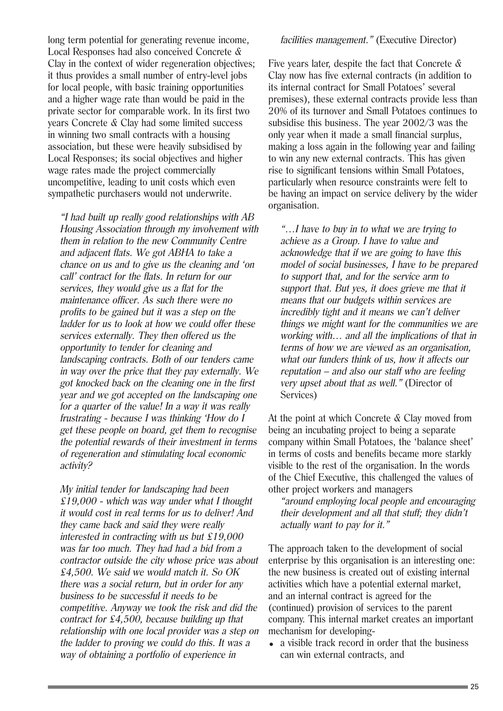long term potential for generating revenue income, Local Responses had also conceived Concrete & Clay in the context of wider regeneration objectives; it thus provides a small number of entry-level jobs for local people, with basic training opportunities and a higher wage rate than would be paid in the private sector for comparable work. In its first two years Concrete & Clay had some limited success in winning two small contracts with a housing association, but these were heavily subsidised by Local Responses; its social objectives and higher wage rates made the project commercially uncompetitive, leading to unit costs which even sympathetic purchasers would not underwrite.

"I had built up really good relationships with AB Housing Association through my involvement with them in relation to the new Community Centre and adjacent flats. We got ABHA to take a chance on us and to give us the cleaning and 'on call' contract for the flats. In return for our services, they would give us a flat for the maintenance officer. As such there were no profits to be gained but it was a step on the ladder for us to look at how we could offer these services externally. They then offered us the opportunity to tender for cleaning and landscaping contracts. Both of our tenders came in way over the price that they pay externally. We got knocked back on the cleaning one in the first year and we got accepted on the landscaping one for a quarter of the value! In a way it was really frustrating - because I was thinking 'How do I get these people on board, get them to recognise the potential rewards of their investment in terms of regeneration and stimulating local economic activity?

My initial tender for landscaping had been  $£19,000$  - which was way under what I thought it would cost in real terms for us to deliver! And they came back and said they were really interested in contracting with us but  $£19,000$ was far too much. They had had a bid from a contractor outside the city whose price was about £4,500. We said we would match it. So OK there was a social return, but in order for any business to be successful it needs to be competitive. Anyway we took the risk and did the contract for £4,500, because building up that relationship with one local provider was a step on the ladder to proving we could do this. It was a way of obtaining a portfolio of experience in

#### facilities management." (Executive Director)

Five years later, despite the fact that Concrete  $\&$ Clay now has five external contracts (in addition to its internal contract for Small Potatoes' several premises), these external contracts provide less than 20% of its turnover and Small Potatoes continues to subsidise this business. The year 2002/3 was the only year when it made a small financial surplus, making a loss again in the following year and failing to win any new external contracts. This has given rise to significant tensions within Small Potatoes, particularly when resource constraints were felt to be having an impact on service delivery by the wider organisation.

"…I have to buy in to what we are trying to achieve as a Group. I have to value and acknowledge that if we are going to have this model of social businesses, I have to be prepared to support that, and for the service arm to support that. But yes, it does grieve me that it means that our budgets within services are incredibly tight and it means we can't deliver things we might want for the communities we are working with… and all the implications of that in terms of how we are viewed as an organisation, what our funders think of us, how it affects our reputation – and also our staff who are feeling very upset about that as well." (Director of Services)

At the point at which Concrete & Clay moved from being an incubating project to being a separate company within Small Potatoes, the 'balance sheet' in terms of costs and benefits became more starkly visible to the rest of the organisation. In the words of the Chief Executive, this challenged the values of other project workers and managers

"around employing local people and encouraging their development and all that stuff; they didn't actually want to pay for it."

The approach taken to the development of social enterprise by this organisation is an interesting one: the new business is created out of existing internal activities which have a potential external market, and an internal contract is agreed for the (continued) provision of services to the parent company. This internal market creates an important mechanism for developing-

 $\bullet$  a visible track record in order that the business can win external contracts, and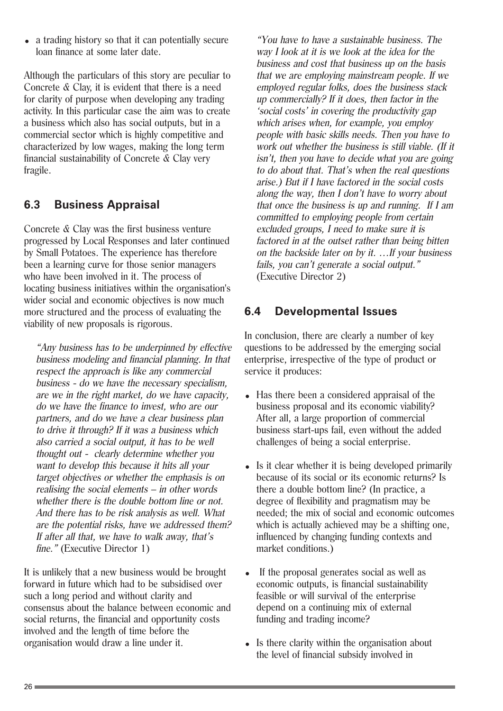<sup>=</sup> a trading history so that it can potentially secure loan finance at some later date.

Although the particulars of this story are peculiar to Concrete & Clay, it is evident that there is a need for clarity of purpose when developing any trading activity. In this particular case the aim was to create a business which also has social outputs, but in a commercial sector which is highly competitive and characterized by low wages, making the long term financial sustainability of Concrete & Clay very fragile.

#### **6.3 Business Appraisal**

Concrete & Clay was the first business venture progressed by Local Responses and later continued by Small Potatoes. The experience has therefore been a learning curve for those senior managers who have been involved in it. The process of locating business initiatives within the organisation's wider social and economic objectives is now much more structured and the process of evaluating the viability of new proposals is rigorous.

"Any business has to be underpinned by effective business modeling and financial planning. In that respect the approach is like any commercial business - do we have the necessary specialism, are we in the right market, do we have capacity, do we have the finance to invest, who are our partners, and do we have a clear business plan to drive it through? If it was a business which also carried a social output, it has to be well thought out - clearly determine whether you want to develop this because it hits all your target objectives or whether the emphasis is on realising the social elements – in other words whether there is the double bottom line or not. And there has to be risk analysis as well. What are the potential risks, have we addressed them? If after all that, we have to walk away, that's fine." (Executive Director 1)

It is unlikely that a new business would be brought forward in future which had to be subsidised over such a long period and without clarity and consensus about the balance between economic and social returns, the financial and opportunity costs involved and the length of time before the organisation would draw a line under it.

"You have to have a sustainable business. The way I look at it is we look at the idea for the business and cost that business up on the basis that we are employing mainstream people. If we employed regular folks, does the business stack up commercially? If it does, then factor in the 'social costs' in covering the productivity gap which arises when, for example, you employ people with basic skills needs. Then you have to work out whether the business is still viable. (If it isn't, then you have to decide what you are going to do about that. That's when the real questions arise.) But if I have factored in the social costs along the way, then I don't have to worry about that once the business is up and running. If I am committed to employing people from certain excluded groups, I need to make sure it is factored in at the outset rather than being bitten on the backside later on by it. …If your business fails, you can't generate a social output." (Executive Director 2)

### **6.4 Developmental Issues**

In conclusion, there are clearly a number of key questions to be addressed by the emerging social enterprise, irrespective of the type of product or service it produces:

- Has there been a considered appraisal of the business proposal and its economic viability? After all, a large proportion of commercial business start-ups fail, even without the added challenges of being a social enterprise.
- Is it clear whether it is being developed primarily because of its social or its economic returns? Is there a double bottom line? (In practice, a degree of flexibility and pragmatism may be needed; the mix of social and economic outcomes which is actually achieved may be a shifting one, influenced by changing funding contexts and market conditions.)
- If the proposal generates social as well as economic outputs, is financial sustainability feasible or will survival of the enterprise depend on a continuing mix of external funding and trading income?
- $\bullet$  Is there clarity within the organisation about the level of financial subsidy involved in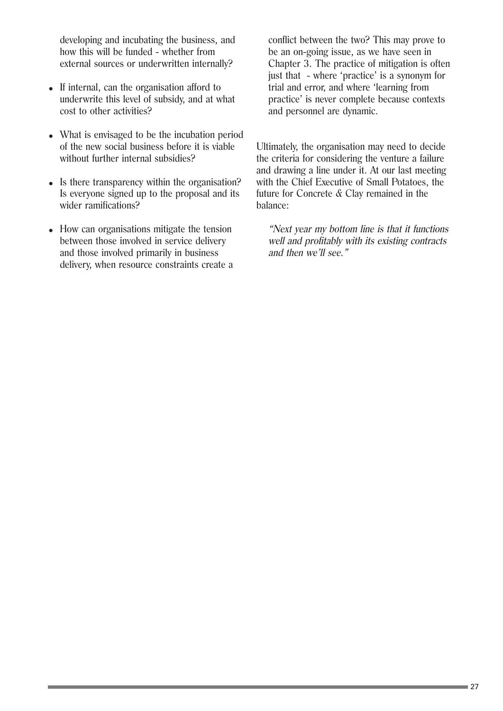developing and incubating the business, and how this will be funded - whether from external sources or underwritten internally?

- If internal, can the organisation afford to underwrite this level of subsidy, and at what cost to other activities?
- What is envisaged to be the incubation period of the new social business before it is viable without further internal subsidies?
- Is there transparency within the organisation? Is everyone signed up to the proposal and its wider ramifications?
- How can organisations mitigate the tension between those involved in service delivery and those involved primarily in business delivery, when resource constraints create a

conflict between the two? This may prove to be an on-going issue, as we have seen in Chapter 3. The practice of mitigation is often just that - where 'practice' is a synonym for trial and error, and where 'learning from practice' is never complete because contexts and personnel are dynamic.

Ultimately, the organisation may need to decide the criteria for considering the venture a failure and drawing a line under it. At our last meeting with the Chief Executive of Small Potatoes, the future for Concrete & Clay remained in the balance:

"Next year my bottom line is that it functions well and profitably with its existing contracts and then we'll see."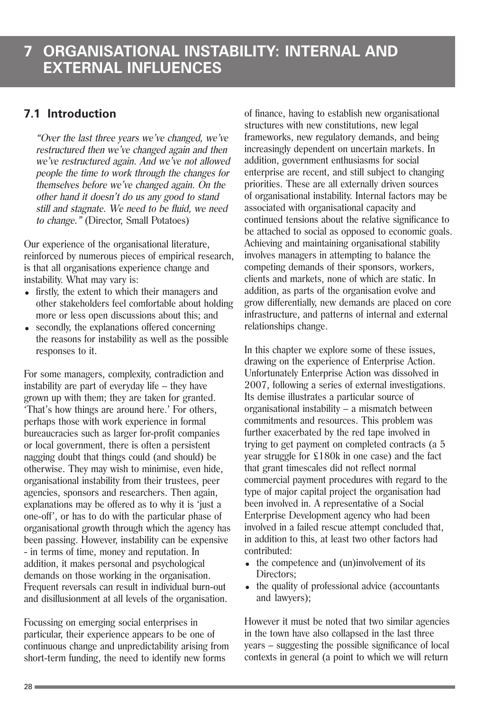### **7.1 Introduction**

"Over the last three years we've changed, we've restructured then we've changed again and then we've restructured again. And we've not allowed people the time to work through the changes for themselves before we've changed again. On the other hand it doesn't do us any good to stand still and stagnate. We need to be fluid, we need to change." (Director, Small Potatoes)

Our experience of the organisational literature, reinforced by numerous pieces of empirical research, is that all organisations experience change and instability. What may vary is:

- firstly, the extent to which their managers and other stakeholders feel comfortable about holding more or less open discussions about this; and
- secondly, the explanations offered concerning the reasons for instability as well as the possible responses to it.

For some managers, complexity, contradiction and instability are part of everyday life – they have grown up with them; they are taken for granted. 'That's how things are around here.' For others, perhaps those with work experience in formal bureaucracies such as larger for-profit companies or local government, there is often a persistent nagging doubt that things could (and should) be otherwise. They may wish to minimise, even hide, organisational instability from their trustees, peer agencies, sponsors and researchers. Then again, explanations may be offered as to why it is 'just a one-off', or has to do with the particular phase of organisational growth through which the agency has been passing. However, instability can be expensive - in terms of time, money and reputation. In addition, it makes personal and psychological demands on those working in the organisation. Frequent reversals can result in individual burn-out and disillusionment at all levels of the organisation.

Focussing on emerging social enterprises in particular, their experience appears to be one of continuous change and unpredictability arising from short-term funding, the need to identify new forms

of finance, having to establish new organisational structures with new constitutions, new legal frameworks, new regulatory demands, and being increasingly dependent on uncertain markets. In addition, government enthusiasms for social enterprise are recent, and still subject to changing priorities. These are all externally driven sources of organisational instability. Internal factors may be associated with organisational capacity and continued tensions about the relative significance to be attached to social as opposed to economic goals. Achieving and maintaining organisational stability involves managers in attempting to balance the competing demands of their sponsors, workers, clients and markets, none of which are static. In addition, as parts of the organisation evolve and grow differentially, new demands are placed on core infrastructure, and patterns of internal and external relationships change.

In this chapter we explore some of these issues, drawing on the experience of Enterprise Action. Unfortunately Enterprise Action was dissolved in 2007, following a series of external investigations. Its demise illustrates a particular source of organisational instability – a mismatch between commitments and resources. This problem was further exacerbated by the red tape involved in trying to get payment on completed contracts (a 5 year struggle for £180k in one case) and the fact that grant timescales did not reflect normal commercial payment procedures with regard to the type of major capital project the organisation had been involved in. A representative of a Social Enterprise Development agency who had been involved in a failed rescue attempt concluded that, in addition to this, at least two other factors had contributed:

- $\bullet$  the competence and (un)involvement of its Directors;
- $\bullet$  the quality of professional advice (accountants and lawyers);

However it must be noted that two similar agencies in the town have also collapsed in the last three years – suggesting the possible significance of local contexts in general (a point to which we will return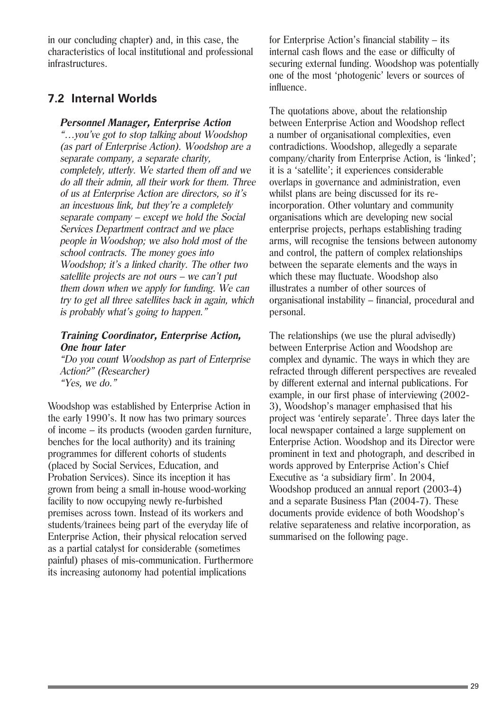in our concluding chapter) and, in this case, the characteristics of local institutional and professional infrastructures.

#### **7.2 Internal Worlds**

#### **Personnel Manager, Enterprise Action**

"…you've got to stop talking about Woodshop (as part of Enterprise Action). Woodshop are a separate company, a separate charity, completely, utterly. We started them off and we do all their admin, all their work for them. Three of us at Enterprise Action are directors, so it's an incestuous link, but they're a completely separate company – except we hold the Social Services Department contract and we place people in Woodshop; we also hold most of the school contracts. The money goes into Woodshop; it's a linked charity. The other two satellite projects are not ours – we can't put them down when we apply for funding. We can try to get all three satellites back in again, which is probably what's going to happen."

#### **Training Coordinator, Enterprise Action, One hour later**

"Do you count Woodshop as part of Enterprise Action?" (Researcher) "Yes, we do."

Woodshop was established by Enterprise Action in the early 1990's. It now has two primary sources of income – its products (wooden garden furniture, benches for the local authority) and its training programmes for different cohorts of students (placed by Social Services, Education, and Probation Services). Since its inception it has grown from being a small in-house wood-working facility to now occupying newly re-furbished premises across town. Instead of its workers and students/trainees being part of the everyday life of Enterprise Action, their physical relocation served as a partial catalyst for considerable (sometimes painful) phases of mis-communication. Furthermore its increasing autonomy had potential implications

for Enterprise Action's financial stability – its internal cash flows and the ease or difficulty of securing external funding. Woodshop was potentially one of the most 'photogenic' levers or sources of influence.

The quotations above, about the relationship between Enterprise Action and Woodshop reflect a number of organisational complexities, even contradictions. Woodshop, allegedly a separate company/charity from Enterprise Action, is 'linked'; it is a 'satellite'; it experiences considerable overlaps in governance and administration, even whilst plans are being discussed for its reincorporation. Other voluntary and community organisations which are developing new social enterprise projects, perhaps establishing trading arms, will recognise the tensions between autonomy and control, the pattern of complex relationships between the separate elements and the ways in which these may fluctuate. Woodshop also illustrates a number of other sources of organisational instability – financial, procedural and personal.

The relationships (we use the plural advisedly) between Enterprise Action and Woodshop are complex and dynamic. The ways in which they are refracted through different perspectives are revealed by different external and internal publications. For example, in our first phase of interviewing (2002- 3), Woodshop's manager emphasised that his project was 'entirely separate'. Three days later the local newspaper contained a large supplement on Enterprise Action. Woodshop and its Director were prominent in text and photograph, and described in words approved by Enterprise Action's Chief Executive as 'a subsidiary firm'. In 2004, Woodshop produced an annual report (2003-4) and a separate Business Plan (2004-7). These documents provide evidence of both Woodshop's relative separateness and relative incorporation, as summarised on the following page.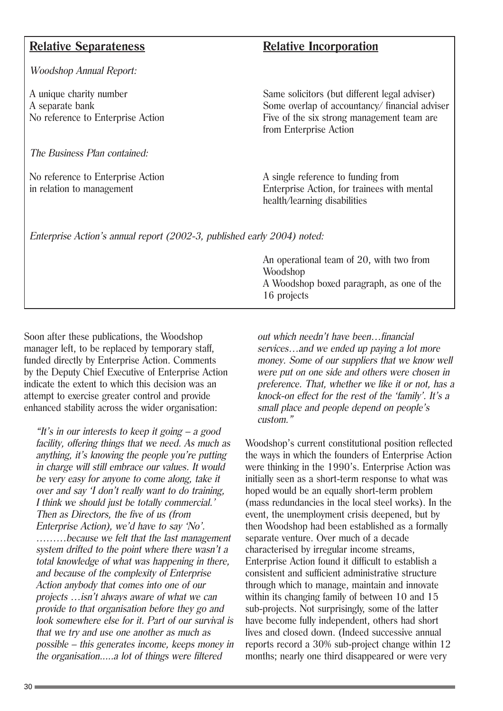#### **Relative Separateness Relative Incorporation**

Woodshop Annual Report:

The Business Plan contained:

A unique charity number<br>
A separate bank<br>
A separate bank<br>
Some overlap of accountancy/financial adviser) Some overlap of accountancy/ financial adviser No reference to Enterprise Action Five of the six strong management team are from Enterprise Action

No reference to Enterprise Action A single reference to funding from in relation to management Enterprise Action, for trainees with mental health/learning disabilities

Enterprise Action's annual report (2002-3, published early 2004) noted:

An operational team of 20, with two from Woodshop A Woodshop boxed paragraph, as one of the 16 projects

Soon after these publications, the Woodshop manager left, to be replaced by temporary staff, funded directly by Enterprise Action. Comments by the Deputy Chief Executive of Enterprise Action indicate the extent to which this decision was an attempt to exercise greater control and provide enhanced stability across the wider organisation:

"It's in our interests to keep it going  $- a$  good facility, offering things that we need. As much as anything, it's knowing the people you're putting in charge will still embrace our values. It would be very easy for anyone to come along, take it over and say 'I don't really want to do training, I think we should just be totally commercial.' Then as Directors, the five of us (from Enterprise Action), we'd have to say 'No'. ………because we felt that the last management system drifted to the point where there wasn't a total knowledge of what was happening in there, and because of the complexity of Enterprise Action anybody that comes into one of our projects …isn't always aware of what we can provide to that organisation before they go and look somewhere else for it. Part of our survival is that we try and use one another as much as possible – this generates income, keeps money in the organisation.....a lot of things were filtered

out which needn't have been…financial services…and we ended up paying a lot more money. Some of our suppliers that we know well were put on one side and others were chosen in preference. That, whether we like it or not, has a knock-on effect for the rest of the 'family'. It's a small place and people depend on people's custom."

Woodshop's current constitutional position reflected the ways in which the founders of Enterprise Action were thinking in the 1990's. Enterprise Action was initially seen as a short-term response to what was hoped would be an equally short-term problem (mass redundancies in the local steel works). In the event, the unemployment crisis deepened, but by then Woodshop had been established as a formally separate venture. Over much of a decade characterised by irregular income streams, Enterprise Action found it difficult to establish a consistent and sufficient administrative structure through which to manage, maintain and innovate within its changing family of between 10 and 15 sub-projects. Not surprisingly, some of the latter have become fully independent, others had short lives and closed down. (Indeed successive annual reports record a 30% sub-project change within 12 months; nearly one third disappeared or were very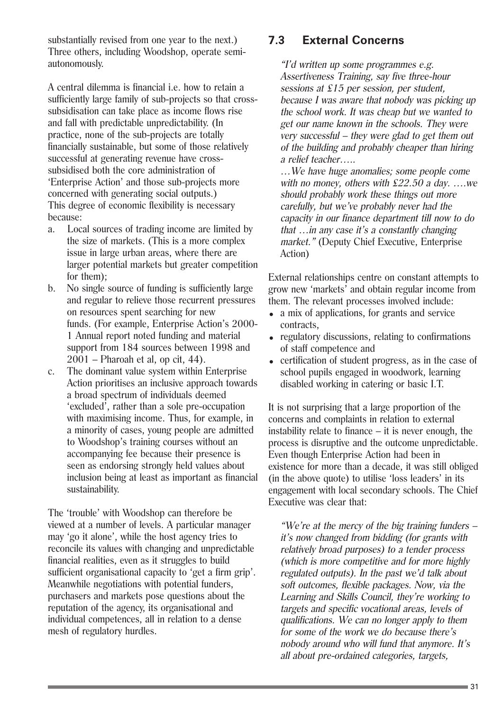substantially revised from one year to the next.) Three others, including Woodshop, operate semiautonomously.

A central dilemma is financial i.e. how to retain a sufficiently large family of sub-projects so that crosssubsidisation can take place as income flows rise and fall with predictable unpredictability. (In practice, none of the sub-projects are totally financially sustainable, but some of those relatively successful at generating revenue have crosssubsidised both the core administration of 'Enterprise Action' and those sub-projects more concerned with generating social outputs.) This degree of economic flexibility is necessary because:

- a. Local sources of trading income are limited by the size of markets. (This is a more complex issue in large urban areas, where there are larger potential markets but greater competition for them);
- b. No single source of funding is sufficiently large and regular to relieve those recurrent pressures on resources spent searching for new funds. (For example, Enterprise Action's 2000- 1 Annual report noted funding and material support from 184 sources between 1998 and 2001 – Pharoah et al, op cit, 44).
- c. The dominant value system within Enterprise Action prioritises an inclusive approach towards a broad spectrum of individuals deemed 'excluded', rather than a sole pre-occupation with maximising income. Thus, for example, in a minority of cases, young people are admitted to Woodshop's training courses without an accompanying fee because their presence is seen as endorsing strongly held values about inclusion being at least as important as financial sustainability.

The 'trouble' with Woodshop can therefore be viewed at a number of levels. A particular manager may 'go it alone', while the host agency tries to reconcile its values with changing and unpredictable financial realities, even as it struggles to build sufficient organisational capacity to 'get a firm grip'. Meanwhile negotiations with potential funders, purchasers and markets pose questions about the reputation of the agency, its organisational and individual competences, all in relation to a dense mesh of regulatory hurdles.

### **7.3 External Concerns**

"I'd written up some programmes e.g. Assertiveness Training, say five three-hour sessions at £15 per session, per student, because I was aware that nobody was picking up the school work. It was cheap but we wanted to get our name known in the schools. They were very successful – they were glad to get them out of the building and probably cheaper than hiring a relief teacher…..

…We have huge anomalies; some people come with no money, others with  $£22.50$  a day. ... we should probably work these things out more carefully, but we've probably never had the capacity in our finance department till now to do that …in any case it's a constantly changing market." (Deputy Chief Executive, Enterprise Action)

External relationships centre on constant attempts to grow new 'markets' and obtain regular income from them. The relevant processes involved include:

- a mix of applications, for grants and service contracts,
- regulatory discussions, relating to confirmations of staff competence and
- certification of student progress, as in the case of school pupils engaged in woodwork, learning disabled working in catering or basic I.T.

It is not surprising that a large proportion of the concerns and complaints in relation to external instability relate to finance – it is never enough, the process is disruptive and the outcome unpredictable. Even though Enterprise Action had been in existence for more than a decade, it was still obliged (in the above quote) to utilise 'loss leaders' in its engagement with local secondary schools. The Chief Executive was clear that:

"We're at the mercy of the big training funders  $$ it's now changed from bidding (for grants with relatively broad purposes) to a tender process (which is more competitive and for more highly regulated outputs). In the past we'd talk about soft outcomes, flexible packages. Now, via the Learning and Skills Council, they're working to targets and specific vocational areas, levels of qualifications. We can no longer apply to them for some of the work we do because there's nobody around who will fund that anymore. It's all about pre-ordained categories, targets,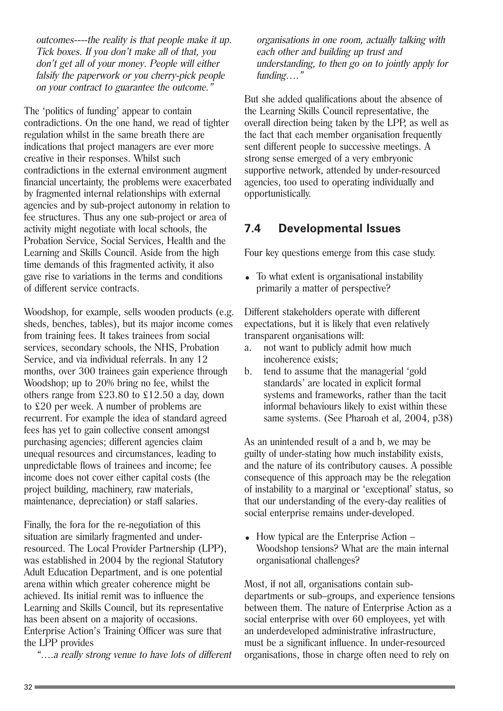outcomes----the reality is that people make it up. Tick boxes. If you don't make all of that, you don't get all of your money. People will either falsify the paperwork or you cherry-pick people on your contract to guarantee the outcome."

The 'politics of funding' appear to contain contradictions. On the one hand, we read of tighter regulation whilst in the same breath there are indications that project managers are ever more creative in their responses. Whilst such contradictions in the external environment augment financial uncertainty, the problems were exacerbated by fragmented internal relationships with external agencies and by sub-project autonomy in relation to fee structures. Thus any one sub-project or area of activity might negotiate with local schools, the Probation Service, Social Services, Health and the Learning and Skills Council. Aside from the high time demands of this fragmented activity, it also gave rise to variations in the terms and conditions of different service contracts.

Woodshop, for example, sells wooden products (e.g. sheds, benches, tables), but its major income comes from training fees. It takes trainees from social services, secondary schools, the NHS, Probation Service, and via individual referrals. In any 12 months, over 300 trainees gain experience through Woodshop; up to 20% bring no fee, whilst the others range from £23.80 to £12.50 a day, down to £20 per week. A number of problems are recurrent. For example the idea of standard agreed fees has yet to gain collective consent amongst purchasing agencies; different agencies claim unequal resources and circumstances, leading to unpredictable flows of trainees and income; fee income does not cover either capital costs (the project building, machinery, raw materials, maintenance, depreciation) or staff salaries.

Finally, the fora for the re-negotiation of this situation are similarly fragmented and underresourced. The Local Provider Partnership (LPP), was established in 2004 by the regional Statutory Adult Education Department, and is one potential arena within which greater coherence might be achieved. Its initial remit was to influence the Learning and Skills Council, but its representative has been absent on a majority of occasions. Enterprise Action's Training Officer was sure that the LPP provides

"….a really strong venue to have lots of different

organisations in one room, actually talking with each other and building up trust and understanding, to then go on to jointly apply for funding…."

But she added qualifications about the absence of the Learning Skills Council representative, the overall direction being taken by the LPP, as well as the fact that each member organisation frequently sent different people to successive meetings. A strong sense emerged of a very embryonic supportive network, attended by under-resourced agencies, too used to operating individually and opportunistically.

#### **7.4 Developmental Issues**

Four key questions emerge from this case study.

• To what extent is organisational instability primarily a matter of perspective?

Different stakeholders operate with different expectations, but it is likely that even relatively transparent organisations will:

- a. not want to publicly admit how much incoherence exists;
- b. tend to assume that the managerial 'gold standards' are located in explicit formal systems and frameworks, rather than the tacit informal behaviours likely to exist within these same systems. (See Pharoah et al, 2004, p38)

As an unintended result of a and b, we may be guilty of under-stating how much instability exists, and the nature of its contributory causes. A possible consequence of this approach may be the relegation of instability to a marginal or 'exceptional' status, so that our understanding of the every-day realities of social enterprise remains under-developed.

 $\bullet$  How typical are the Enterprise Action – Woodshop tensions? What are the main internal organisational challenges?

Most, if not all, organisations contain subdepartments or sub–groups, and experience tensions between them. The nature of Enterprise Action as a social enterprise with over 60 employees, yet with an underdeveloped administrative infrastructure, must be a significant influence. In under-resourced organisations, those in charge often need to rely on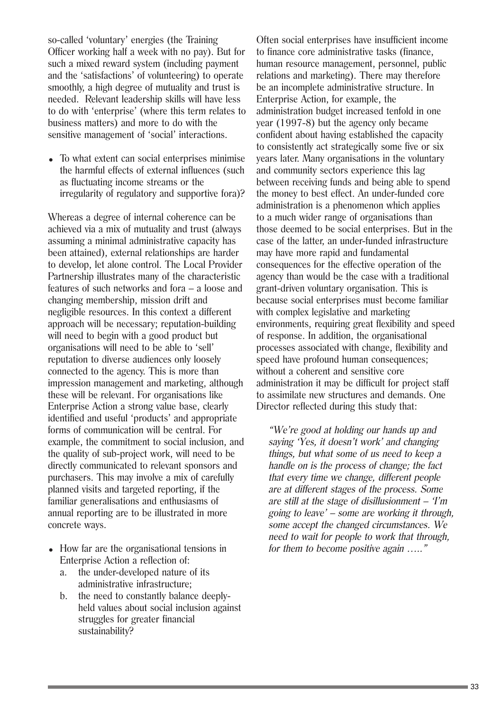so-called 'voluntary' energies (the Training Officer working half a week with no pay). But for such a mixed reward system (including payment and the 'satisfactions' of volunteering) to operate smoothly, a high degree of mutuality and trust is needed. Relevant leadership skills will have less to do with 'enterprise' (where this term relates to business matters) and more to do with the sensitive management of 'social' interactions.

• To what extent can social enterprises minimise the harmful effects of external influences (such as fluctuating income streams or the irregularity of regulatory and supportive fora)?

Whereas a degree of internal coherence can be achieved via a mix of mutuality and trust (always assuming a minimal administrative capacity has been attained), external relationships are harder to develop, let alone control. The Local Provider Partnership illustrates many of the characteristic features of such networks and fora – a loose and changing membership, mission drift and negligible resources. In this context a different approach will be necessary; reputation-building will need to begin with a good product but organisations will need to be able to 'sell' reputation to diverse audiences only loosely connected to the agency. This is more than impression management and marketing, although these will be relevant. For organisations like Enterprise Action a strong value base, clearly identified and useful 'products' and appropriate forms of communication will be central. For example, the commitment to social inclusion, and the quality of sub-project work, will need to be directly communicated to relevant sponsors and purchasers. This may involve a mix of carefully planned visits and targeted reporting, if the familiar generalisations and enthusiasms of annual reporting are to be illustrated in more concrete ways.

- How far are the organisational tensions in Enterprise Action a reflection of:
	- a. the under-developed nature of its administrative infrastructure;
	- b. the need to constantly balance deeplyheld values about social inclusion against struggles for greater financial sustainability?

Often social enterprises have insufficient income to finance core administrative tasks (finance, human resource management, personnel, public relations and marketing). There may therefore be an incomplete administrative structure. In Enterprise Action, for example, the administration budget increased tenfold in one year (1997-8) but the agency only became confident about having established the capacity to consistently act strategically some five or six years later. Many organisations in the voluntary and community sectors experience this lag between receiving funds and being able to spend the money to best effect. An under-funded core administration is a phenomenon which applies to a much wider range of organisations than those deemed to be social enterprises. But in the case of the latter, an under-funded infrastructure may have more rapid and fundamental consequences for the effective operation of the agency than would be the case with a traditional grant-driven voluntary organisation. This is because social enterprises must become familiar with complex legislative and marketing environments, requiring great flexibility and speed of response. In addition, the organisational processes associated with change, flexibility and speed have profound human consequences; without a coherent and sensitive core administration it may be difficult for project staff to assimilate new structures and demands. One Director reflected during this study that:

"We're good at holding our hands up and saying 'Yes, it doesn't work' and changing things, but what some of us need to keep a handle on is the process of change; the fact that every time we change, different people are at different stages of the process. Some are still at the stage of disillusionment  $-$  T'm going to leave' – some are working it through, some accept the changed circumstances. We need to wait for people to work that through, for them to become positive again ....."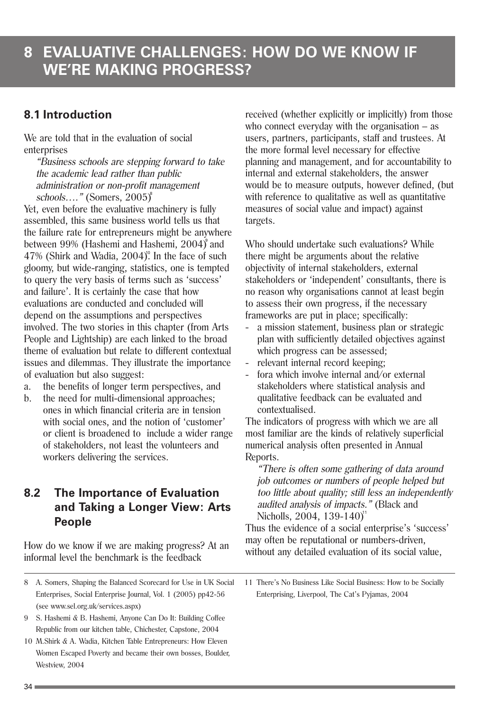### **8.1 Introduction**

We are told that in the evaluation of social enterprises

"Business schools are stepping forward to take the academic lead rather than public administration or non-profit management schools…." (Somers, 2005) 8

Yet, even before the evaluative machinery is fully assembled, this same business world tells us that the failure rate for entrepreneurs might be anywhere between 99% (Hashemi and Hashemi, 2004)<sup>9</sup> and  $47\%$  (Shirk and Wadia,  $2004$ )<sup>o</sup>. In the face of such gloomy, but wide-ranging, statistics, one is tempted to query the very basis of terms such as 'success' and failure'. It is certainly the case that how evaluations are conducted and concluded will depend on the assumptions and perspectives involved. The two stories in this chapter (from Arts People and Lightship) are each linked to the broad theme of evaluation but relate to different contextual issues and dilemmas. They illustrate the importance of evaluation but also suggest:

- a. the benefits of longer term perspectives, and
- b. the need for multi-dimensional approaches; ones in which financial criteria are in tension with social ones, and the notion of 'customer' or client is broadened to include a wider range of stakeholders, not least the volunteers and workers delivering the services.

### **8.2 The Importance of Evaluation and Taking a Longer View: Arts People**

How do we know if we are making progress? At an informal level the benchmark is the feedback

8 A. Somers, Shaping the Balanced Scorecard for Use in UK Social Enterprises, Social Enterprise Journal, Vol. 1 (2005) pp42-56 (see www.sel.org.uk/services.aspx)

- 9 S. Hashemi & B. Hashemi, Anyone Can Do It: Building Coffee Republic from our kitchen table, Chichester, Capstone, 2004
- 10 M.Shirk & A. Wadia, Kitchen Table Entrepreneurs: How Eleven Women Escaped Poverty and became their own bosses, Boulder, Westview, 2004

received (whether explicitly or implicitly) from those who connect everyday with the organisation – as users, partners, participants, staff and trustees. At the more formal level necessary for effective planning and management, and for accountability to internal and external stakeholders, the answer would be to measure outputs, however defined, (but with reference to qualitative as well as quantitative measures of social value and impact) against targets.

Who should undertake such evaluations? While there might be arguments about the relative objectivity of internal stakeholders, external stakeholders or 'independent' consultants, there is no reason why organisations cannot at least begin to assess their own progress, if the necessary frameworks are put in place; specifically:

- a mission statement, business plan or strategic plan with sufficiently detailed objectives against which progress can be assessed:
- relevant internal record keeping;
- fora which involve internal and/or external stakeholders where statistical analysis and qualitative feedback can be evaluated and contextualised.

The indicators of progress with which we are all most familiar are the kinds of relatively superficial numerical analysis often presented in Annual Reports.

"There is often some gathering of data around job outcomes or numbers of people helped but too little about quality; still less an independently audited analysis of impacts." (Black and Nicholls, 2004, 139-140)<sup>1</sup>

Thus the evidence of a social enterprise's 'success' may often be reputational or numbers-driven, without any detailed evaluation of its social value,

11 There's No Business Like Social Business: How to be Socially Enterprising, Liverpool, The Cat's Pyjamas, 2004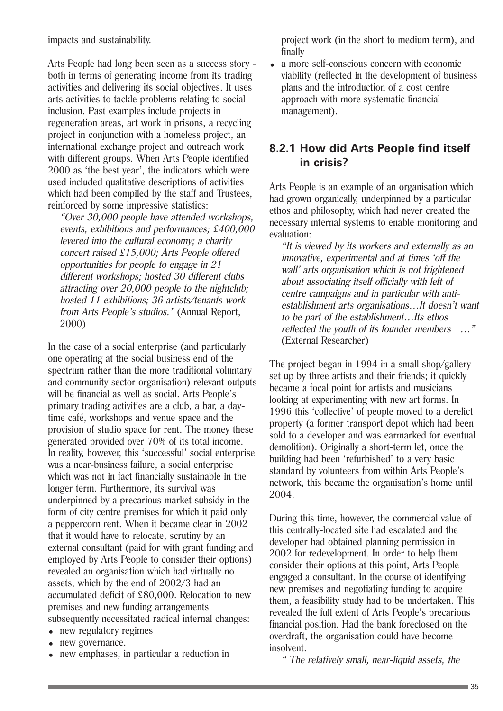impacts and sustainability.

Arts People had long been seen as a success story both in terms of generating income from its trading activities and delivering its social objectives. It uses arts activities to tackle problems relating to social inclusion. Past examples include projects in regeneration areas, art work in prisons, a recycling project in conjunction with a homeless project, an international exchange project and outreach work with different groups. When Arts People identified 2000 as 'the best year', the indicators which were used included qualitative descriptions of activities which had been compiled by the staff and Trustees, reinforced by some impressive statistics:

"Over 30,000 people have attended workshops, events, exhibitions and performances; £400,000 levered into the cultural economy; a charity concert raised £15,000; Arts People offered opportunities for people to engage in 21 different workshops; hosted 30 different clubs attracting over 20,000 people to the nightclub; hosted 11 exhibitions; 36 artists/tenants work from Arts People's studios." (Annual Report, 2000)

In the case of a social enterprise (and particularly one operating at the social business end of the spectrum rather than the more traditional voluntary and community sector organisation) relevant outputs will be financial as well as social. Arts People's primary trading activities are a club, a bar, a daytime café, workshops and venue space and the provision of studio space for rent. The money these generated provided over 70% of its total income. In reality, however, this 'successful' social enterprise was a near-business failure, a social enterprise which was not in fact financially sustainable in the longer term. Furthermore, its survival was underpinned by a precarious market subsidy in the form of city centre premises for which it paid only a peppercorn rent. When it became clear in 2002 that it would have to relocate, scrutiny by an external consultant (paid for with grant funding and employed by Arts People to consider their options) revealed an organisation which had virtually no assets, which by the end of 2002/3 had an accumulated deficit of £80,000. Relocation to new premises and new funding arrangements subsequently necessitated radical internal changes:

- new regulatory regimes
- new governance.
- <sup>=</sup> new emphases, in particular a reduction in

project work (in the short to medium term), and finally

• a more self-conscious concern with economic viability (reflected in the development of business plans and the introduction of a cost centre approach with more systematic financial management).

#### **8.2.1 How did Arts People find itself in crisis?**

Arts People is an example of an organisation which had grown organically, underpinned by a particular ethos and philosophy, which had never created the necessary internal systems to enable monitoring and evaluation:

"It is viewed by its workers and externally as an innovative, experimental and at times 'off the wall' arts organisation which is not frightened about associating itself officially with left of centre campaigns and in particular with antiestablishment arts organisations…It doesn't want to be part of the establishment…Its ethos reflected the youth of its founder members …" (External Researcher)

The project began in 1994 in a small shop/gallery set up by three artists and their friends; it quickly became a focal point for artists and musicians looking at experimenting with new art forms. In 1996 this 'collective' of people moved to a derelict property (a former transport depot which had been sold to a developer and was earmarked for eventual demolition). Originally a short-term let, once the building had been 'refurbished' to a very basic standard by volunteers from within Arts People's network, this became the organisation's home until 2004.

During this time, however, the commercial value of this centrally-located site had escalated and the developer had obtained planning permission in 2002 for redevelopment. In order to help them consider their options at this point, Arts People engaged a consultant. In the course of identifying new premises and negotiating funding to acquire them, a feasibility study had to be undertaken. This revealed the full extent of Arts People's precarious financial position. Had the bank foreclosed on the overdraft, the organisation could have become insolvent.

" The relatively small, near-liquid assets, the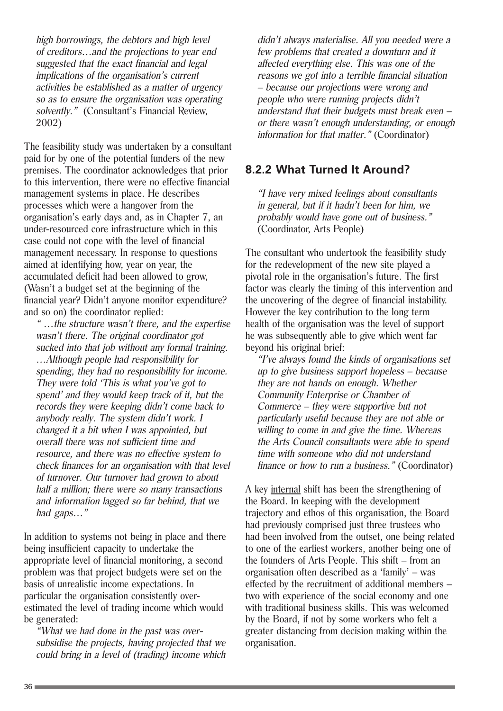high borrowings, the debtors and high level of creditors…and the projections to year end suggested that the exact financial and legal implications of the organisation's current activities be established as a matter of urgency so as to ensure the organisation was operating solvently." (Consultant's Financial Review, 2002)

The feasibility study was undertaken by a consultant paid for by one of the potential funders of the new premises. The coordinator acknowledges that prior to this intervention, there were no effective financial management systems in place. He describes processes which were a hangover from the organisation's early days and, as in Chapter 7, an under-resourced core infrastructure which in this case could not cope with the level of financial management necessary. In response to questions aimed at identifying how, year on year, the accumulated deficit had been allowed to grow, (Wasn't a budget set at the beginning of the financial year? Didn't anyone monitor expenditure? and so on) the coordinator replied:

" …the structure wasn't there, and the expertise wasn't there. The original coordinator got sucked into that job without any formal training. …Although people had responsibility for spending, they had no responsibility for income. They were told 'This is what you've got to spend' and they would keep track of it, but the records they were keeping didn't come back to anybody really. The system didn't work. I changed it a bit when I was appointed, but overall there was not sufficient time and resource, and there was no effective system to check finances for an organisation with that level of turnover. Our turnover had grown to about half a million; there were so many transactions and information lagged so far behind, that we had gaps…"

In addition to systems not being in place and there being insufficient capacity to undertake the appropriate level of financial monitoring, a second problem was that project budgets were set on the basis of unrealistic income expectations. In particular the organisation consistently overestimated the level of trading income which would be generated:

"What we had done in the past was oversubsidise the projects, having projected that we could bring in a level of (trading) income which didn't always materialise. All you needed were a few problems that created a downturn and it affected everything else. This was one of the reasons we got into a terrible financial situation – because our projections were wrong and people who were running projects didn't understand that their budgets must break even – or there wasn't enough understanding, or enough information for that matter." (Coordinator)

#### **8.2.2 What Turned It Around?**

"I have very mixed feelings about consultants in general, but if it hadn't been for him, we probably would have gone out of business." (Coordinator, Arts People)

The consultant who undertook the feasibility study for the redevelopment of the new site played a pivotal role in the organisation's future. The first factor was clearly the timing of this intervention and the uncovering of the degree of financial instability. However the key contribution to the long term health of the organisation was the level of support he was subsequently able to give which went far beyond his original brief:

"I've always found the kinds of organisations set up to give business support hopeless – because they are not hands on enough. Whether Community Enterprise or Chamber of Commerce – they were supportive but not particularly useful because they are not able or willing to come in and give the time. Whereas the Arts Council consultants were able to spend time with someone who did not understand finance or how to run a business." (Coordinator)

A key internal shift has been the strengthening of the Board. In keeping with the development trajectory and ethos of this organisation, the Board had previously comprised just three trustees who had been involved from the outset, one being related to one of the earliest workers, another being one of the founders of Arts People. This shift – from an organisation often described as a 'family' – was effected by the recruitment of additional members – two with experience of the social economy and one with traditional business skills. This was welcomed by the Board, if not by some workers who felt a greater distancing from decision making within the organisation.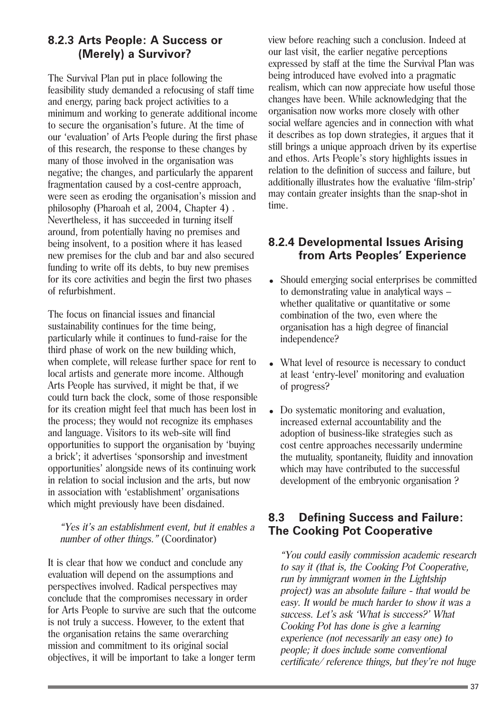#### **8.2.3 Arts People: A Success or (Merely) a Survivor?**

The Survival Plan put in place following the feasibility study demanded a refocusing of staff time and energy, paring back project activities to a minimum and working to generate additional income to secure the organisation's future. At the time of our 'evaluation' of Arts People during the first phase of this research, the response to these changes by many of those involved in the organisation was negative; the changes, and particularly the apparent fragmentation caused by a cost-centre approach, were seen as eroding the organisation's mission and philosophy (Pharoah et al, 2004, Chapter 4) . Nevertheless, it has succeeded in turning itself around, from potentially having no premises and being insolvent, to a position where it has leased new premises for the club and bar and also secured funding to write off its debts, to buy new premises for its core activities and begin the first two phases of refurbishment.

The focus on financial issues and financial sustainability continues for the time being, particularly while it continues to fund-raise for the third phase of work on the new building which, when complete, will release further space for rent to local artists and generate more income. Although Arts People has survived, it might be that, if we could turn back the clock, some of those responsible for its creation might feel that much has been lost in the process; they would not recognize its emphases and language. Visitors to its web-site will find opportunities to support the organisation by 'buying a brick'; it advertises 'sponsorship and investment opportunities' alongside news of its continuing work in relation to social inclusion and the arts, but now in association with 'establishment' organisations which might previously have been disdained.

#### "Yes it's an establishment event, but it enables a number of other things." (Coordinator)

It is clear that how we conduct and conclude any evaluation will depend on the assumptions and perspectives involved. Radical perspectives may conclude that the compromises necessary in order for Arts People to survive are such that the outcome is not truly a success. However, to the extent that the organisation retains the same overarching mission and commitment to its original social objectives, it will be important to take a longer term

view before reaching such a conclusion. Indeed at our last visit, the earlier negative perceptions expressed by staff at the time the Survival Plan was being introduced have evolved into a pragmatic realism, which can now appreciate how useful those changes have been. While acknowledging that the organisation now works more closely with other social welfare agencies and in connection with what it describes as top down strategies, it argues that it still brings a unique approach driven by its expertise and ethos. Arts People's story highlights issues in relation to the definition of success and failure, but additionally illustrates how the evaluative 'film-strip' may contain greater insights than the snap-shot in time.

#### **8.2.4 Developmental Issues Arising from Arts Peoples' Experience**

- Should emerging social enterprises be committed to demonstrating value in analytical ways – whether qualitative or quantitative or some combination of the two, even where the organisation has a high degree of financial independence?
- What level of resource is necessary to conduct at least 'entry-level' monitoring and evaluation of progress?
- Do systematic monitoring and evaluation, increased external accountability and the adoption of business-like strategies such as cost centre approaches necessarily undermine the mutuality, spontaneity, fluidity and innovation which may have contributed to the successful development of the embryonic organisation ?

#### **8.3 Defining Success and Failure: The Cooking Pot Cooperative**

"You could easily commission academic research to say it (that is, the Cooking Pot Cooperative, run by immigrant women in the Lightship project) was an absolute failure - that would be easy. It would be much harder to show it was a success. Let's ask 'What is success?' What Cooking Pot has done is give a learning experience (not necessarily an easy one) to people; it does include some conventional certificate/ reference things, but they're not huge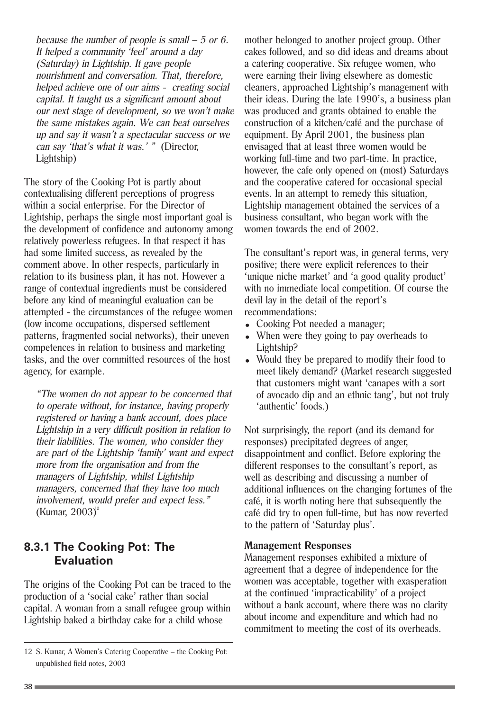because the number of people is small – 5 or 6. It helped a community 'feel' around a day (Saturday) in Lightship. It gave people nourishment and conversation. That, therefore, helped achieve one of our aims - creating social capital. It taught us a significant amount about our next stage of development, so we won't make the same mistakes again. We can beat ourselves up and say it wasn't a spectacular success or we can say 'that's what it was.' " (Director, Lightship)

The story of the Cooking Pot is partly about contextualising different perceptions of progress within a social enterprise. For the Director of Lightship, perhaps the single most important goal is the development of confidence and autonomy among relatively powerless refugees. In that respect it has had some limited success, as revealed by the comment above. In other respects, particularly in relation to its business plan, it has not. However a range of contextual ingredients must be considered before any kind of meaningful evaluation can be attempted - the circumstances of the refugee women (low income occupations, dispersed settlement patterns, fragmented social networks), their uneven competences in relation to business and marketing tasks, and the over committed resources of the host agency, for example.

"The women do not appear to be concerned that to operate without, for instance, having properly registered or having a bank account, does place Lightship in a very difficult position in relation to their liabilities. The women, who consider they are part of the Lightship 'family' want and expect more from the organisation and from the managers of Lightship, whilst Lightship managers, concerned that they have too much involvement, would prefer and expect less." (Kumar, 2003)<sup>12</sup>

#### **8.3.1 The Cooking Pot: The Evaluation**

The origins of the Cooking Pot can be traced to the production of a 'social cake' rather than social capital. A woman from a small refugee group within Lightship baked a birthday cake for a child whose

mother belonged to another project group. Other cakes followed, and so did ideas and dreams about a catering cooperative. Six refugee women, who were earning their living elsewhere as domestic cleaners, approached Lightship's management with their ideas. During the late 1990's, a business plan was produced and grants obtained to enable the construction of a kitchen/café and the purchase of equipment. By April 2001, the business plan envisaged that at least three women would be working full-time and two part-time. In practice, however, the cafe only opened on (most) Saturdays and the cooperative catered for occasional special events. In an attempt to remedy this situation, Lightship management obtained the services of a business consultant, who began work with the women towards the end of 2002.

The consultant's report was, in general terms, very positive; there were explicit references to their 'unique niche market' and 'a good quality product' with no immediate local competition. Of course the devil lay in the detail of the report's recommendations:

- Cooking Pot needed a manager;
- When were they going to pay overheads to Lightship?
- Would they be prepared to modify their food to meet likely demand? (Market research suggested that customers might want 'canapes with a sort of avocado dip and an ethnic tang', but not truly 'authentic' foods.)

Not surprisingly, the report (and its demand for responses) precipitated degrees of anger, disappointment and conflict. Before exploring the different responses to the consultant's report, as well as describing and discussing a number of additional influences on the changing fortunes of the café, it is worth noting here that subsequently the café did try to open full-time, but has now reverted to the pattern of 'Saturday plus'.

#### **Management Responses**

Management responses exhibited a mixture of agreement that a degree of independence for the women was acceptable, together with exasperation at the continued 'impracticability' of a project without a bank account, where there was no clarity about income and expenditure and which had no commitment to meeting the cost of its overheads.

<sup>12</sup> S. Kumar, A Women's Catering Cooperative – the Cooking Pot: unpublished field notes, 2003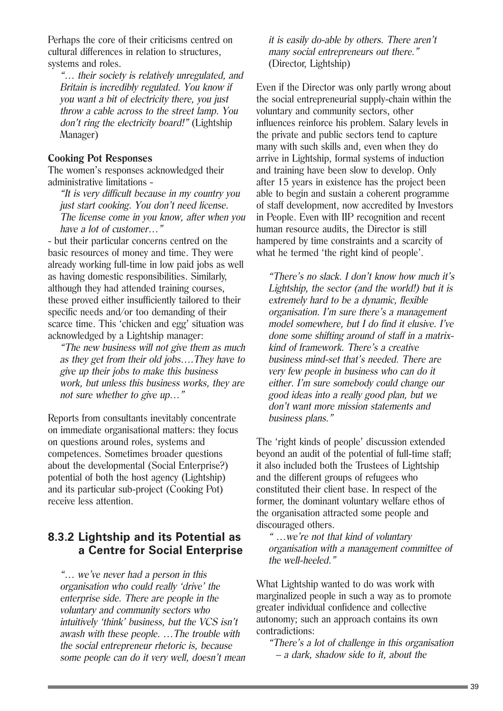Perhaps the core of their criticisms centred on cultural differences in relation to structures, systems and roles.

"… their society is relatively unregulated, and Britain is incredibly regulated. You know if you want a bit of electricity there, you just throw a cable across to the street lamp. You don't ring the electricity board!" (Lightship Manager)

#### **Cooking Pot Responses**

The women's responses acknowledged their administrative limitations -

"It is very difficult because in my country you just start cooking. You don't need license. The license come in you know, after when you have a lot of customer…"

- but their particular concerns centred on the basic resources of money and time. They were already working full-time in low paid jobs as well as having domestic responsibilities. Similarly, although they had attended training courses, these proved either insufficiently tailored to their specific needs and/or too demanding of their scarce time. This 'chicken and egg' situation was acknowledged by a Lightship manager:

"The new business will not give them as much as they get from their old jobs….They have to give up their jobs to make this business work, but unless this business works, they are not sure whether to give up…"

Reports from consultants inevitably concentrate on immediate organisational matters: they focus on questions around roles, systems and competences. Sometimes broader questions about the developmental (Social Enterprise?) potential of both the host agency (Lightship) and its particular sub-project (Cooking Pot) receive less attention.

### **8.3.2 Lightship and its Potential as a Centre for Social Enterprise**

"… we've never had a person in this organisation who could really 'drive' the enterprise side. There are people in the voluntary and community sectors who intuitively 'think' business, but the VCS isn't awash with these people. …The trouble with the social entrepreneur rhetoric is, because some people can do it very well, doesn't mean it is easily do-able by others. There aren't many social entrepreneurs out there." (Director, Lightship)

Even if the Director was only partly wrong about the social entrepreneurial supply-chain within the voluntary and community sectors, other influences reinforce his problem. Salary levels in the private and public sectors tend to capture many with such skills and, even when they do arrive in Lightship, formal systems of induction and training have been slow to develop. Only after 15 years in existence has the project been able to begin and sustain a coherent programme of staff development, now accredited by Investors in People. Even with IIP recognition and recent human resource audits, the Director is still hampered by time constraints and a scarcity of what he termed 'the right kind of people'.

"There's no slack. I don't know how much it's Lightship, the sector (and the world!) but it is extremely hard to be a dynamic, flexible organisation. I'm sure there's a management model somewhere, but I do find it elusive. I've done some shifting around of staff in a matrixkind of framework. There's a creative business mind-set that's needed. There are very few people in business who can do it either. I'm sure somebody could change our good ideas into a really good plan, but we don't want more mission statements and business plans."

The 'right kinds of people' discussion extended beyond an audit of the potential of full-time staff; it also included both the Trustees of Lightship and the different groups of refugees who constituted their client base. In respect of the former, the dominant voluntary welfare ethos of the organisation attracted some people and discouraged others.

" …we're not that kind of voluntary organisation with a management committee of the well-heeled."

What Lightship wanted to do was work with marginalized people in such a way as to promote greater individual confidence and collective autonomy; such an approach contains its own contradictions:

"There's a lot of challenge in this organisation – a dark, shadow side to it, about the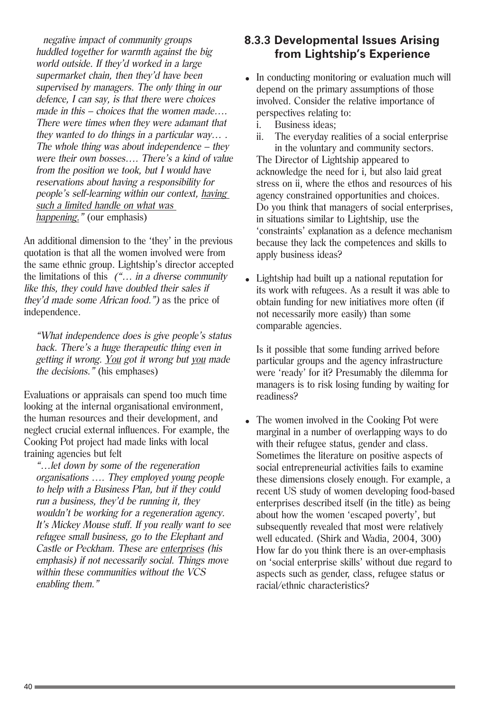negative impact of community groups huddled together for warmth against the big world outside. If they'd worked in a large supermarket chain, then they'd have been supervised by managers. The only thing in our defence, I can say, is that there were choices made in this – choices that the women made…. There were times when they were adamant that they wanted to do things in a particular way… . The whole thing was about independence – they were their own bosses…. There's a kind of value from the position we took, but I would have reservations about having a responsibility for people's self-learning within our context, having such a limited handle on what was happening." (our emphasis)

An additional dimension to the 'they' in the previous quotation is that all the women involved were from the same ethnic group. Lightship's director accepted the limitations of this  $(\mathcal{L} \dots \mathcal{L})$  in a diverse community like this, they could have doubled their sales if they'd made some African food.") as the price of independence.

"What independence does is give people's status back. There's a huge therapeutic thing even in getting it wrong. You got it wrong but you made the decisions." (his emphases)

Evaluations or appraisals can spend too much time looking at the internal organisational environment, the human resources and their development, and neglect crucial external influences. For example, the Cooking Pot project had made links with local training agencies but felt

"…let down by some of the regeneration organisations …. They employed young people to help with a Business Plan, but if they could run a business, they'd be running it, they wouldn't be working for a regeneration agency. It's Mickey Mouse stuff. If you really want to see refugee small business, go to the Elephant and Castle or Peckham. These are enterprises (his emphasis) if not necessarily social. Things move within these communities without the VCS enabling them."

### **8.3.3 Developmental Issues Arising from Lightship's Experience**

- In conducting monitoring or evaluation much will depend on the primary assumptions of those involved. Consider the relative importance of perspectives relating to:
	- i. Business ideas;
	- ii. The everyday realities of a social enterprise in the voluntary and community sectors.

The Director of Lightship appeared to acknowledge the need for i, but also laid great stress on ii, where the ethos and resources of his agency constrained opportunities and choices. Do you think that managers of social enterprises, in situations similar to Lightship, use the 'constraints' explanation as a defence mechanism because they lack the competences and skills to apply business ideas?

• Lightship had built up a national reputation for its work with refugees. As a result it was able to obtain funding for new initiatives more often (if not necessarily more easily) than some comparable agencies.

Is it possible that some funding arrived before particular groups and the agency infrastructure were 'ready' for it? Presumably the dilemma for managers is to risk losing funding by waiting for readiness?

• The women involved in the Cooking Pot were marginal in a number of overlapping ways to do with their refugee status, gender and class. Sometimes the literature on positive aspects of social entrepreneurial activities fails to examine these dimensions closely enough. For example, a recent US study of women developing food-based enterprises described itself (in the title) as being about how the women 'escaped poverty', but subsequently revealed that most were relatively well educated. (Shirk and Wadia, 2004, 300) How far do you think there is an over-emphasis on 'social enterprise skills' without due regard to aspects such as gender, class, refugee status or racial/ethnic characteristics?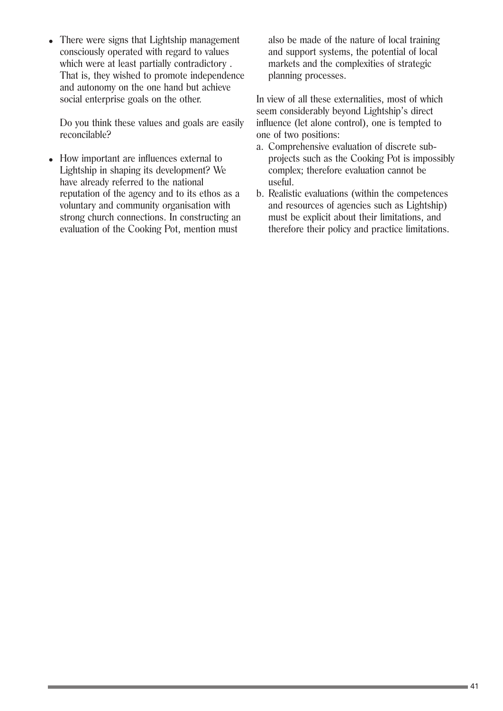• There were signs that Lightship management consciously operated with regard to values which were at least partially contradictory . That is, they wished to promote independence and autonomy on the one hand but achieve social enterprise goals on the other.

Do you think these values and goals are easily reconcilable?

• How important are influences external to Lightship in shaping its development? We have already referred to the national reputation of the agency and to its ethos as a voluntary and community organisation with strong church connections. In constructing an evaluation of the Cooking Pot, mention must

also be made of the nature of local training and support systems, the potential of local markets and the complexities of strategic planning processes.

In view of all these externalities, most of which seem considerably beyond Lightship's direct influence (let alone control), one is tempted to one of two positions:

- a. Comprehensive evaluation of discrete subprojects such as the Cooking Pot is impossibly complex; therefore evaluation cannot be useful.
- b. Realistic evaluations (within the competences and resources of agencies such as Lightship) must be explicit about their limitations, and therefore their policy and practice limitations.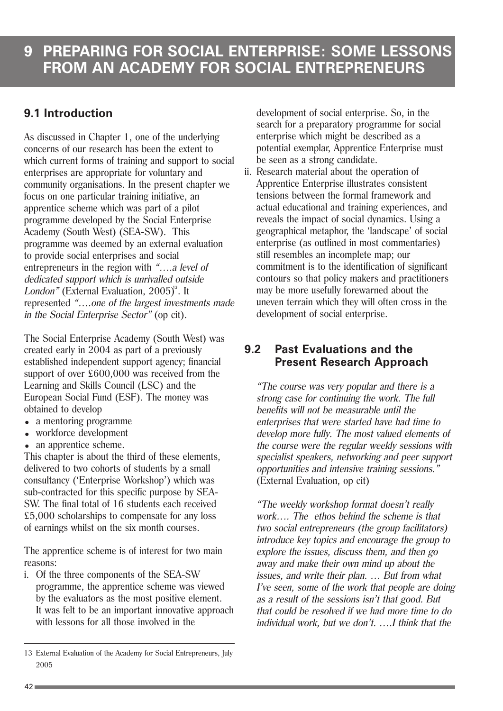### **9.1 Introduction**

As discussed in Chapter 1, one of the underlying concerns of our research has been the extent to which current forms of training and support to social enterprises are appropriate for voluntary and community organisations. In the present chapter we focus on one particular training initiative, an apprentice scheme which was part of a pilot programme developed by the Social Enterprise Academy (South West) (SEA-SW). This programme was deemed by an external evaluation to provide social enterprises and social entrepreneurs in the region with "….a level of dedicated support which is unrivalled outside London" (External Evaluation,  $2005$ )<sup>3</sup>. It represented "….one of the largest investments made in the Social Enterprise Sector" (op cit).

The Social Enterprise Academy (South West) was created early in 2004 as part of a previously established independent support agency; financial support of over £600,000 was received from the Learning and Skills Council (LSC) and the European Social Fund (ESF). The money was obtained to develop

- a mentoring programme
- workforce development
- an apprentice scheme.

This chapter is about the third of these elements, delivered to two cohorts of students by a small consultancy ('Enterprise Workshop') which was sub-contracted for this specific purpose by SEA-SW. The final total of 16 students each received £5,000 scholarships to compensate for any loss of earnings whilst on the six month courses.

The apprentice scheme is of interest for two main reasons:

- i. Of the three components of the SEA-SW
- programme, the apprentice scheme was viewed by the evaluators as the most positive element. It was felt to be an important innovative approach with lessons for all those involved in the

development of social enterprise. So, in the search for a preparatory programme for social enterprise which might be described as a potential exemplar, Apprentice Enterprise must be seen as a strong candidate.

ii. Research material about the operation of Apprentice Enterprise illustrates consistent tensions between the formal framework and actual educational and training experiences, and reveals the impact of social dynamics. Using a geographical metaphor, the 'landscape' of social enterprise (as outlined in most commentaries) still resembles an incomplete map; our commitment is to the identification of significant contours so that policy makers and practitioners may be more usefully forewarned about the uneven terrain which they will often cross in the development of social enterprise.

### **9.2 Past Evaluations and the Present Research Approach**

"The course was very popular and there is a strong case for continuing the work. The full benefits will not be measurable until the enterprises that were started have had time to develop more fully. The most valued elements of the course were the regular weekly sessions with specialist speakers, networking and peer support opportunities and intensive training sessions." (External Evaluation, op cit)

"The weekly workshop format doesn't really work…. The ethos behind the scheme is that two social entrepreneurs (the group facilitators) introduce key topics and encourage the group to explore the issues, discuss them, and then go away and make their own mind up about the issues, and write their plan. … But from what I've seen, some of the work that people are doing as a result of the sessions isn't that good. But that could be resolved if we had more time to do individual work, but we don't. ….I think that the

<sup>13</sup> External Evaluation of the Academy for Social Entrepreneurs, July 2005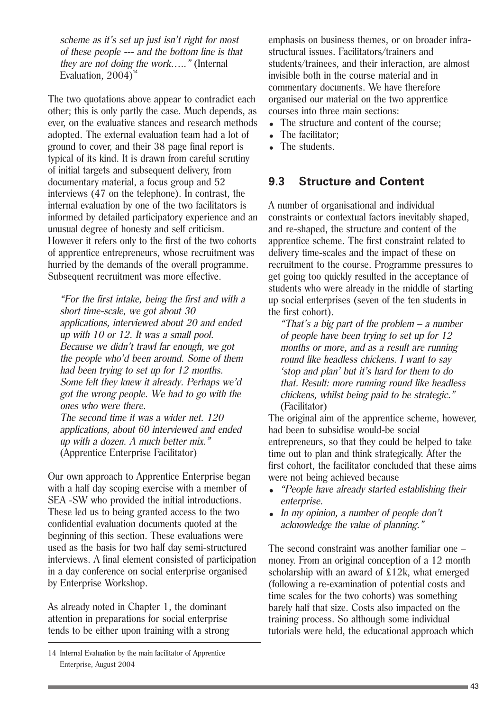Evaluation,  $2004$ <sup>14</sup> scheme as it's set up just isn't right for most of these people --- and the bottom line is that they are not doing the work….." (Internal

The two quotations above appear to contradict each other; this is only partly the case. Much depends, as ever, on the evaluative stances and research methods adopted. The external evaluation team had a lot of ground to cover, and their 38 page final report is typical of its kind. It is drawn from careful scrutiny of initial targets and subsequent delivery, from documentary material, a focus group and 52 interviews (47 on the telephone). In contrast, the internal evaluation by one of the two facilitators is informed by detailed participatory experience and an unusual degree of honesty and self criticism. However it refers only to the first of the two cohorts of apprentice entrepreneurs, whose recruitment was hurried by the demands of the overall programme. Subsequent recruitment was more effective.

"For the first intake, being the first and with a short time-scale, we got about 30 applications, interviewed about 20 and ended up with 10 or 12. It was a small pool. Because we didn't trawl far enough, we got the people who'd been around. Some of them had been trying to set up for 12 months. Some felt they knew it already. Perhaps we'd got the wrong people. We had to go with the ones who were there. The second time it was a wider net. 120 applications, about 60 interviewed and ended up with a dozen. A much better mix."

(Apprentice Enterprise Facilitator)

Our own approach to Apprentice Enterprise began with a half day scoping exercise with a member of SEA -SW who provided the initial introductions. These led us to being granted access to the two confidential evaluation documents quoted at the beginning of this section. These evaluations were used as the basis for two half day semi-structured interviews. A final element consisted of participation in a day conference on social enterprise organised by Enterprise Workshop.

As already noted in Chapter 1, the dominant attention in preparations for social enterprise tends to be either upon training with a strong emphasis on business themes, or on broader infrastructural issues. Facilitators/trainers and students/trainees, and their interaction, are almost invisible both in the course material and in commentary documents. We have therefore organised our material on the two apprentice courses into three main sections:

- The structure and content of the course:
- The facilitator:
- The students.

#### **9.3 Structure and Content**

A number of organisational and individual constraints or contextual factors inevitably shaped, and re-shaped, the structure and content of the apprentice scheme. The first constraint related to delivery time-scales and the impact of these on recruitment to the course. Programme pressures to get going too quickly resulted in the acceptance of students who were already in the middle of starting up social enterprises (seven of the ten students in the first cohort).

"That's a big part of the problem  $-$  a number of people have been trying to set up for 12 months or more, and as a result are running round like headless chickens. I want to say 'stop and plan' but it's hard for them to do that. Result: more running round like headless chickens, whilst being paid to be strategic." (Facilitator)

The original aim of the apprentice scheme, however, had been to subsidise would-be social entrepreneurs, so that they could be helped to take time out to plan and think strategically. After the first cohort, the facilitator concluded that these aims were not being achieved because

- "People have already started establishing their enterprise.
- $\bullet$  In my opinion, a number of people don't acknowledge the value of planning."

The second constraint was another familiar one – money. From an original conception of a 12 month scholarship with an award of £12k, what emerged (following a re-examination of potential costs and time scales for the two cohorts) was something barely half that size. Costs also impacted on the training process. So although some individual tutorials were held, the educational approach which

<sup>14</sup> Internal Evaluation by the main facilitator of Apprentice Enterprise, August 2004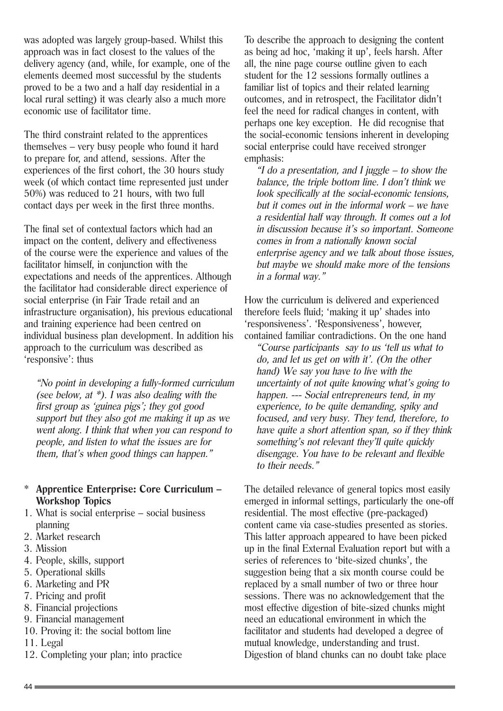was adopted was largely group-based. Whilst this approach was in fact closest to the values of the delivery agency (and, while, for example, one of the elements deemed most successful by the students proved to be a two and a half day residential in a local rural setting) it was clearly also a much more economic use of facilitator time.

The third constraint related to the apprentices themselves – very busy people who found it hard to prepare for, and attend, sessions. After the experiences of the first cohort, the 30 hours study week (of which contact time represented just under 50%) was reduced to 21 hours, with two full contact days per week in the first three months.

The final set of contextual factors which had an impact on the content, delivery and effectiveness of the course were the experience and values of the facilitator himself, in conjunction with the expectations and needs of the apprentices. Although the facilitator had considerable direct experience of social enterprise (in Fair Trade retail and an infrastructure organisation), his previous educational and training experience had been centred on individual business plan development. In addition his approach to the curriculum was described as 'responsive': thus

"No point in developing a fully-formed curriculum (see below, at \*). I was also dealing with the first group as 'guinea pigs'; they got good support but they also got me making it up as we went along. I think that when you can respond to people, and listen to what the issues are for them, that's when good things can happen."

#### \* **Apprentice Enterprise: Core Curriculum – Workshop Topics**

- 1. What is social enterprise social business planning
- 2. Market research
- 3. Mission
- 4. People, skills, support
- 5. Operational skills
- 6. Marketing and PR
- 7. Pricing and profit
- 8. Financial projections
- 9. Financial management
- 10. Proving it: the social bottom line
- 11. Legal
- 12. Completing your plan; into practice

To describe the approach to designing the content as being ad hoc, 'making it up', feels harsh. After all, the nine page course outline given to each student for the 12 sessions formally outlines a familiar list of topics and their related learning outcomes, and in retrospect, the Facilitator didn't feel the need for radical changes in content, with perhaps one key exception. He did recognise that the social-economic tensions inherent in developing social enterprise could have received stronger emphasis:

"I do a presentation, and I juggle  $-$  to show the balance, the triple bottom line. I don't think we look specifically at the social-economic tensions, but it comes out in the informal work – we have a residential half way through. It comes out a lot in discussion because it's so important. Someone comes in from a nationally known social enterprise agency and we talk about those issues, but maybe we should make more of the tensions in a formal way."

How the curriculum is delivered and experienced therefore feels fluid; 'making it up' shades into 'responsiveness'. 'Responsiveness', however, contained familiar contradictions. On the one hand

"Course participants say to us 'tell us what to do, and let us get on with it'. (On the other hand) We say you have to live with the uncertainty of not quite knowing what's going to happen. --- Social entrepreneurs tend, in my experience, to be quite demanding, spiky and focused, and very busy. They tend, therefore, to have quite a short attention span, so if they think something's not relevant they'll quite quickly disengage. You have to be relevant and flexible to their needs."

The detailed relevance of general topics most easily emerged in informal settings, particularly the one-off residential. The most effective (pre-packaged) content came via case-studies presented as stories. This latter approach appeared to have been picked up in the final External Evaluation report but with a series of references to 'bite-sized chunks', the suggestion being that a six month course could be replaced by a small number of two or three hour sessions. There was no acknowledgement that the most effective digestion of bite-sized chunks might need an educational environment in which the facilitator and students had developed a degree of mutual knowledge, understanding and trust. Digestion of bland chunks can no doubt take place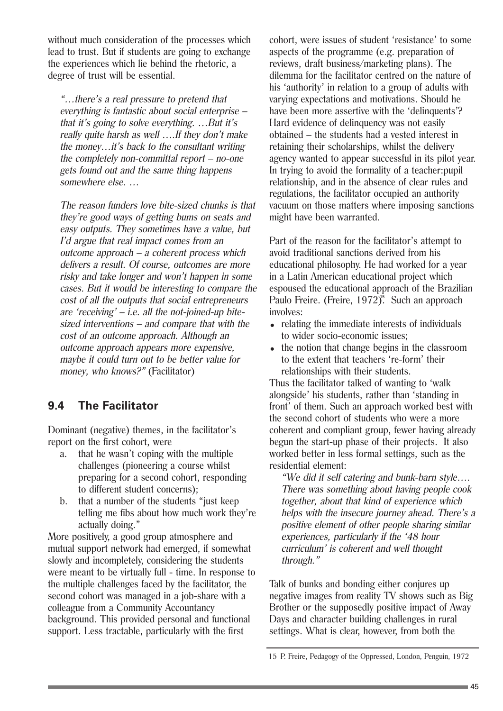without much consideration of the processes which lead to trust. But if students are going to exchange the experiences which lie behind the rhetoric, a degree of trust will be essential.

"…there's a real pressure to pretend that everything is fantastic about social enterprise – that it's going to solve everything. …But it's really quite harsh as well ….If they don't make the money…it's back to the consultant writing the completely non-committal report – no-one gets found out and the same thing happens somewhere else. …

The reason funders love bite-sized chunks is that they're good ways of getting bums on seats and easy outputs. They sometimes have a value, but I'd argue that real impact comes from an outcome approach – a coherent process which delivers a result. Of course, outcomes are more risky and take longer and won't happen in some cases. But it would be interesting to compare the cost of all the outputs that social entrepreneurs are 'receiving'  $-i.e.$  all the not-joined-up bitesized interventions – and compare that with the cost of an outcome approach. Although an outcome approach appears more expensive, maybe it could turn out to be better value for money, who knows?" (Facilitator)

### **9.4 The Facilitator**

Dominant (negative) themes, in the facilitator's report on the first cohort, were

- a. that he wasn't coping with the multiple challenges (pioneering a course whilst preparing for a second cohort, responding to different student concerns);
- b. that a number of the students "just keep telling me fibs about how much work they're actually doing."

More positively, a good group atmosphere and mutual support network had emerged, if somewhat slowly and incompletely, considering the students were meant to be virtually full - time. In response to the multiple challenges faced by the facilitator, the second cohort was managed in a job-share with a colleague from a Community Accountancy background. This provided personal and functional support. Less tractable, particularly with the first

cohort, were issues of student 'resistance' to some aspects of the programme (e.g. preparation of reviews, draft business/marketing plans). The dilemma for the facilitator centred on the nature of his 'authority' in relation to a group of adults with varying expectations and motivations. Should he have been more assertive with the 'delinquents'? Hard evidence of delinquency was not easily obtained – the students had a vested interest in retaining their scholarships, whilst the delivery agency wanted to appear successful in its pilot year. In trying to avoid the formality of a teacher:pupil relationship, and in the absence of clear rules and regulations, the facilitator occupied an authority vacuum on those matters where imposing sanctions might have been warranted.

Part of the reason for the facilitator's attempt to avoid traditional sanctions derived from his educational philosophy. He had worked for a year in a Latin American educational project which espoused the educational approach of the Brazilian Paulo Freire. (Freire, 1972)<sup>5</sup>. Such an approach involves:

- relating the immediate interests of individuals to wider socio-economic issues;
- $\bullet$  the notion that change begins in the classroom to the extent that teachers 're-form' their relationships with their students.

Thus the facilitator talked of wanting to 'walk alongside' his students, rather than 'standing in front' of them. Such an approach worked best with the second cohort of students who were a more coherent and compliant group, fewer having already begun the start-up phase of their projects. It also worked better in less formal settings, such as the residential element:

"We did it self catering and bunk-barn style…. There was something about having people cook together, about that kind of experience which helps with the insecure journey ahead. There's a positive element of other people sharing similar experiences, particularly if the '48 hour curriculum' is coherent and well thought through."

Talk of bunks and bonding either conjures up negative images from reality TV shows such as Big Brother or the supposedly positive impact of Away Days and character building challenges in rural settings. What is clear, however, from both the

<sup>15</sup> P. Freire, Pedagogy of the Oppressed, London, Penguin, 1972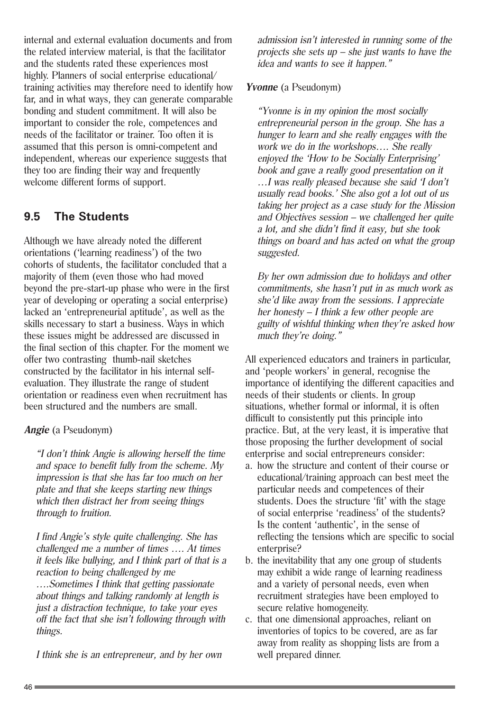internal and external evaluation documents and from the related interview material, is that the facilitator and the students rated these experiences most highly. Planners of social enterprise educational/ training activities may therefore need to identify how far, and in what ways, they can generate comparable bonding and student commitment. It will also be important to consider the role, competences and needs of the facilitator or trainer. Too often it is assumed that this person is omni-competent and independent, whereas our experience suggests that they too are finding their way and frequently welcome different forms of support.

### **9.5 The Students**

Although we have already noted the different orientations ('learning readiness') of the two cohorts of students, the facilitator concluded that a majority of them (even those who had moved beyond the pre-start-up phase who were in the first year of developing or operating a social enterprise) lacked an 'entrepreneurial aptitude', as well as the skills necessary to start a business. Ways in which these issues might be addressed are discussed in the final section of this chapter. For the moment we offer two contrasting thumb-nail sketches constructed by the facilitator in his internal selfevaluation. They illustrate the range of student orientation or readiness even when recruitment has been structured and the numbers are small.

#### **Angie** (a Pseudonym)

"I don't think Angie is allowing herself the time and space to benefit fully from the scheme. My impression is that she has far too much on her plate and that she keeps starting new things which then distract her from seeing things through to fruition.

I find Angie's style quite challenging. She has challenged me a number of times …. At times it feels like bullying, and I think part of that is a reaction to being challenged by me ….Sometimes I think that getting passionate about things and talking randomly at length is just a distraction technique, to take your eyes off the fact that she isn't following through with things.

I think she is an entrepreneur, and by her own

admission isn't interested in running some of the projects she sets  $up$  – she just wants to have the idea and wants to see it happen."

#### **Yvonne** (a Pseudonym)

"Yvonne is in my opinion the most socially entrepreneurial person in the group. She has a hunger to learn and she really engages with the work we do in the workshops…. She really enjoyed the 'How to be Socially Enterprising' book and gave a really good presentation on it …I was really pleased because she said 'I don't usually read books.' She also got a lot out of us taking her project as a case study for the Mission and Objectives session – we challenged her quite a lot, and she didn't find it easy, but she took things on board and has acted on what the group suggested.

By her own admission due to holidays and other commitments, she hasn't put in as much work as she'd like away from the sessions. I appreciate her honesty – I think a few other people are guilty of wishful thinking when they're asked how much they're doing."

All experienced educators and trainers in particular, and 'people workers' in general, recognise the importance of identifying the different capacities and needs of their students or clients. In group situations, whether formal or informal, it is often difficult to consistently put this principle into practice. But, at the very least, it is imperative that those proposing the further development of social enterprise and social entrepreneurs consider:

- a. how the structure and content of their course or educational/training approach can best meet the particular needs and competences of their students. Does the structure 'fit' with the stage of social enterprise 'readiness' of the students? Is the content 'authentic', in the sense of reflecting the tensions which are specific to social enterprise?
- b. the inevitability that any one group of students may exhibit a wide range of learning readiness and a variety of personal needs, even when recruitment strategies have been employed to secure relative homogeneity.
- c. that one dimensional approaches, reliant on inventories of topics to be covered, are as far away from reality as shopping lists are from a well prepared dinner.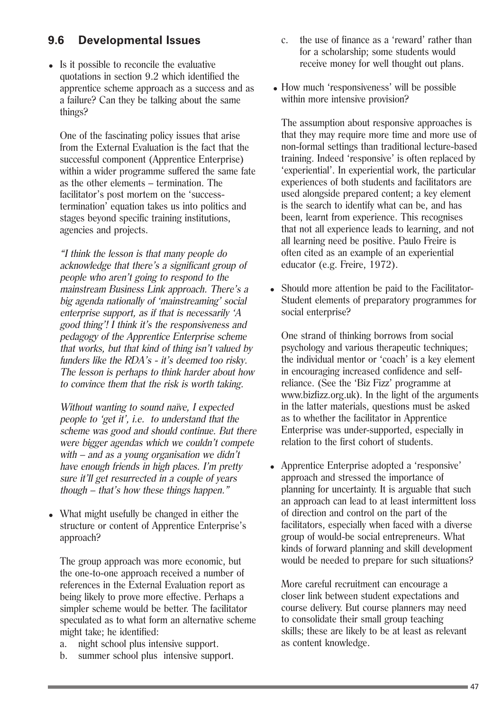### **9.6 Developmental Issues**

• Is it possible to reconcile the evaluative quotations in section 9.2 which identified the apprentice scheme approach as a success and as a failure? Can they be talking about the same things?

One of the fascinating policy issues that arise from the External Evaluation is the fact that the successful component (Apprentice Enterprise) within a wider programme suffered the same fate as the other elements – termination. The facilitator's post mortem on the 'successtermination' equation takes us into politics and stages beyond specific training institutions, agencies and projects.

"I think the lesson is that many people do acknowledge that there's a significant group of people who aren't going to respond to the mainstream Business Link approach. There's a big agenda nationally of 'mainstreaming' social enterprise support, as if that is necessarily 'A good thing'! I think it's the responsiveness and pedagogy of the Apprentice Enterprise scheme that works, but that kind of thing isn't valued by funders like the RDA's - it's deemed too risky. The lesson is perhaps to think harder about how to convince them that the risk is worth taking.

Without wanting to sound naïve, I expected people to 'get it', i.e. to understand that the scheme was good and should continue. But there were bigger agendas which we couldn't compete with – and as a young organisation we didn't have enough friends in high places. I'm pretty sure it'll get resurrected in a couple of years though – that's how these things happen."

• What might usefully be changed in either the structure or content of Apprentice Enterprise's approach?

The group approach was more economic, but the one-to-one approach received a number of references in the External Evaluation report as being likely to prove more effective. Perhaps a simpler scheme would be better. The facilitator speculated as to what form an alternative scheme might take; he identified:

- a. night school plus intensive support.
- b. summer school plus intensive support.
- c. the use of finance as a 'reward' rather than for a scholarship; some students would receive money for well thought out plans.
- How much 'responsiveness' will be possible within more intensive provision?

The assumption about responsive approaches is that they may require more time and more use of non-formal settings than traditional lecture-based training. Indeed 'responsive' is often replaced by 'experiential'. In experiential work, the particular experiences of both students and facilitators are used alongside prepared content; a key element is the search to identify what can be, and has been, learnt from experience. This recognises that not all experience leads to learning, and not all learning need be positive. Paulo Freire is often cited as an example of an experiential educator (e.g. Freire, 1972).

• Should more attention be paid to the Facilitator-Student elements of preparatory programmes for social enterprise?

One strand of thinking borrows from social psychology and various therapeutic techniques; the individual mentor or 'coach' is a key element in encouraging increased confidence and selfreliance. (See the 'Biz Fizz' programme at www.bizfizz.org.uk). In the light of the arguments in the latter materials, questions must be asked as to whether the facilitator in Apprentice Enterprise was under-supported, especially in relation to the first cohort of students.

• Apprentice Enterprise adopted a 'responsive' approach and stressed the importance of planning for uncertainty. It is arguable that such an approach can lead to at least intermittent loss of direction and control on the part of the facilitators, especially when faced with a diverse group of would-be social entrepreneurs. What kinds of forward planning and skill development would be needed to prepare for such situations?

More careful recruitment can encourage a closer link between student expectations and course delivery. But course planners may need to consolidate their small group teaching skills; these are likely to be at least as relevant as content knowledge.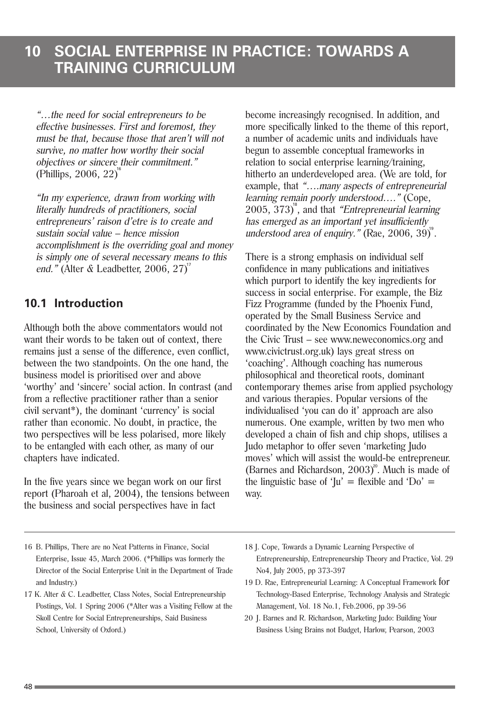"…the need for social entrepreneurs to be effective businesses. First and foremost, they must be that, because those that aren't will not survive, no matter how worthy their social objectives or sincere their commitment." (Phillips, 2006, 22)<sup>16</sup>

"In my experience, drawn from working with literally hundreds of practitioners, social entrepreneurs' raison d'etre is to create and sustain social value – hence mission accomplishment is the overriding goal and money is simply one of several necessary means to this end." (Alter & Leadbetter, 2006, 27)<sup>"</sup>

### **10.1 Introduction**

Although both the above commentators would not want their words to be taken out of context, there remains just a sense of the difference, even conflict, between the two standpoints. On the one hand, the business model is prioritised over and above 'worthy' and 'sincere' social action. In contrast (and from a reflective practitioner rather than a senior civil servant\*), the dominant 'currency' is social rather than economic. No doubt, in practice, the two perspectives will be less polarised, more likely to be entangled with each other, as many of our chapters have indicated.

In the five years since we began work on our first report (Pharoah et al, 2004), the tensions between the business and social perspectives have in fact

- 16 B. Phillips, There are no Neat Patterns in Finance, Social Enterprise, Issue 45, March 2006. (\*Phillips was formerly the Director of the Social Enterprise Unit in the Department of Trade and Industry.)
- 17 K. Alter & C. Leadbetter, Class Notes, Social Entrepreneurship Postings, Vol. 1 Spring 2006 (\*Alter was a Visiting Fellow at the Skoll Centre for Social Entrepreneurships, Said Business School, University of Oxford.)

become increasingly recognised. In addition, and more specifically linked to the theme of this report, a number of academic units and individuals have begun to assemble conceptual frameworks in relation to social enterprise learning/training, hitherto an underdeveloped area. (We are told, for example, that "….many aspects of entrepreneurial learning remain poorly understood…." (Cope, 2005, 373)<sup>®</sup>, and that "Entrepreneurial learning has emerged as an important yet insufficiently understood area of enquiry." (Rae,  $2006, 39$ ) $\degree$ .

There is a strong emphasis on individual self confidence in many publications and initiatives which purport to identify the key ingredients for success in social enterprise. For example, the Biz Fizz Programme (funded by the Phoenix Fund, operated by the Small Business Service and coordinated by the New Economics Foundation and the Civic Trust – see www.neweconomics.org and www.civictrust.org.uk) lays great stress on 'coaching'. Although coaching has numerous philosophical and theoretical roots, dominant contemporary themes arise from applied psychology and various therapies. Popular versions of the individualised 'you can do it' approach are also numerous. One example, written by two men who developed a chain of fish and chip shops, utilises a Judo metaphor to offer seven 'marketing Judo moves' which will assist the would-be entrepreneur. (Barnes and Richardson,  $2003$ <sup>20</sup>. Much is made of the linguistic base of ' $|u' = f|$  exible and 'Do' = way.

- 18 J. Cope, Towards a Dynamic Learning Perspective of Entrepreneurship, Entrepreneurship Theory and Practice, Vol. 29 No4, July 2005, pp 373-397
- 19 D. Rae, Entrepreneurial Learning: A Conceptual Framework for Technology-Based Enterprise, Technology Analysis and Strategic Management, Vol. 18 No.1, Feb.2006, pp 39-56
- 20 J. Barnes and R. Richardson, Marketing Judo: Building Your Business Using Brains not Budget, Harlow, Pearson, 2003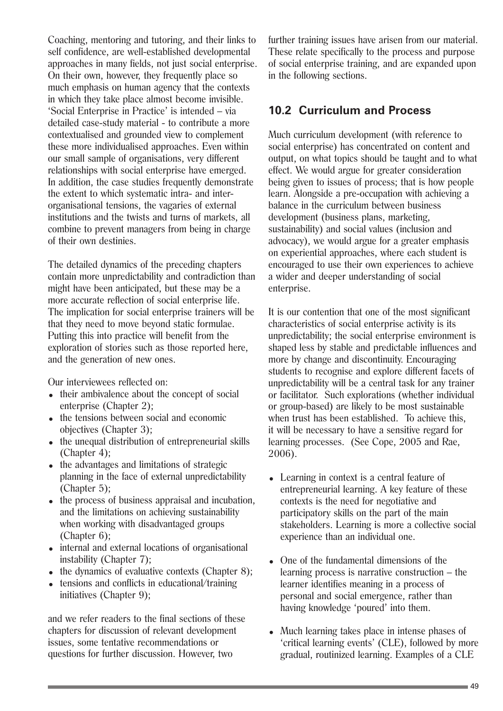Coaching, mentoring and tutoring, and their links to self confidence, are well-established developmental approaches in many fields, not just social enterprise. On their own, however, they frequently place so much emphasis on human agency that the contexts in which they take place almost become invisible. 'Social Enterprise in Practice' is intended – via detailed case-study material - to contribute a more contextualised and grounded view to complement these more individualised approaches. Even within our small sample of organisations, very different relationships with social enterprise have emerged. In addition, the case studies frequently demonstrate the extent to which systematic intra- and interorganisational tensions, the vagaries of external institutions and the twists and turns of markets, all combine to prevent managers from being in charge of their own destinies.

The detailed dynamics of the preceding chapters contain more unpredictability and contradiction than might have been anticipated, but these may be a more accurate reflection of social enterprise life. The implication for social enterprise trainers will be that they need to move beyond static formulae. Putting this into practice will benefit from the exploration of stories such as those reported here, and the generation of new ones.

Our interviewees reflected on:

- their ambivalence about the concept of social enterprise (Chapter 2);
- the tensions between social and economic objectives (Chapter 3);
- the unequal distribution of entrepreneurial skills (Chapter 4);
- the advantages and limitations of strategic planning in the face of external unpredictability (Chapter 5):
- the process of business appraisal and incubation, and the limitations on achieving sustainability when working with disadvantaged groups (Chapter 6);
- internal and external locations of organisational instability (Chapter 7);
- $\bullet$  the dynamics of evaluative contexts (Chapter 8);
- $\bullet$  tensions and conflicts in educational/training initiatives (Chapter 9);

and we refer readers to the final sections of these chapters for discussion of relevant development issues, some tentative recommendations or questions for further discussion. However, two

further training issues have arisen from our material. These relate specifically to the process and purpose of social enterprise training, and are expanded upon in the following sections.

### **10.2 Curriculum and Process**

Much curriculum development (with reference to social enterprise) has concentrated on content and output, on what topics should be taught and to what effect. We would argue for greater consideration being given to issues of process; that is how people learn. Alongside a pre-occupation with achieving a balance in the curriculum between business development (business plans, marketing, sustainability) and social values (inclusion and advocacy), we would argue for a greater emphasis on experiential approaches, where each student is encouraged to use their own experiences to achieve a wider and deeper understanding of social enterprise.

It is our contention that one of the most significant characteristics of social enterprise activity is its unpredictability; the social enterprise environment is shaped less by stable and predictable influences and more by change and discontinuity. Encouraging students to recognise and explore different facets of unpredictability will be a central task for any trainer or facilitator. Such explorations (whether individual or group-based) are likely to be most sustainable when trust has been established. To achieve this, it will be necessary to have a sensitive regard for learning processes. (See Cope, 2005 and Rae, 2006).

- Learning in context is a central feature of entrepreneurial learning. A key feature of these contexts is the need for negotiative and participatory skills on the part of the main stakeholders. Learning is more a collective social experience than an individual one.
- One of the fundamental dimensions of the learning process is narrative construction – the learner identifies meaning in a process of personal and social emergence, rather than having knowledge 'poured' into them.
- Much learning takes place in intense phases of 'critical learning events' (CLE), followed by more gradual, routinized learning. Examples of a CLE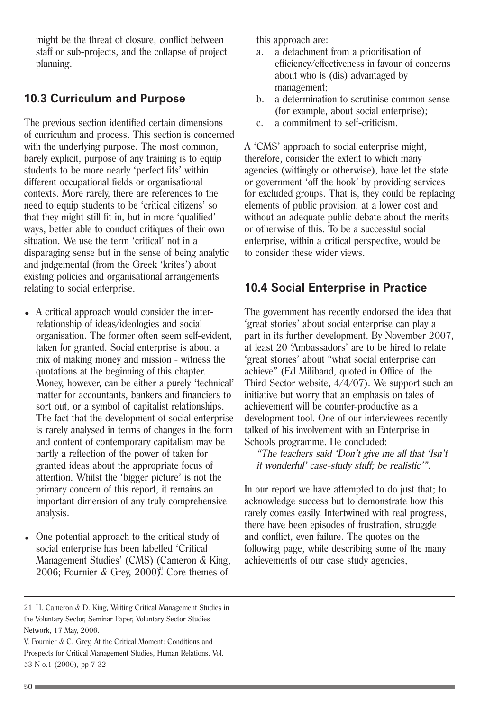might be the threat of closure, conflict between staff or sub-projects, and the collapse of project planning.

#### **10.3 Curriculum and Purpose**

The previous section identified certain dimensions of curriculum and process. This section is concerned with the underlying purpose. The most common, barely explicit, purpose of any training is to equip students to be more nearly 'perfect fits' within different occupational fields or organisational contexts. More rarely, there are references to the need to equip students to be 'critical citizens' so that they might still fit in, but in more 'qualified' ways, better able to conduct critiques of their own situation. We use the term 'critical' not in a disparaging sense but in the sense of being analytic and judgemental (from the Greek 'krites') about existing policies and organisational arrangements relating to social enterprise.

- A critical approach would consider the interrelationship of ideas/ideologies and social organisation. The former often seem self-evident, taken for granted. Social enterprise is about a mix of making money and mission - witness the quotations at the beginning of this chapter. Money, however, can be either a purely 'technical' matter for accountants, bankers and financiers to sort out, or a symbol of capitalist relationships. The fact that the development of social enterprise is rarely analysed in terms of changes in the form and content of contemporary capitalism may be partly a reflection of the power of taken for granted ideas about the appropriate focus of attention. Whilst the 'bigger picture' is not the primary concern of this report, it remains an important dimension of any truly comprehensive analysis.
- One potential approach to the critical study of social enterprise has been labelled 'Critical Management Studies' (CMS) (Cameron & King, 2006; Fournier  $\&$  Grey, 2000)<sup>21</sup>. Core themes of

this approach are:

- a. a detachment from a prioritisation of efficiency/effectiveness in favour of concerns about who is (dis) advantaged by management;
- b. a determination to scrutinise common sense (for example, about social enterprise);
- c. a commitment to self-criticism.

A 'CMS' approach to social enterprise might, therefore, consider the extent to which many agencies (wittingly or otherwise), have let the state or government 'off the hook' by providing services for excluded groups. That is, they could be replacing elements of public provision, at a lower cost and without an adequate public debate about the merits or otherwise of this. To be a successful social enterprise, within a critical perspective, would be to consider these wider views.

#### **10.4 Social Enterprise in Practice**

The government has recently endorsed the idea that 'great stories' about social enterprise can play a part in its further development. By November 2007, at least 20 'Ambassadors' are to be hired to relate 'great stories' about "what social enterprise can achieve" (Ed Miliband, quoted in Office of the Third Sector website, 4/4/07). We support such an initiative but worry that an emphasis on tales of achievement will be counter-productive as a development tool. One of our interviewees recently talked of his involvement with an Enterprise in Schools programme. He concluded:

"The teachers said 'Don't give me all that 'Isn't it wonderful' case-study stuff; be realistic'".

In our report we have attempted to do just that; to acknowledge success but to demonstrate how this rarely comes easily. Intertwined with real progress, there have been episodes of frustration, struggle and conflict, even failure. The quotes on the following page, while describing some of the many achievements of our case study agencies,

<sup>21</sup> H. Cameron & D. King, Writing Critical Management Studies in the Voluntary Sector, Seminar Paper, Voluntary Sector Studies Network, 17 May, 2006.

V. Fournier & C. Grey, At the Critical Moment: Conditions and Prospects for Critical Management Studies, Human Relations, Vol. 53 N o.1 (2000), pp 7-32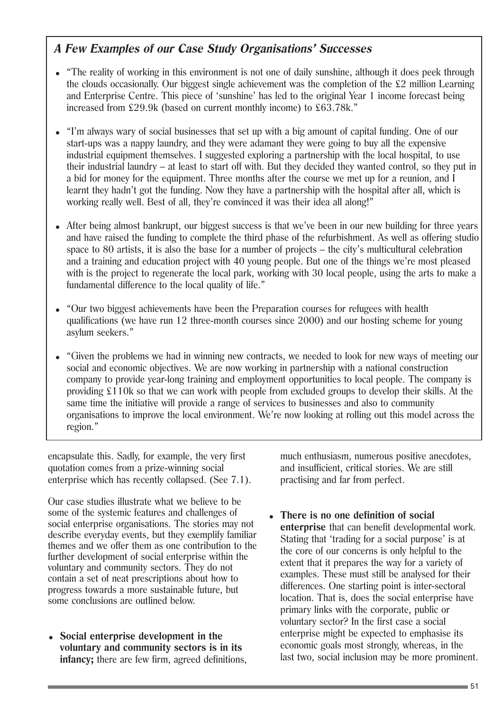### **A Few Examples of our Case Study Organisations' Successes**

- "The reality of working in this environment is not one of daily sunshine, although it does peek through the clouds occasionally. Our biggest single achievement was the completion of the £2 million Learning and Enterprise Centre. This piece of 'sunshine' has led to the original Year 1 income forecast being increased from £29.9k (based on current monthly income) to £63.78k."
- "I'm always wary of social businesses that set up with a big amount of capital funding. One of our start-ups was a nappy laundry, and they were adamant they were going to buy all the expensive industrial equipment themselves. I suggested exploring a partnership with the local hospital, to use their industrial laundry – at least to start off with. But they decided they wanted control, so they put in a bid for money for the equipment. Three months after the course we met up for a reunion, and I learnt they hadn't got the funding. Now they have a partnership with the hospital after all, which is working really well. Best of all, they're convinced it was their idea all along!"
- After being almost bankrupt, our biggest success is that we've been in our new building for three years and have raised the funding to complete the third phase of the refurbishment. As well as offering studio space to 80 artists, it is also the base for a number of projects – the city's multicultural celebration and a training and education project with 40 young people. But one of the things we're most pleased with is the project to regenerate the local park, working with 30 local people, using the arts to make a fundamental difference to the local quality of life."
- "Our two biggest achievements have been the Preparation courses for refugees with health qualifications (we have run 12 three-month courses since 2000) and our hosting scheme for young asylum seekers."
- "Given the problems we had in winning new contracts, we needed to look for new ways of meeting our social and economic objectives. We are now working in partnership with a national construction company to provide year-long training and employment opportunities to local people. The company is providing £110k so that we can work with people from excluded groups to develop their skills. At the same time the initiative will provide a range of services to businesses and also to community organisations to improve the local environment. We're now looking at rolling out this model across the region."

encapsulate this. Sadly, for example, the very first quotation comes from a prize-winning social enterprise which has recently collapsed. (See 7.1).

Our case studies illustrate what we believe to be some of the systemic features and challenges of social enterprise organisations. The stories may not describe everyday events, but they exemplify familiar themes and we offer them as one contribution to the further development of social enterprise within the voluntary and community sectors. They do not contain a set of neat prescriptions about how to progress towards a more sustainable future, but some conclusions are outlined below.

<sup>=</sup> **Social enterprise development in the voluntary and community sectors is in its infancy;** there are few firm, agreed definitions, much enthusiasm, numerous positive anecdotes, and insufficient, critical stories. We are still practising and far from perfect.

<sup>=</sup> **There is no one definition of social enterprise** that can benefit developmental work. Stating that 'trading for a social purpose' is at the core of our concerns is only helpful to the extent that it prepares the way for a variety of examples. These must still be analysed for their differences. One starting point is inter-sectoral location. That is, does the social enterprise have primary links with the corporate, public or voluntary sector? In the first case a social enterprise might be expected to emphasise its economic goals most strongly, whereas, in the last two, social inclusion may be more prominent.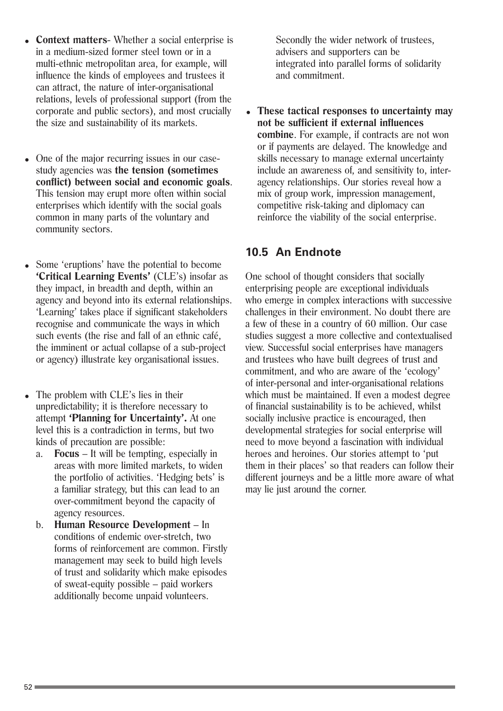- **Context matters** Whether a social enterprise is in a medium-sized former steel town or in a multi-ethnic metropolitan area, for example, will influence the kinds of employees and trustees it can attract, the nature of inter-organisational relations, levels of professional support (from the corporate and public sectors), and most crucially the size and sustainability of its markets.
- One of the major recurring issues in our casestudy agencies was **the tension (sometimes conflict) between social and economic goals**. This tension may erupt more often within social enterprises which identify with the social goals common in many parts of the voluntary and community sectors.
- Some 'eruptions' have the potential to become **'Critical Learning Events'** (CLE's) insofar as they impact, in breadth and depth, within an agency and beyond into its external relationships. 'Learning' takes place if significant stakeholders recognise and communicate the ways in which such events (the rise and fall of an ethnic café, the imminent or actual collapse of a sub-project or agency) illustrate key organisational issues.
- The problem with CLE's lies in their unpredictability; it is therefore necessary to attempt **'Planning for Uncertainty'.** At one level this is a contradiction in terms, but two kinds of precaution are possible:
	- a. **Focus** It will be tempting, especially in areas with more limited markets, to widen the portfolio of activities. 'Hedging bets' is a familiar strategy, but this can lead to an over-commitment beyond the capacity of agency resources.
	- b. **Human Resource Development** In conditions of endemic over-stretch, two forms of reinforcement are common. Firstly management may seek to build high levels of trust and solidarity which make episodes of sweat-equity possible – paid workers additionally become unpaid volunteers.

Secondly the wider network of trustees, advisers and supporters can be integrated into parallel forms of solidarity and commitment.

<sup>=</sup> **These tactical responses to uncertainty may not be sufficient if external influences combine**. For example, if contracts are not won or if payments are delayed. The knowledge and skills necessary to manage external uncertainty include an awareness of, and sensitivity to, interagency relationships. Our stories reveal how a mix of group work, impression management, competitive risk-taking and diplomacy can reinforce the viability of the social enterprise.

#### **10.5 An Endnote**

One school of thought considers that socially enterprising people are exceptional individuals who emerge in complex interactions with successive challenges in their environment. No doubt there are a few of these in a country of 60 million. Our case studies suggest a more collective and contextualised view. Successful social enterprises have managers and trustees who have built degrees of trust and commitment, and who are aware of the 'ecology' of inter-personal and inter-organisational relations which must be maintained. If even a modest degree of financial sustainability is to be achieved, whilst socially inclusive practice is encouraged, then developmental strategies for social enterprise will need to move beyond a fascination with individual heroes and heroines. Our stories attempt to 'put them in their places' so that readers can follow their different journeys and be a little more aware of what may lie just around the corner.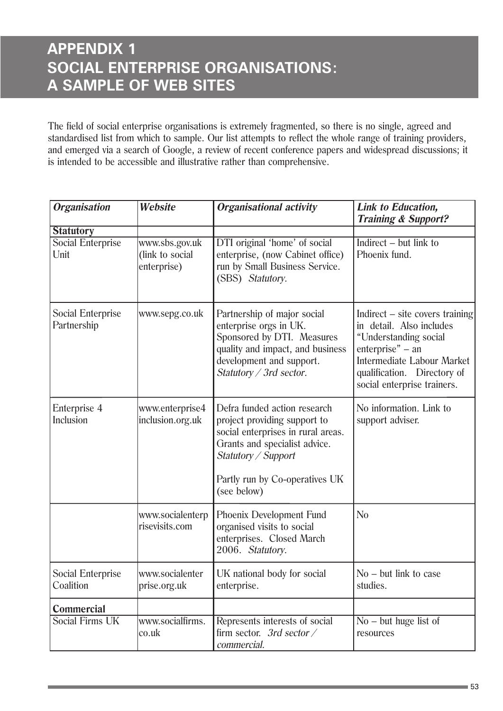The field of social enterprise organisations is extremely fragmented, so there is no single, agreed and standardised list from which to sample. Our list attempts to reflect the whole range of training providers, and emerged via a search of Google, a review of recent conference papers and widespread discussions; it is intended to be accessible and illustrative rather than comprehensive.

| <b>Organisation</b>                     | Website                                          | <b>Organisational activity</b>                                                                                                                                                                              | Link to Education,<br><b>Training &amp; Support?</b>                                                                                                                                                            |
|-----------------------------------------|--------------------------------------------------|-------------------------------------------------------------------------------------------------------------------------------------------------------------------------------------------------------------|-----------------------------------------------------------------------------------------------------------------------------------------------------------------------------------------------------------------|
| <b>Statutory</b>                        |                                                  |                                                                                                                                                                                                             |                                                                                                                                                                                                                 |
| <b>Social Enterprise</b><br>Unit        | www.sbs.gov.uk<br>(link to social<br>enterprise) | DTI original 'home' of social<br>enterprise, (now Cabinet office)<br>run by Small Business Service.<br>(SBS) Statutory.                                                                                     | Indirect $-$ but link to<br>Phoenix fund.                                                                                                                                                                       |
| <b>Social Enterprise</b><br>Partnership | www.sepg.co.uk                                   | Partnership of major social<br>enterprise orgs in UK.<br>Sponsored by DTI. Measures<br>quality and impact, and business<br>development and support.<br>Statutory / 3rd sector.                              | Indirect $-$ site covers training<br>in detail. Also includes<br>"Understanding social<br>$enterprise" - an$<br><b>Intermediate Labour Market</b><br>qualification. Directory of<br>social enterprise trainers. |
| Enterprise 4<br>Inclusion               | www.enterprise4<br>inclusion.org.uk              | Defra funded action research<br>project providing support to<br>social enterprises in rural areas.<br>Grants and specialist advice.<br>Statutory / Support<br>Partly run by Co-operatives UK<br>(see below) | No information. Link to<br>support adviser.                                                                                                                                                                     |
|                                         | www.socialenterp<br>risevisits.com               | Phoenix Development Fund<br>organised visits to social<br>enterprises. Closed March<br>2006. Statutory.                                                                                                     | N <sub>0</sub>                                                                                                                                                                                                  |
| <b>Social Enterprise</b><br>Coalition   | www.socialenter<br>prise.org.uk                  | UK national body for social<br>enterprise.                                                                                                                                                                  | $No$ – but link to case<br>studies.                                                                                                                                                                             |
| Commercial                              |                                                  |                                                                                                                                                                                                             |                                                                                                                                                                                                                 |
| Social Firms UK                         | www.socialfirms.<br>$ {\rm co.uk} $              | Represents interests of social<br>firm sector. 3rd sector $\angle$<br>commercial.                                                                                                                           | $No$ – but huge list of<br>resources                                                                                                                                                                            |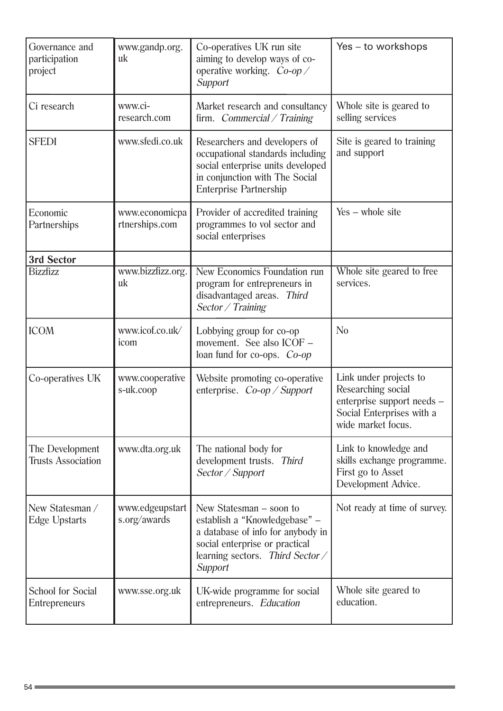| Governance and<br>participation<br>project       | www.gandp.org.<br>uk             | Co-operatives UK run site<br>aiming to develop ways of co-<br>operative working. $Co$ -op $\angle$<br>Support                                                                  | Yes – to workshops                                                                                                            |
|--------------------------------------------------|----------------------------------|--------------------------------------------------------------------------------------------------------------------------------------------------------------------------------|-------------------------------------------------------------------------------------------------------------------------------|
| Ci research                                      | www.ci-<br>research.com          | Market research and consultancy<br>firm. Commercial / Training                                                                                                                 | Whole site is geared to<br>selling services                                                                                   |
| <b>SFEDI</b>                                     | www.sfedi.co.uk                  | Researchers and developers of<br>occupational standards including<br>social enterprise units developed<br>in conjunction with The Social<br><b>Enterprise Partnership</b>      | Site is geared to training<br>and support                                                                                     |
| Economic<br>Partnerships                         | www.economicpa<br>rtnerships.com | Provider of accredited training<br>programmes to vol sector and<br>social enterprises                                                                                          | $Yes - whole site$                                                                                                            |
| 3rd Sector                                       |                                  |                                                                                                                                                                                |                                                                                                                               |
| <b>Bizzfizz</b>                                  | www.bizzfizz.org.<br>uk          | <b>New Economics Foundation run</b><br>program for entrepreneurs in<br>disadvantaged areas. Third<br>Sector / Training                                                         | Whole site geared to free<br>services.                                                                                        |
| <b>ICOM</b>                                      | www.icof.co.uk/<br>icom          | Lobbying group for co-op<br>movement. See also ICOF -<br>loan fund for co-ops. Co-op                                                                                           | N <sub>0</sub>                                                                                                                |
| Co-operatives UK                                 | www.cooperative<br>s-uk.coop     | Website promoting co-operative<br>enterprise. $Co$ -op / Support                                                                                                               | Link under projects to<br>Researching social<br>enterprise support needs -<br>Social Enterprises with a<br>wide market focus. |
| The Development<br><b>Trusts Association</b>     | www.dta.org.uk                   | The national body for<br>development trusts. Third<br>Sector / Support                                                                                                         | Link to knowledge and<br>skills exchange programme.<br>First go to Asset<br>Development Advice.                               |
| New Statesman /<br><b>Edge Upstarts</b>          | www.edgeupstart<br>s.org/awards  | New Statesman – soon to<br>establish a "Knowledgebase" -<br>a database of info for anybody in<br>social enterprise or practical<br>learning sectors. Third Sector /<br>Support | Not ready at time of survey.                                                                                                  |
| <b>School for Social</b><br><b>Entrepreneurs</b> | www.sse.org.uk                   | UK-wide programme for social<br>entrepreneurs. Education                                                                                                                       | Whole site geared to<br>education.                                                                                            |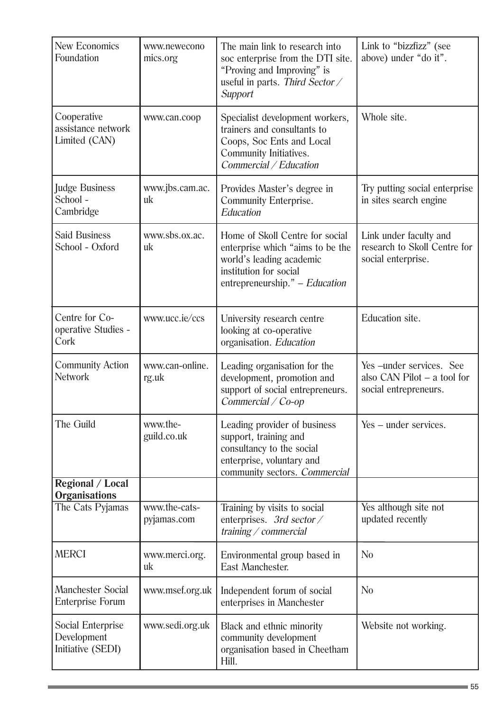| <b>New Economics</b><br>Foundation                    | www.newecono<br>mics.org     | The main link to research into<br>soc enterprise from the DTI site.<br>"Proving and Improving" is<br>useful in parts. Third Sector /<br>Support             | Link to "bizzfizz" (see<br>above) under "do it".                                    |
|-------------------------------------------------------|------------------------------|-------------------------------------------------------------------------------------------------------------------------------------------------------------|-------------------------------------------------------------------------------------|
| Cooperative<br>assistance network<br>Limited (CAN)    | www.can.coop                 | Specialist development workers,<br>trainers and consultants to<br>Coops, Soc Ents and Local<br>Community Initiatives.<br>Commercial / Education             | Whole site.                                                                         |
| <b>Judge Business</b><br>School -<br>Cambridge        | www.jbs.cam.ac.<br>uk        | Provides Master's degree in<br><b>Community Enterprise.</b><br>Education                                                                                    | Try putting social enterprise<br>in sites search engine                             |
| <b>Said Business</b><br>School - Oxford               | www.sbs.ox.ac.<br>uk         | Home of Skoll Centre for social<br>enterprise which "aims to be the<br>world's leading academic<br>institution for social<br>entrepreneurship." - Education | Link under faculty and<br>research to Skoll Centre for<br>social enterprise.        |
| Centre for Co-<br>operative Studies -<br>Cork         | www.ucc.ie/ccs               | University research centre<br>looking at co-operative<br>organisation. Education                                                                            | Education site.                                                                     |
| <b>Community Action</b><br><b>Network</b>             | www.can-online.<br>rg.uk     | Leading organisation for the<br>development, promotion and<br>support of social entrepreneurs.<br>Commercial / Co-op                                        | Yes-under services. See<br>also $CAN$ Pilot $- a$ tool for<br>social entrepreneurs. |
| The Guild                                             | www.the-<br>guild.co.uk      | Leading provider of business<br>support, training and<br>consultancy to the social<br>enterprise, voluntary and<br>community sectors. Commercial            | Yes – under services.                                                               |
| <b>Regional / Local</b><br><b>Organisations</b>       |                              |                                                                                                                                                             |                                                                                     |
| The Cats Pyjamas                                      | www.the-cats-<br>pyjamas.com | Training by visits to social<br>enterprises. 3rd sector /<br>training / commercial                                                                          | Yes although site not<br>updated recently                                           |
| <b>MERCI</b>                                          | www.merci.org.<br>uk         | Environmental group based in<br>East Manchester.                                                                                                            | No                                                                                  |
| <b>Manchester Social</b><br><b>Enterprise Forum</b>   | www.msef.org.uk              | Independent forum of social<br>enterprises in Manchester                                                                                                    | N <sub>0</sub>                                                                      |
| Social Enterprise<br>Development<br>Initiative (SEDI) | www.sedi.org.uk              | Black and ethnic minority<br>community development<br>organisation based in Cheetham<br>Hill.                                                               | Website not working.                                                                |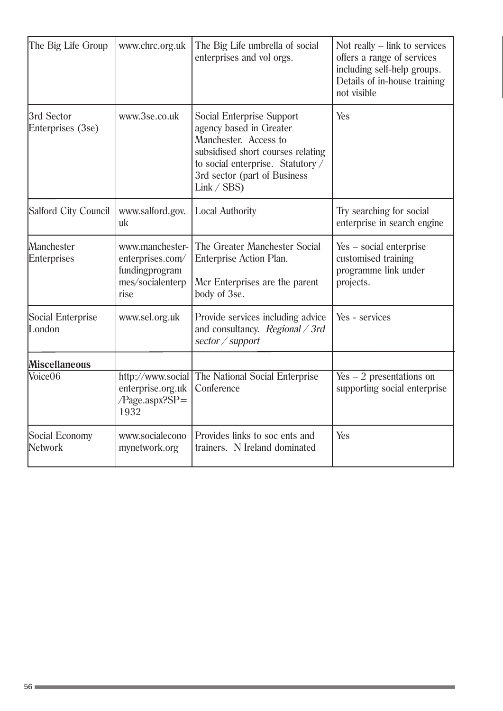| The Big Life Group               | www.chrc.org.uk                                                                   | The Big Life umbrella of social<br>enterprises and vol orgs.                                                                                                                                                 | Not really $-$ link to services<br>offers a range of services<br>including self-help groups.<br>Details of in-house training<br>not visible |
|----------------------------------|-----------------------------------------------------------------------------------|--------------------------------------------------------------------------------------------------------------------------------------------------------------------------------------------------------------|---------------------------------------------------------------------------------------------------------------------------------------------|
| 3rd Sector<br>Enterprises (3se)  | www.3se.co.uk                                                                     | <b>Social Enterprise Support</b><br>agency based in Greater<br>Manchester. Access to<br>subsidised short courses relating<br>to social enterprise. Statutory /<br>3rd sector (part of Business<br>Link / SBS | Yes                                                                                                                                         |
| Salford City Council             | www.salford.gov.<br>uk                                                            | <b>Local Authority</b>                                                                                                                                                                                       | Try searching for social<br>enterprise in search engine                                                                                     |
| Manchester<br><b>Enterprises</b> | www.manchester-<br>enterprises.com/<br>fundingprogram<br>mes/socialenterp<br>rise | The Greater Manchester Social<br>Enterprise Action Plan.<br>Mcr Enterprises are the parent<br>body of 3se.                                                                                                   | Yes – social enterprise<br>customised training<br>programme link under<br>projects.                                                         |
| Social Enterprise<br>London      | www.sel.org.uk                                                                    | Provide services including advice<br>and consultancy. Regional $\angle$ 3rd<br>sector / support                                                                                                              | Yes - services                                                                                                                              |
| <b>Miscellaneous</b>             |                                                                                   |                                                                                                                                                                                                              |                                                                                                                                             |
| Voice06                          | enterprise.org.uk<br>$Page.argv?SP =$<br>1932                                     | http://www.social The National Social Enterprise<br>Conference                                                                                                                                               | $Yes - 2 presentations on$<br>supporting social enterprise                                                                                  |
| Social Economy<br>Network        | www.socialecono<br>mynetwork.org                                                  | Provides links to soc ents and<br>trainers. N Ireland dominated                                                                                                                                              | Yes                                                                                                                                         |